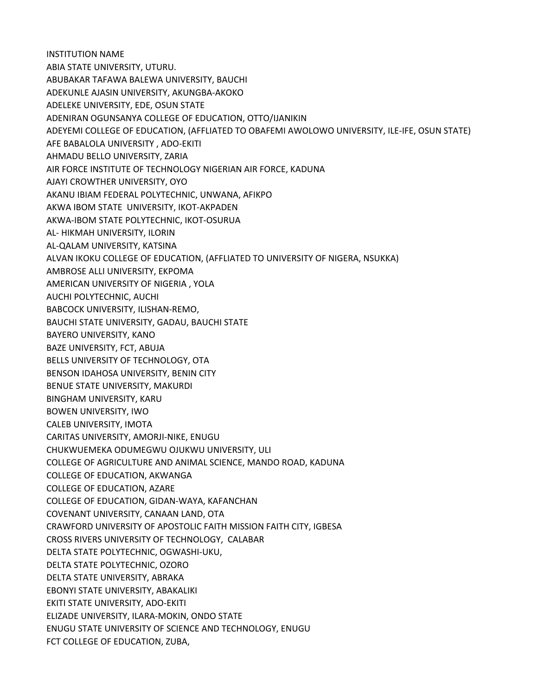INSTITUTION NAME ABIA STATE UNIVERSITY, UTURU. ABUBAKAR TAFAWA BALEWA UNIVERSITY, BAUCHI ADEKUNLE AJASIN UNIVERSITY, AKUNGBA-AKOKO ADELEKE UNIVERSITY, EDE, OSUN STATE ADENIRAN OGUNSANYA COLLEGE OF EDUCATION, OTTO/IJANIKIN ADEYEMI COLLEGE OF EDUCATION, (AFFLIATED TO OBAFEMI AWOLOWO UNIVERSITY, ILE-IFE, OSUN STATE) AFE BABALOLA UNIVERSITY , ADO-EKITI AHMADU BELLO UNIVERSITY, ZARIA AIR FORCE INSTITUTE OF TECHNOLOGY NIGERIAN AIR FORCE, KADUNA AJAYI CROWTHER UNIVERSITY, OYO AKANU IBIAM FEDERAL POLYTECHNIC, UNWANA, AFIKPO AKWA IBOM STATE UNIVERSITY, IKOT-AKPADEN AKWA-IBOM STATE POLYTECHNIC, IKOT-OSURUA AL- HIKMAH UNIVERSITY, ILORIN AL-QALAM UNIVERSITY, KATSINA ALVAN IKOKU COLLEGE OF EDUCATION, (AFFLIATED TO UNIVERSITY OF NIGERA, NSUKKA) AMBROSE ALLI UNIVERSITY, EKPOMA AMERICAN UNIVERSITY OF NIGERIA , YOLA AUCHI POLYTECHNIC, AUCHI BABCOCK UNIVERSITY, ILISHAN-REMO, BAUCHI STATE UNIVERSITY, GADAU, BAUCHI STATE BAYERO UNIVERSITY, KANO BAZE UNIVERSITY, FCT, ABUJA BELLS UNIVERSITY OF TECHNOLOGY, OTA BENSON IDAHOSA UNIVERSITY, BENIN CITY BENUE STATE UNIVERSITY, MAKURDI BINGHAM UNIVERSITY, KARU BOWEN UNIVERSITY, IWO CALEB UNIVERSITY, IMOTA CARITAS UNIVERSITY, AMORJI-NIKE, ENUGU CHUKWUEMEKA ODUMEGWU OJUKWU UNIVERSITY, ULI COLLEGE OF AGRICULTURE AND ANIMAL SCIENCE, MANDO ROAD, KADUNA COLLEGE OF EDUCATION, AKWANGA COLLEGE OF EDUCATION, AZARE COLLEGE OF EDUCATION, GIDAN-WAYA, KAFANCHAN COVENANT UNIVERSITY, CANAAN LAND, OTA CRAWFORD UNIVERSITY OF APOSTOLIC FAITH MISSION FAITH CITY, IGBESA CROSS RIVERS UNIVERSITY OF TECHNOLOGY, CALABAR DELTA STATE POLYTECHNIC, OGWASHI-UKU, DELTA STATE POLYTECHNIC, OZORO DELTA STATE UNIVERSITY, ABRAKA EBONYI STATE UNIVERSITY, ABAKALIKI EKITI STATE UNIVERSITY, ADO-EKITI ELIZADE UNIVERSITY, ILARA-MOKIN, ONDO STATE ENUGU STATE UNIVERSITY OF SCIENCE AND TECHNOLOGY, ENUGU FCT COLLEGE OF EDUCATION, ZUBA,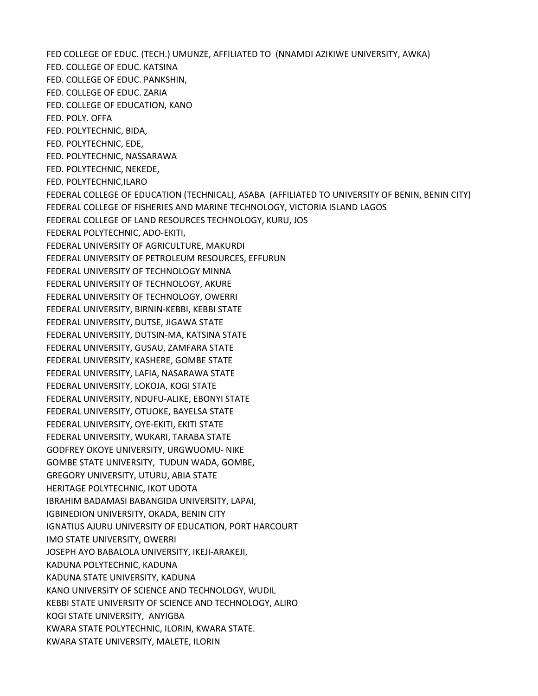FED COLLEGE OF EDUC. (TECH.) UMUNZE, AFFILIATED TO (NNAMDI AZIKIWE UNIVERSITY, AWKA) FED. COLLEGE OF EDUC. KATSINA FED. COLLEGE OF EDUC. PANKSHIN, FED. COLLEGE OF EDUC. ZARIA FED. COLLEGE OF EDUCATION, KANO FED. POLY. OFFA FED. POLYTECHNIC, BIDA, FED. POLYTECHNIC, EDE, FED. POLYTECHNIC, NASSARAWA FED. POLYTECHNIC, NEKEDE, FED. POLYTECHNIC,ILARO FEDERAL COLLEGE OF EDUCATION (TECHNICAL), ASABA (AFFILIATED TO UNIVERSITY OF BENIN, BENIN CITY) FEDERAL COLLEGE OF FISHERIES AND MARINE TECHNOLOGY, VICTORIA ISLAND LAGOS FEDERAL COLLEGE OF LAND RESOURCES TECHNOLOGY, KURU, JOS FEDERAL POLYTECHNIC, ADO-EKITI, FEDERAL UNIVERSITY OF AGRICULTURE, MAKURDI FEDERAL UNIVERSITY OF PETROLEUM RESOURCES, EFFURUN FEDERAL UNIVERSITY OF TECHNOLOGY MINNA FEDERAL UNIVERSITY OF TECHNOLOGY, AKURE FEDERAL UNIVERSITY OF TECHNOLOGY, OWERRI FEDERAL UNIVERSITY, BIRNIN-KEBBI, KEBBI STATE FEDERAL UNIVERSITY, DUTSE, JIGAWA STATE FEDERAL UNIVERSITY, DUTSIN-MA, KATSINA STATE FEDERAL UNIVERSITY, GUSAU, ZAMFARA STATE FEDERAL UNIVERSITY, KASHERE, GOMBE STATE FEDERAL UNIVERSITY, LAFIA, NASARAWA STATE FEDERAL UNIVERSITY, LOKOJA, KOGI STATE FEDERAL UNIVERSITY, NDUFU-ALIKE, EBONYI STATE FEDERAL UNIVERSITY, OTUOKE, BAYELSA STATE FEDERAL UNIVERSITY, OYE-EKITI, EKITI STATE FEDERAL UNIVERSITY, WUKARI, TARABA STATE GODFREY OKOYE UNIVERSITY, URGWUOMU- NIKE GOMBE STATE UNIVERSITY, TUDUN WADA, GOMBE, GREGORY UNIVERSITY, UTURU, ABIA STATE HERITAGE POLYTECHNIC, IKOT UDOTA IBRAHIM BADAMASI BABANGIDA UNIVERSITY, LAPAI, IGBINEDION UNIVERSITY, OKADA, BENIN CITY IGNATIUS AJURU UNIVERSITY OF EDUCATION, PORT HARCOURT IMO STATE UNIVERSITY, OWERRI JOSEPH AYO BABALOLA UNIVERSITY, IKEJI-ARAKEJI, KADUNA POLYTECHNIC, KADUNA KADUNA STATE UNIVERSITY, KADUNA KANO UNIVERSITY OF SCIENCE AND TECHNOLOGY, WUDIL KEBBI STATE UNIVERSITY OF SCIENCE AND TECHNOLOGY, ALIRO KOGI STATE UNIVERSITY, ANYIGBA KWARA STATE POLYTECHNIC, ILORIN, KWARA STATE. KWARA STATE UNIVERSITY, MALETE, ILORIN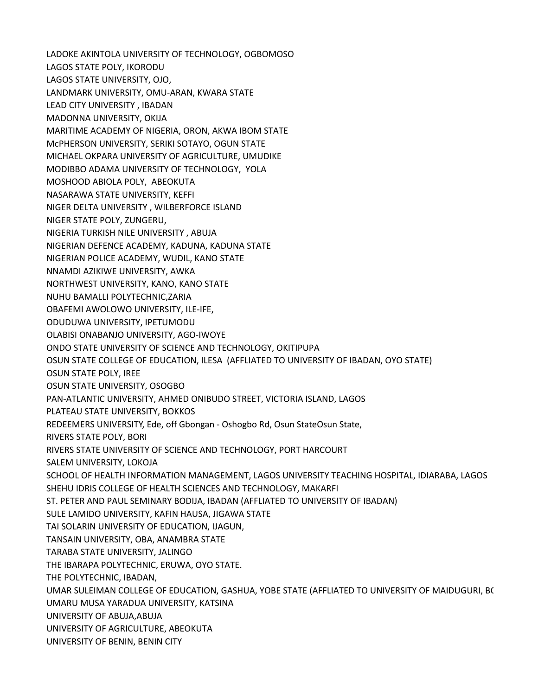LADOKE AKINTOLA UNIVERSITY OF TECHNOLOGY, OGBOMOSO LAGOS STATE POLY, IKORODU LAGOS STATE UNIVERSITY, OJO, LANDMARK UNIVERSITY, OMU-ARAN, KWARA STATE LEAD CITY UNIVERSITY , IBADAN MADONNA UNIVERSITY, OKIJA MARITIME ACADEMY OF NIGERIA, ORON, AKWA IBOM STATE McPHERSON UNIVERSITY, SERIKI SOTAYO, OGUN STATE MICHAEL OKPARA UNIVERSITY OF AGRICULTURE, UMUDIKE MODIBBO ADAMA UNIVERSITY OF TECHNOLOGY, YOLA MOSHOOD ABIOLA POLY, ABEOKUTA NASARAWA STATE UNIVERSITY, KEFFI NIGER DELTA UNIVERSITY , WILBERFORCE ISLAND NIGER STATE POLY, ZUNGERU, NIGERIA TURKISH NILE UNIVERSITY , ABUJA NIGERIAN DEFENCE ACADEMY, KADUNA, KADUNA STATE NIGERIAN POLICE ACADEMY, WUDIL, KANO STATE NNAMDI AZIKIWE UNIVERSITY, AWKA NORTHWEST UNIVERSITY, KANO, KANO STATE NUHU BAMALLI POLYTECHNIC,ZARIA OBAFEMI AWOLOWO UNIVERSITY, ILE-IFE, ODUDUWA UNIVERSITY, IPETUMODU OLABISI ONABANJO UNIVERSITY, AGO-IWOYE ONDO STATE UNIVERSITY OF SCIENCE AND TECHNOLOGY, OKITIPUPA OSUN STATE COLLEGE OF EDUCATION, ILESA (AFFLIATED TO UNIVERSITY OF IBADAN, OYO STATE) OSUN STATE POLY, IREE OSUN STATE UNIVERSITY, OSOGBO PAN-ATLANTIC UNIVERSITY, AHMED ONIBUDO STREET, VICTORIA ISLAND, LAGOS PLATEAU STATE UNIVERSITY, BOKKOS REDEEMERS UNIVERSITY, Ede, off Gbongan - Oshogbo Rd, Osun State Osun State, RIVERS STATE POLY, BORI RIVERS STATE UNIVERSITY OF SCIENCE AND TECHNOLOGY, PORT HARCOURT SALEM UNIVERSITY, LOKOJA SCHOOL OF HEALTH INFORMATION MANAGEMENT, LAGOS UNIVERSITY TEACHING HOSPITAL, IDIARABA, LAGOS SHEHU IDRIS COLLEGE OF HEALTH SCIENCES AND TECHNOLOGY, MAKARFI ST. PETER AND PAUL SEMINARY BODIJA, IBADAN (AFFLIATED TO UNIVERSITY OF IBADAN) SULE LAMIDO UNIVERSITY, KAFIN HAUSA, JIGAWA STATE TAI SOLARIN UNIVERSITY OF EDUCATION, IJAGUN, TANSAIN UNIVERSITY, OBA, ANAMBRA STATE TARABA STATE UNIVERSITY, JALINGO THE IBARAPA POLYTECHNIC, ERUWA, OYO STATE. THE POLYTECHNIC, IBADAN, UMAR SULEIMAN COLLEGE OF EDUCATION, GASHUA, YOBE STATE (AFFLIATED TO UNIVERSITY OF MAIDUGURI, B( UMARU MUSA YARADUA UNIVERSITY, KATSINA UNIVERSITY OF ABUJA,ABUJA UNIVERSITY OF AGRICULTURE, ABEOKUTA UNIVERSITY OF BENIN, BENIN CITY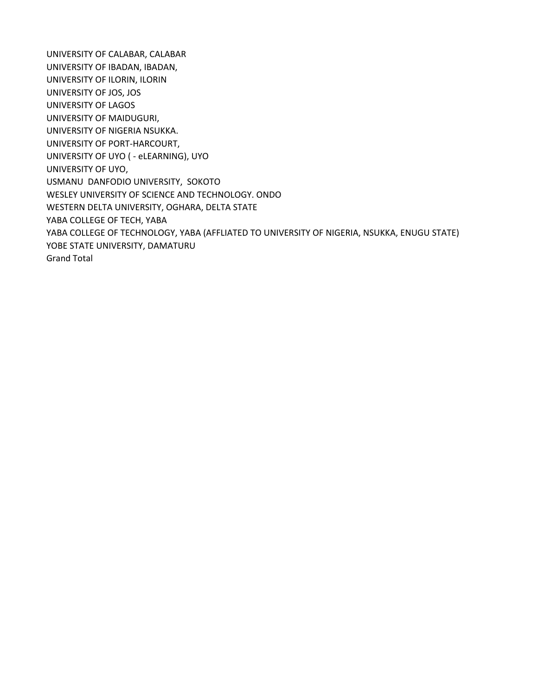UNIVERSITY OF CALABAR, CALABAR UNIVERSITY OF IBADAN, IBADAN, UNIVERSITY OF ILORIN, ILORIN UNIVERSITY OF JOS, JOS UNIVERSITY OF LAGOS UNIVERSITY OF MAIDUGURI, UNIVERSITY OF NIGERIA NSUKKA. UNIVERSITY OF PORT-HARCOURT, UNIVERSITY OF UYO ( - eLEARNING), UYO UNIVERSITY OF UYO, USMANU DANFODIO UNIVERSITY, SOKOTO WESLEY UNIVERSITY OF SCIENCE AND TECHNOLOGY. ONDO WESTERN DELTA UNIVERSITY, OGHARA, DELTA STATE YABA COLLEGE OF TECH, YABA YABA COLLEGE OF TECHNOLOGY, YABA (AFFLIATED TO UNIVERSITY OF NIGERIA, NSUKKA, ENUGU STATE) YOBE STATE UNIVERSITY, DAMATURU Grand Total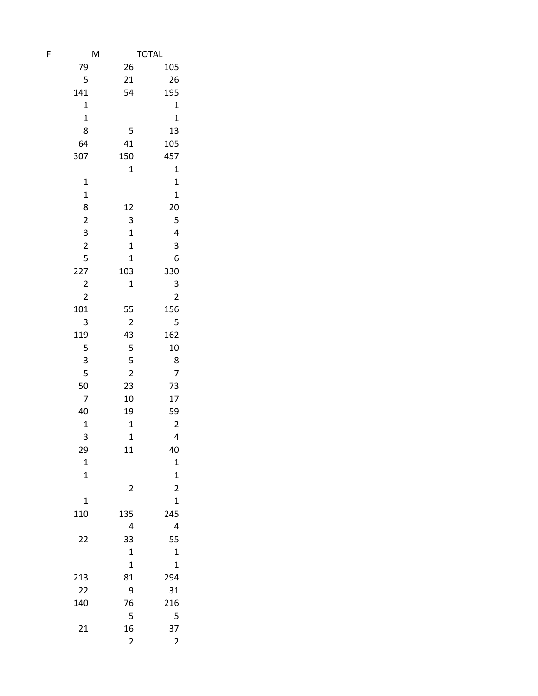| F | M                       |                         | <b>TOTAL</b>               |
|---|-------------------------|-------------------------|----------------------------|
|   | 79                      | 26                      | 105                        |
|   | 5                       | 21                      | 26                         |
|   | 141                     | 54                      | 195                        |
|   | $\mathbf 1$             |                         | $\mathbf 1$                |
|   | $\mathbf 1$             |                         | $\mathbf 1$                |
|   | 8                       | 5                       | 13                         |
|   | 64                      | 41                      | 105                        |
|   | 307                     | 150                     | 457                        |
|   |                         | $\mathbf 1$             |                            |
|   |                         |                         | $\mathbf 1$                |
|   | $\mathbf 1$             |                         | $\mathbf 1$<br>$\mathbf 1$ |
|   | $\mathbf{1}$            |                         |                            |
|   | 8                       | 12                      | 20                         |
|   | $\overline{\mathbf{c}}$ | 3                       | 5                          |
|   | 3                       | $\mathbf 1$             | 4                          |
|   | $\overline{\mathbf{c}}$ | $\mathbf 1$             | 3                          |
|   | 5                       | $\mathbf 1$             | 6                          |
|   | 227                     | 103                     | 330                        |
|   | $\overline{\mathbf{c}}$ | 1                       | 3                          |
|   | $\overline{\mathbf{c}}$ |                         | $\overline{\mathbf{c}}$    |
|   | 101                     | 55                      | 156                        |
|   | 3                       | $\overline{c}$          | 5                          |
|   | 119                     | 43                      | 162                        |
|   | 5                       | 5                       | 10                         |
|   | 3                       | 5                       | 8                          |
|   | 5                       | $\overline{c}$          | 7                          |
|   | 50                      | 23                      | 73                         |
|   | 7                       | 10                      | 17                         |
|   | 40                      | 19                      | 59                         |
|   | $\mathbf 1$             | $\mathbf 1$             | $\overline{\mathbf{c}}$    |
|   | 3                       | $\mathbf{1}$            | 4                          |
|   | 29                      | 11                      | 40                         |
|   | $\mathbf 1$             |                         | $\mathbf 1$                |
|   | $\mathbf 1$             |                         | $\mathbf 1$                |
|   |                         | $\overline{c}$          | $\overline{\mathbf{c}}$    |
|   | 1                       |                         | $\overline{1}$             |
|   | 110                     | 135                     | 245                        |
|   |                         | 4                       | 4                          |
|   | 22                      | 33                      | 55                         |
|   |                         | 1                       | $\mathbf 1$                |
|   |                         | $\mathbf 1$             | $\mathbf 1$                |
|   | 213                     | 81                      | 294                        |
|   | 22                      | 9                       | 31                         |
|   | 140                     | 76                      | 216                        |
|   |                         | 5                       | 5                          |
|   | 21                      | 16                      | 37                         |
|   |                         | $\overline{\mathbf{c}}$ | $\overline{\mathbf{c}}$    |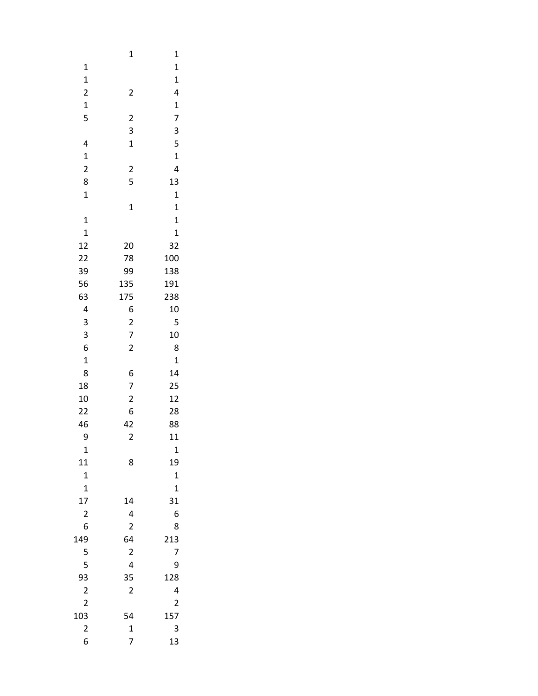|                         | $\mathbf 1$             | $\mathbf{1}$            |  |
|-------------------------|-------------------------|-------------------------|--|
| $\mathbf 1$             |                         | $\mathbf{1}$            |  |
| $\mathbf{1}$            |                         | $\mathbf{1}$            |  |
| $\overline{\mathbf{c}}$ | $\overline{\mathbf{c}}$ | 4                       |  |
| $\mathbf{1}$            |                         | $\mathbf{1}$            |  |
| 5                       | $\overline{\mathbf{c}}$ | 7                       |  |
|                         | 3                       | 3                       |  |
| 4                       | $\mathbf{1}$            | 5                       |  |
| $\mathbf{1}$            |                         | $\mathbf{1}$            |  |
| $\overline{\mathbf{c}}$ | $\overline{\mathbf{c}}$ | 4                       |  |
| 8                       | 5                       | 13                      |  |
| $\mathbf 1$             |                         | $\mathbf{1}$            |  |
|                         | $\mathbf 1$             | $\mathbf{1}$            |  |
| $\mathbf{1}$            |                         | $\mathbf 1$             |  |
| $\mathbf{1}$            |                         | $\mathbf{1}$            |  |
| 12                      | 20                      | 32                      |  |
|                         |                         |                         |  |
| 22                      | 78                      | 100                     |  |
| 39                      | 99                      | 138                     |  |
| 56                      | 135                     | 191                     |  |
| 63                      | 175                     | 238                     |  |
| 4                       | 6                       | 10                      |  |
| 3                       | $\overline{\mathbf{c}}$ | 5                       |  |
| 3                       | $\overline{7}$          | 10                      |  |
| 6                       | $\overline{\mathbf{c}}$ | 8                       |  |
| $\mathbf{1}$            |                         | $\mathbf 1$             |  |
| 8                       | 6                       | 14                      |  |
| 18                      | 7                       | 25                      |  |
| 10                      | $\overline{\mathbf{c}}$ | 12                      |  |
| 22                      | 6                       | 28                      |  |
| 46                      | 42                      | 88                      |  |
| 9                       | $\overline{\mathbf{c}}$ | 11                      |  |
| $\mathbf 1$             |                         | 1                       |  |
| 11                      | 8                       | 19                      |  |
| $\mathbf{1}$            |                         | $\mathbf{1}$            |  |
| $\mathbf{1}$            |                         | $\mathbf 1$             |  |
| 17                      | 14                      | 31                      |  |
| $\overline{\mathbf{c}}$ | 4                       | 6                       |  |
| 6                       | $\overline{\mathbf{c}}$ | 8                       |  |
| 149                     | 64                      | 213                     |  |
| 5                       | $\overline{\mathbf{c}}$ | 7                       |  |
| 5                       | 4                       | 9                       |  |
| 93                      | 35                      | 128                     |  |
| $\overline{c}$          | $\overline{\mathbf{c}}$ | 4                       |  |
| $\overline{c}$          |                         | $\overline{\mathbf{c}}$ |  |
| 103                     | 54                      | 157                     |  |
| $\overline{\mathbf{c}}$ | $\mathbf{1}$            | 3                       |  |
| 6                       | 7                       | 13                      |  |
|                         |                         |                         |  |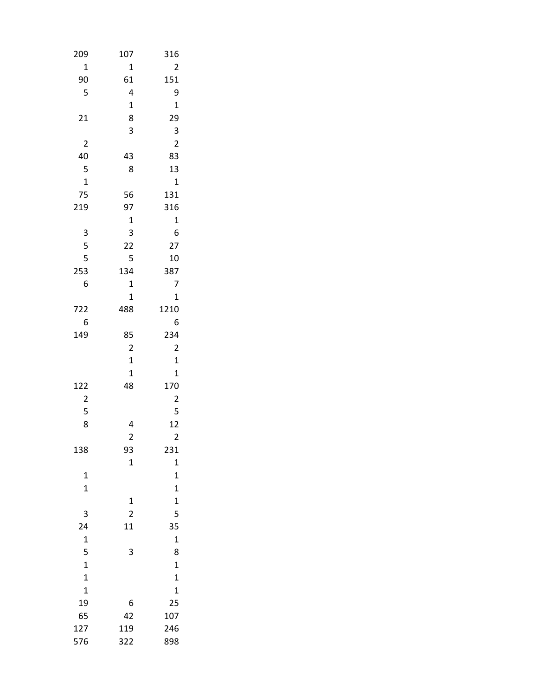| 209                     | 107                     | 316                     |
|-------------------------|-------------------------|-------------------------|
| $\mathbf 1$             | 1                       | $\overline{c}$          |
| 90                      | 61                      | 151                     |
| 5                       | 4                       | 9                       |
|                         | $\mathbf 1$             | $\mathbf 1$             |
| 21                      | 8                       | 29                      |
|                         | 3                       | 3                       |
| 2                       |                         | $\overline{\mathbf{c}}$ |
| 40                      | 43                      | 83                      |
| 5                       | 8                       | 13                      |
| $\mathbf{1}$            |                         | $\mathbf{1}$            |
| 75                      | 56                      | 131                     |
| 219                     | 97                      | 316                     |
|                         | $\mathbf 1$             | $\mathbf{1}$            |
| 3                       | 3                       | 6                       |
| 5                       | 22                      | 27                      |
| 5                       | 5                       | 10                      |
| 253                     | 134                     | 387                     |
| 6                       | $\mathbf 1$             | 7                       |
|                         | $\mathbf 1$             | $\mathbf{1}$            |
| 722                     | 488                     | 1210                    |
| 6                       |                         | 6                       |
| 149                     | 85                      | 234                     |
|                         | $\overline{\mathbf{c}}$ | $\overline{c}$          |
|                         | 1                       | $\mathbf 1$             |
|                         | 1                       | $\mathbf{1}$            |
| 122                     | 48                      | 170                     |
| $\overline{\mathbf{c}}$ |                         | $\overline{c}$          |
| 5                       |                         | 5                       |
| 8                       | 4                       | 12                      |
|                         | $\overline{\mathbf{c}}$ | $\overline{\mathbf{c}}$ |
| 138                     | 93                      | 231                     |
|                         | $\mathbf 1$             | $\mathbf{1}$            |
| 1                       |                         | 1                       |
| $\mathbf 1$             |                         | $\mathbf 1$             |
|                         | 1                       | $\mathbf 1$             |
| 3                       | $\overline{c}$          | 5                       |
| 24                      | 11                      | 35                      |
| $\mathbf 1$             |                         | $\mathbf 1$             |
| 5                       | 3                       | 8                       |
| $\mathbf{1}$            |                         | $\mathbf{1}$            |
| $\mathbf 1$             |                         | $\mathbf{1}$            |
| $\mathbf 1$             |                         | $\mathbf 1$             |
| 19                      | 6                       | 25                      |
| 65                      | 42                      | 107                     |
| 127                     | 119                     | 246                     |
| 576                     | 322                     | 898                     |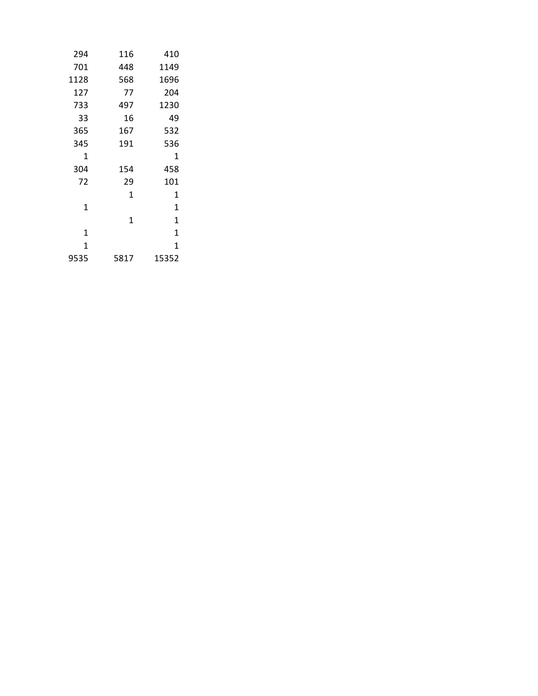| 294  | 116  | 410          |
|------|------|--------------|
| 701  | 448  | 1149         |
| 1128 | 568  | 1696         |
| 127  | 77   | 204          |
| 733  | 497  | 1230         |
| 33   | 16   | 49           |
| 365  | 167  | 532          |
| 345  | 191  | 536          |
| 1    |      | 1            |
| 304  | 154  | 458          |
| 72   | 29   | 101          |
|      | 1    | 1            |
| 1    |      | $\mathbf{1}$ |
|      | 1    | 1            |
| 1    |      | 1            |
| 1    |      | $\mathbf{1}$ |
| 9535 | 5817 | 15352        |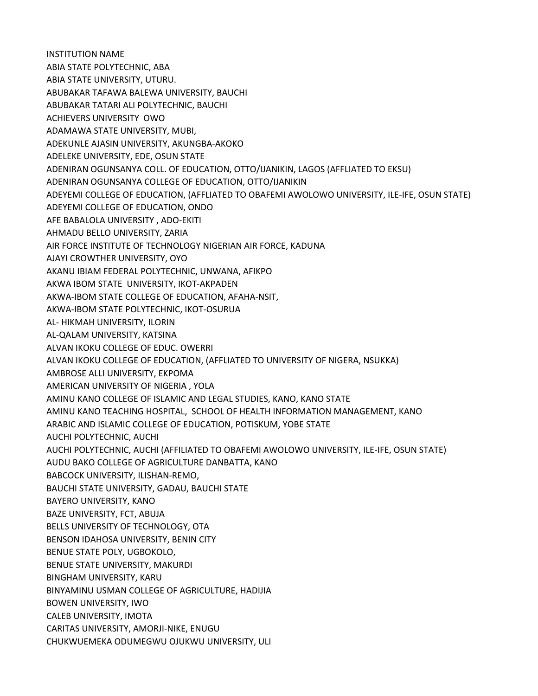INSTITUTION NAME ABIA STATE POLYTECHNIC, ABA ABIA STATE UNIVERSITY, UTURU. ABUBAKAR TAFAWA BALEWA UNIVERSITY, BAUCHI ABUBAKAR TATARI ALI POLYTECHNIC, BAUCHI ACHIEVERS UNIVERSITY OWO ADAMAWA STATE UNIVERSITY, MUBI, ADEKUNLE AJASIN UNIVERSITY, AKUNGBA-AKOKO ADELEKE UNIVERSITY, EDE, OSUN STATE ADENIRAN OGUNSANYA COLL. OF EDUCATION, OTTO/IJANIKIN, LAGOS (AFFLIATED TO EKSU) ADENIRAN OGUNSANYA COLLEGE OF EDUCATION, OTTO/IJANIKIN ADEYEMI COLLEGE OF EDUCATION, (AFFLIATED TO OBAFEMI AWOLOWO UNIVERSITY, ILE-IFE, OSUN STATE) ADEYEMI COLLEGE OF EDUCATION, ONDO AFE BABALOLA UNIVERSITY , ADO-EKITI AHMADU BELLO UNIVERSITY, ZARIA AIR FORCE INSTITUTE OF TECHNOLOGY NIGERIAN AIR FORCE, KADUNA AJAYI CROWTHER UNIVERSITY, OYO AKANU IBIAM FEDERAL POLYTECHNIC, UNWANA, AFIKPO AKWA IBOM STATE UNIVERSITY, IKOT-AKPADEN AKWA-IBOM STATE COLLEGE OF EDUCATION, AFAHA-NSIT, AKWA-IBOM STATE POLYTECHNIC, IKOT-OSURUA AL- HIKMAH UNIVERSITY, ILORIN AL-QALAM UNIVERSITY, KATSINA ALVAN IKOKU COLLEGE OF EDUC. OWERRI ALVAN IKOKU COLLEGE OF EDUCATION, (AFFLIATED TO UNIVERSITY OF NIGERA, NSUKKA) AMBROSE ALLI UNIVERSITY, EKPOMA AMERICAN UNIVERSITY OF NIGERIA , YOLA AMINU KANO COLLEGE OF ISLAMIC AND LEGAL STUDIES, KANO, KANO STATE AMINU KANO TEACHING HOSPITAL, SCHOOL OF HEALTH INFORMATION MANAGEMENT, KANO ARABIC AND ISLAMIC COLLEGE OF EDUCATION, POTISKUM, YOBE STATE AUCHI POLYTECHNIC, AUCHI AUCHI POLYTECHNIC, AUCHI (AFFILIATED TO OBAFEMI AWOLOWO UNIVERSITY, ILE-IFE, OSUN STATE) AUDU BAKO COLLEGE OF AGRICULTURE DANBATTA, KANO BABCOCK UNIVERSITY, ILISHAN-REMO, BAUCHI STATE UNIVERSITY, GADAU, BAUCHI STATE BAYERO UNIVERSITY, KANO BAZE UNIVERSITY, FCT, ABUJA BELLS UNIVERSITY OF TECHNOLOGY, OTA BENSON IDAHOSA UNIVERSITY, BENIN CITY BENUE STATE POLY, UGBOKOLO, BENUE STATE UNIVERSITY, MAKURDI BINGHAM UNIVERSITY, KARU BINYAMINU USMAN COLLEGE OF AGRICULTURE, HADIJIA BOWEN UNIVERSITY, IWO CALEB UNIVERSITY, IMOTA CARITAS UNIVERSITY, AMORJI-NIKE, ENUGU CHUKWUEMEKA ODUMEGWU OJUKWU UNIVERSITY, ULI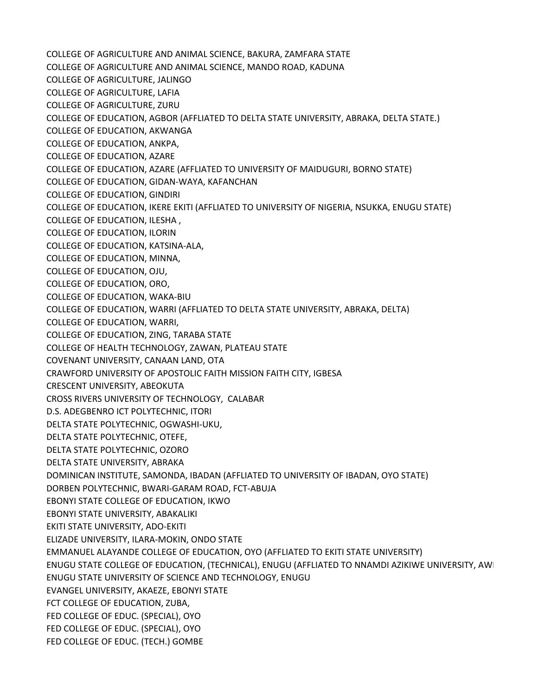COLLEGE OF AGRICULTURE AND ANIMAL SCIENCE, BAKURA, ZAMFARA STATE COLLEGE OF AGRICULTURE AND ANIMAL SCIENCE, MANDO ROAD, KADUNA COLLEGE OF AGRICULTURE, JALINGO COLLEGE OF AGRICULTURE, LAFIA COLLEGE OF AGRICULTURE, ZURU COLLEGE OF EDUCATION, AGBOR (AFFLIATED TO DELTA STATE UNIVERSITY, ABRAKA, DELTA STATE.) COLLEGE OF EDUCATION, AKWANGA COLLEGE OF EDUCATION, ANKPA, COLLEGE OF EDUCATION, AZARE COLLEGE OF EDUCATION, AZARE (AFFLIATED TO UNIVERSITY OF MAIDUGURI, BORNO STATE) COLLEGE OF EDUCATION, GIDAN-WAYA, KAFANCHAN COLLEGE OF EDUCATION, GINDIRI COLLEGE OF EDUCATION, IKERE EKITI (AFFLIATED TO UNIVERSITY OF NIGERIA, NSUKKA, ENUGU STATE) COLLEGE OF EDUCATION, ILESHA , COLLEGE OF EDUCATION, ILORIN COLLEGE OF EDUCATION, KATSINA-ALA, COLLEGE OF EDUCATION, MINNA, COLLEGE OF EDUCATION, OJU, COLLEGE OF EDUCATION, ORO, COLLEGE OF EDUCATION, WAKA-BIU COLLEGE OF EDUCATION, WARRI (AFFLIATED TO DELTA STATE UNIVERSITY, ABRAKA, DELTA) COLLEGE OF EDUCATION, WARRI, COLLEGE OF EDUCATION, ZING, TARABA STATE COLLEGE OF HEALTH TECHNOLOGY, ZAWAN, PLATEAU STATE COVENANT UNIVERSITY, CANAAN LAND, OTA CRAWFORD UNIVERSITY OF APOSTOLIC FAITH MISSION FAITH CITY, IGBESA CRESCENT UNIVERSITY, ABEOKUTA CROSS RIVERS UNIVERSITY OF TECHNOLOGY, CALABAR D.S. ADEGBENRO ICT POLYTECHNIC, ITORI DELTA STATE POLYTECHNIC, OGWASHI-UKU, DELTA STATE POLYTECHNIC, OTEFE, DELTA STATE POLYTECHNIC, OZORO DELTA STATE UNIVERSITY, ABRAKA DOMINICAN INSTITUTE, SAMONDA, IBADAN (AFFLIATED TO UNIVERSITY OF IBADAN, OYO STATE) DORBEN POLYTECHNIC, BWARI-GARAM ROAD, FCT-ABUJA EBONYI STATE COLLEGE OF EDUCATION, IKWO EBONYI STATE UNIVERSITY, ABAKALIKI EKITI STATE UNIVERSITY, ADO-EKITI ELIZADE UNIVERSITY, ILARA-MOKIN, ONDO STATE EMMANUEL ALAYANDE COLLEGE OF EDUCATION, OYO (AFFLIATED TO EKITI STATE UNIVERSITY) ENUGU STATE COLLEGE OF EDUCATION, (TECHNICAL), ENUGU (AFFLIATED TO NNAMDI AZIKIWE UNIVERSITY, AWI ENUGU STATE UNIVERSITY OF SCIENCE AND TECHNOLOGY, ENUGU EVANGEL UNIVERSITY, AKAEZE, EBONYI STATE FCT COLLEGE OF EDUCATION, ZUBA, FED COLLEGE OF EDUC. (SPECIAL), OYO FED COLLEGE OF EDUC. (SPECIAL), OYO FED COLLEGE OF EDUC. (TECH.) GOMBE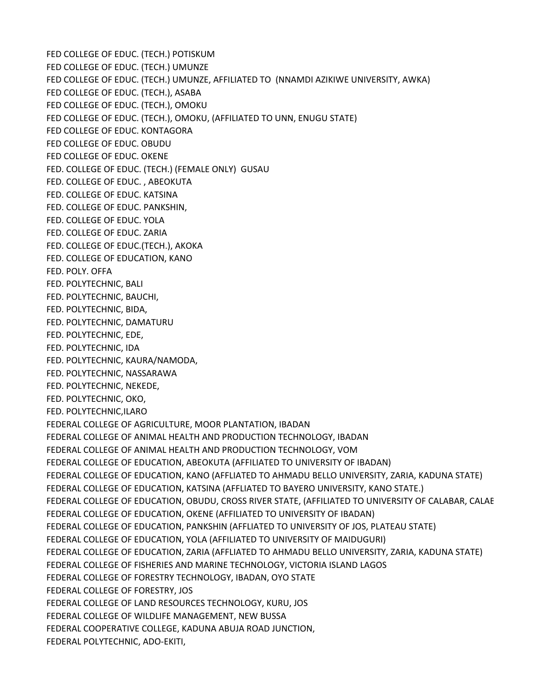FED COLLEGE OF EDUC. (TECH.) POTISKUM FED COLLEGE OF EDUC. (TECH.) UMUNZE FED COLLEGE OF EDUC. (TECH.) UMUNZE, AFFILIATED TO (NNAMDI AZIKIWE UNIVERSITY, AWKA) FED COLLEGE OF EDUC. (TECH.), ASABA FED COLLEGE OF EDUC. (TECH.), OMOKU FED COLLEGE OF EDUC. (TECH.), OMOKU, (AFFILIATED TO UNN, ENUGU STATE) FED COLLEGE OF EDUC. KONTAGORA FED COLLEGE OF EDUC. OBUDU FED COLLEGE OF EDUC. OKENE FED. COLLEGE OF EDUC. (TECH.) (FEMALE ONLY) GUSAU FED. COLLEGE OF EDUC. , ABEOKUTA FED. COLLEGE OF EDUC. KATSINA FED. COLLEGE OF EDUC. PANKSHIN, FED. COLLEGE OF EDUC. YOLA FED. COLLEGE OF EDUC. ZARIA FED. COLLEGE OF EDUC.(TECH.), AKOKA FED. COLLEGE OF EDUCATION, KANO FED. POLY. OFFA FED. POLYTECHNIC, BALI FED. POLYTECHNIC, BAUCHI, FED. POLYTECHNIC, BIDA, FED. POLYTECHNIC, DAMATURU FED. POLYTECHNIC, EDE, FED. POLYTECHNIC, IDA FED. POLYTECHNIC, KAURA/NAMODA, FED. POLYTECHNIC, NASSARAWA FED. POLYTECHNIC, NEKEDE, FED. POLYTECHNIC, OKO, FED. POLYTECHNIC,ILARO FEDERAL COLLEGE OF AGRICULTURE, MOOR PLANTATION, IBADAN FEDERAL COLLEGE OF ANIMAL HEALTH AND PRODUCTION TECHNOLOGY, IBADAN FEDERAL COLLEGE OF ANIMAL HEALTH AND PRODUCTION TECHNOLOGY, VOM FEDERAL COLLEGE OF EDUCATION, ABEOKUTA (AFFILIATED TO UNIVERSITY OF IBADAN) FEDERAL COLLEGE OF EDUCATION, KANO (AFFLIATED TO AHMADU BELLO UNIVERSITY, ZARIA, KADUNA STATE) FEDERAL COLLEGE OF EDUCATION, KATSINA (AFFLIATED TO BAYERO UNIVERSITY, KANO STATE.) FEDERAL COLLEGE OF EDUCATION, OBUDU, CROSS RIVER STATE, (AFFILIATED TO UNIVERSITY OF CALABAR, CALABAR FEDERAL COLLEGE OF EDUCATION, OKENE (AFFILIATED TO UNIVERSITY OF IBADAN) FEDERAL COLLEGE OF EDUCATION, PANKSHIN (AFFLIATED TO UNIVERSITY OF JOS, PLATEAU STATE) FEDERAL COLLEGE OF EDUCATION, YOLA (AFFILIATED TO UNIVERSITY OF MAIDUGURI) FEDERAL COLLEGE OF EDUCATION, ZARIA (AFFLIATED TO AHMADU BELLO UNIVERSITY, ZARIA, KADUNA STATE) FEDERAL COLLEGE OF FISHERIES AND MARINE TECHNOLOGY, VICTORIA ISLAND LAGOS FEDERAL COLLEGE OF FORESTRY TECHNOLOGY, IBADAN, OYO STATE FEDERAL COLLEGE OF FORESTRY, JOS FEDERAL COLLEGE OF LAND RESOURCES TECHNOLOGY, KURU, JOS FEDERAL COLLEGE OF WILDLIFE MANAGEMENT, NEW BUSSA FEDERAL COOPERATIVE COLLEGE, KADUNA ABUJA ROAD JUNCTION, FEDERAL POLYTECHNIC, ADO-EKITI,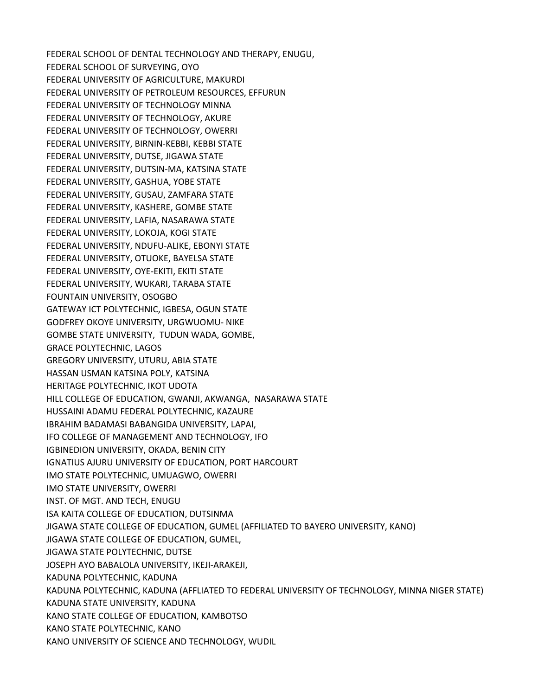FEDERAL SCHOOL OF DENTAL TECHNOLOGY AND THERAPY, ENUGU, FEDERAL SCHOOL OF SURVEYING, OYO FEDERAL UNIVERSITY OF AGRICULTURE, MAKURDI FEDERAL UNIVERSITY OF PETROLEUM RESOURCES, EFFURUN FEDERAL UNIVERSITY OF TECHNOLOGY MINNA FEDERAL UNIVERSITY OF TECHNOLOGY, AKURE FEDERAL UNIVERSITY OF TECHNOLOGY, OWERRI FEDERAL UNIVERSITY, BIRNIN-KEBBI, KEBBI STATE FEDERAL UNIVERSITY, DUTSE, JIGAWA STATE FEDERAL UNIVERSITY, DUTSIN-MA, KATSINA STATE FEDERAL UNIVERSITY, GASHUA, YOBE STATE FEDERAL UNIVERSITY, GUSAU, ZAMFARA STATE FEDERAL UNIVERSITY, KASHERE, GOMBE STATE FEDERAL UNIVERSITY, LAFIA, NASARAWA STATE FEDERAL UNIVERSITY, LOKOJA, KOGI STATE FEDERAL UNIVERSITY, NDUFU-ALIKE, EBONYI STATE FEDERAL UNIVERSITY, OTUOKE, BAYELSA STATE FEDERAL UNIVERSITY, OYE-EKITI, EKITI STATE FEDERAL UNIVERSITY, WUKARI, TARABA STATE FOUNTAIN UNIVERSITY, OSOGBO GATEWAY ICT POLYTECHNIC, IGBESA, OGUN STATE GODFREY OKOYE UNIVERSITY, URGWUOMU- NIKE GOMBE STATE UNIVERSITY, TUDUN WADA, GOMBE, GRACE POLYTECHNIC, LAGOS GREGORY UNIVERSITY, UTURU, ABIA STATE HASSAN USMAN KATSINA POLY, KATSINA HERITAGE POLYTECHNIC, IKOT UDOTA HILL COLLEGE OF EDUCATION, GWANJI, AKWANGA, NASARAWA STATE HUSSAINI ADAMU FEDERAL POLYTECHNIC, KAZAURE IBRAHIM BADAMASI BABANGIDA UNIVERSITY, LAPAI, IFO COLLEGE OF MANAGEMENT AND TECHNOLOGY, IFO IGBINEDION UNIVERSITY, OKADA, BENIN CITY IGNATIUS AJURU UNIVERSITY OF EDUCATION, PORT HARCOURT IMO STATE POLYTECHNIC, UMUAGWO, OWERRI IMO STATE UNIVERSITY, OWERRI INST. OF MGT. AND TECH, ENUGU ISA KAITA COLLEGE OF EDUCATION, DUTSINMA JIGAWA STATE COLLEGE OF EDUCATION, GUMEL (AFFILIATED TO BAYERO UNIVERSITY, KANO) JIGAWA STATE COLLEGE OF EDUCATION, GUMEL, JIGAWA STATE POLYTECHNIC, DUTSE JOSEPH AYO BABALOLA UNIVERSITY, IKEJI-ARAKEJI, KADUNA POLYTECHNIC, KADUNA KADUNA POLYTECHNIC, KADUNA (AFFLIATED TO FEDERAL UNIVERSITY OF TECHNOLOGY, MINNA NIGER STATE) KADUNA STATE UNIVERSITY, KADUNA KANO STATE COLLEGE OF EDUCATION, KAMBOTSO KANO STATE POLYTECHNIC, KANO KANO UNIVERSITY OF SCIENCE AND TECHNOLOGY, WUDIL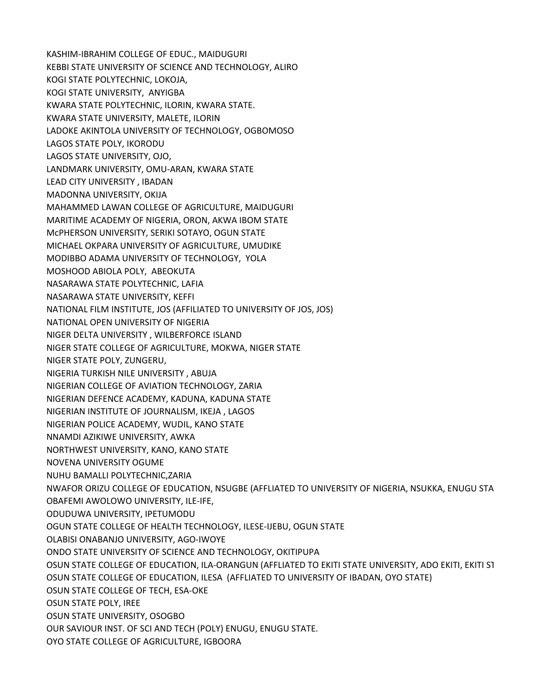KASHIM-IBRAHIM COLLEGE OF EDUC., MAIDUGURI KEBBI STATE UNIVERSITY OF SCIENCE AND TECHNOLOGY, ALIRO KOGI STATE POLYTECHNIC, LOKOJA, KOGI STATE UNIVERSITY, ANYIGBA KWARA STATE POLYTECHNIC, ILORIN, KWARA STATE. KWARA STATE UNIVERSITY, MALETE, ILORIN LADOKE AKINTOLA UNIVERSITY OF TECHNOLOGY, OGBOMOSO LAGOS STATE POLY, IKORODU LAGOS STATE UNIVERSITY, OJO, LANDMARK UNIVERSITY, OMU-ARAN, KWARA STATE LEAD CITY UNIVERSITY , IBADAN MADONNA UNIVERSITY, OKIJA MAHAMMED LAWAN COLLEGE OF AGRICULTURE, MAIDUGURI MARITIME ACADEMY OF NIGERIA, ORON, AKWA IBOM STATE McPHERSON UNIVERSITY, SERIKI SOTAYO, OGUN STATE MICHAEL OKPARA UNIVERSITY OF AGRICULTURE, UMUDIKE MODIBBO ADAMA UNIVERSITY OF TECHNOLOGY, YOLA MOSHOOD ABIOLA POLY, ABEOKUTA NASARAWA STATE POLYTECHNIC, LAFIA NASARAWA STATE UNIVERSITY, KEFFI NATIONAL FILM INSTITUTE, JOS (AFFILIATED TO UNIVERSITY OF JOS, JOS) NATIONAL OPEN UNIVERSITY OF NIGERIA NIGER DELTA UNIVERSITY , WILBERFORCE ISLAND NIGER STATE COLLEGE OF AGRICULTURE, MOKWA, NIGER STATE NIGER STATE POLY, ZUNGERU, NIGERIA TURKISH NILE UNIVERSITY , ABUJA NIGERIAN COLLEGE OF AVIATION TECHNOLOGY, ZARIA NIGERIAN DEFENCE ACADEMY, KADUNA, KADUNA STATE NIGERIAN INSTITUTE OF JOURNALISM, IKEJA , LAGOS NIGERIAN POLICE ACADEMY, WUDIL, KANO STATE NNAMDI AZIKIWE UNIVERSITY, AWKA NORTHWEST UNIVERSITY, KANO, KANO STATE NOVENA UNIVERSITY OGUME NUHU BAMALLI POLYTECHNIC,ZARIA NWAFOR ORIZU COLLEGE OF EDUCATION, NSUGBE (AFFLIATED TO UNIVERSITY OF NIGERIA, NSUKKA, ENUGU STATE) OBAFEMI AWOLOWO UNIVERSITY, ILE-IFE, ODUDUWA UNIVERSITY, IPETUMODU OGUN STATE COLLEGE OF HEALTH TECHNOLOGY, ILESE-IJEBU, OGUN STATE OLABISI ONABANJO UNIVERSITY, AGO-IWOYE ONDO STATE UNIVERSITY OF SCIENCE AND TECHNOLOGY, OKITIPUPA OSUN STATE COLLEGE OF EDUCATION, ILA-ORANGUN (AFFLIATED TO EKITI STATE UNIVERSITY, ADO EKITI, EKITI ST OSUN STATE COLLEGE OF EDUCATION, ILESA (AFFLIATED TO UNIVERSITY OF IBADAN, OYO STATE) OSUN STATE COLLEGE OF TECH, ESA-OKE OSUN STATE POLY, IREE OSUN STATE UNIVERSITY, OSOGBO OUR SAVIOUR INST. OF SCI AND TECH (POLY) ENUGU, ENUGU STATE. OYO STATE COLLEGE OF AGRICULTURE, IGBOORA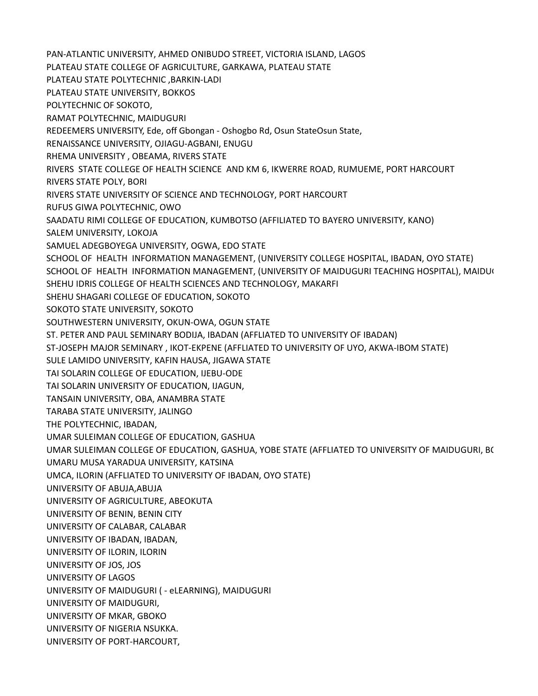PAN-ATLANTIC UNIVERSITY, AHMED ONIBUDO STREET, VICTORIA ISLAND, LAGOS PLATEAU STATE COLLEGE OF AGRICULTURE, GARKAWA, PLATEAU STATE PLATEAU STATE POLYTECHNIC ,BARKIN-LADI PLATEAU STATE UNIVERSITY, BOKKOS POLYTECHNIC OF SOKOTO, RAMAT POLYTECHNIC, MAIDUGURI REDEEMERS UNIVERSITY, Ede, off Gbongan - Oshogbo Rd, Osun State Osun State, RENAISSANCE UNIVERSITY, OJIAGU-AGBANI, ENUGU RHEMA UNIVERSITY , OBEAMA, RIVERS STATE RIVERS STATE COLLEGE OF HEALTH SCIENCE AND KM 6, IKWERRE ROAD, RUMUEME, PORT HARCOURT RIVERS STATE POLY, BORI RIVERS STATE UNIVERSITY OF SCIENCE AND TECHNOLOGY, PORT HARCOURT RUFUS GIWA POLYTECHNIC, OWO SAADATU RIMI COLLEGE OF EDUCATION, KUMBOTSO (AFFILIATED TO BAYERO UNIVERSITY, KANO) SALEM UNIVERSITY, LOKOJA SAMUEL ADEGBOYEGA UNIVERSITY, OGWA, EDO STATE SCHOOL OF HEALTH INFORMATION MANAGEMENT, (UNIVERSITY COLLEGE HOSPITAL, IBADAN, OYO STATE) SCHOOL OF HEALTH INFORMATION MANAGEMENT, (UNIVERSITY OF MAIDUGURI TEACHING HOSPITAL), MAIDUG SHEHU IDRIS COLLEGE OF HEALTH SCIENCES AND TECHNOLOGY, MAKARFI SHEHU SHAGARI COLLEGE OF EDUCATION, SOKOTO SOKOTO STATE UNIVERSITY, SOKOTO SOUTHWESTERN UNIVERSITY, OKUN-OWA, OGUN STATE ST. PETER AND PAUL SEMINARY BODIJA, IBADAN (AFFLIATED TO UNIVERSITY OF IBADAN) ST-JOSEPH MAJOR SEMINARY , IKOT-EKPENE (AFFLIATED TO UNIVERSITY OF UYO, AKWA-IBOM STATE) SULE LAMIDO UNIVERSITY, KAFIN HAUSA, JIGAWA STATE TAI SOLARIN COLLEGE OF EDUCATION, IJEBU-ODE TAI SOLARIN UNIVERSITY OF EDUCATION, IJAGUN, TANSAIN UNIVERSITY, OBA, ANAMBRA STATE TARABA STATE UNIVERSITY, JALINGO THE POLYTECHNIC, IBADAN, UMAR SULEIMAN COLLEGE OF EDUCATION, GASHUA UMAR SULEIMAN COLLEGE OF EDUCATION, GASHUA, YOBE STATE (AFFLIATED TO UNIVERSITY OF MAIDUGURI, B( UMARU MUSA YARADUA UNIVERSITY, KATSINA UMCA, ILORIN (AFFLIATED TO UNIVERSITY OF IBADAN, OYO STATE) UNIVERSITY OF ABUJA,ABUJA UNIVERSITY OF AGRICULTURE, ABEOKUTA UNIVERSITY OF BENIN, BENIN CITY UNIVERSITY OF CALABAR, CALABAR UNIVERSITY OF IBADAN, IBADAN, UNIVERSITY OF ILORIN, ILORIN UNIVERSITY OF JOS, JOS UNIVERSITY OF LAGOS UNIVERSITY OF MAIDUGURI ( - eLEARNING), MAIDUGURI UNIVERSITY OF MAIDUGURI, UNIVERSITY OF MKAR, GBOKO UNIVERSITY OF NIGERIA NSUKKA. UNIVERSITY OF PORT-HARCOURT,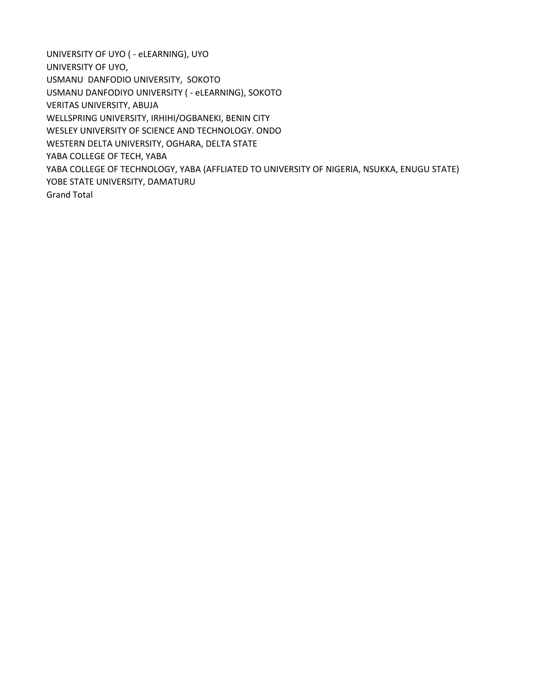UNIVERSITY OF UYO ( - eLEARNING), UYO UNIVERSITY OF UYO, USMANU DANFODIO UNIVERSITY, SOKOTO USMANU DANFODIYO UNIVERSITY ( - eLEARNING), SOKOTO VERITAS UNIVERSITY, ABUJA WELLSPRING UNIVERSITY, IRHIHI/OGBANEKI, BENIN CITY WESLEY UNIVERSITY OF SCIENCE AND TECHNOLOGY. ONDO WESTERN DELTA UNIVERSITY, OGHARA, DELTA STATE YABA COLLEGE OF TECH, YABA YABA COLLEGE OF TECHNOLOGY, YABA (AFFLIATED TO UNIVERSITY OF NIGERIA, NSUKKA, ENUGU STATE) YOBE STATE UNIVERSITY, DAMATURU Grand Total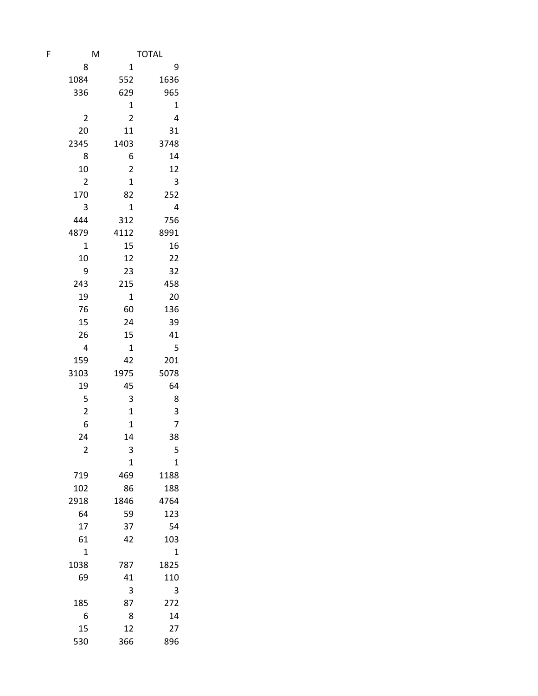| F | M                       |                         | <b>TOTAL</b> |
|---|-------------------------|-------------------------|--------------|
|   | 8                       | 1                       | 9            |
|   | 1084                    | 552                     | 1636         |
|   | 336                     | 629                     | 965          |
|   |                         | $\mathbf 1$             | $\mathbf 1$  |
|   | 2                       | $\overline{c}$          | 4            |
|   | 20                      | 11                      | 31           |
|   | 2345                    | 1403                    | 3748         |
|   | 8                       | 6                       | 14           |
|   | 10                      | $\overline{\mathbf{c}}$ | 12           |
|   | $\overline{2}$          | $\mathbf{1}$            | 3            |
|   | 170                     | 82                      | 252          |
|   | 3                       | $\mathbf{1}$            | 4            |
|   | 444                     | 312                     | 756          |
|   | 4879                    | 4112                    | 8991         |
|   | $\mathbf 1$             | 15                      | 16           |
|   | 10                      | 12                      | 22           |
|   | 9                       | 23                      | 32           |
|   | 243                     | 215                     | 458          |
|   | 19                      | 1                       | 20           |
|   | 76                      | 60                      | 136          |
|   | 15                      | 24                      | 39           |
|   | 26                      | 15                      | 41           |
|   | 4                       | 1                       | 5            |
|   | 159                     | 42                      | 201          |
|   | 3103                    | 1975                    | 5078         |
|   | 19                      | 45                      | 64           |
|   | 5                       | 3                       | 8            |
|   | $\overline{\mathbf{c}}$ | $\mathbf 1$             | 3            |
|   | 6                       | $\overline{1}$          | 7            |
|   | 24                      | 14                      | 38           |
|   | $\overline{c}$          | 3                       | 5            |
|   |                         | $\mathbf 1$             | $\mathbf 1$  |
|   | 719                     | 469                     | 1188<br>188  |
|   | 102<br>2918             | 86<br>1846              | 4764         |
|   | 64                      | 59                      | 123          |
|   | 17                      | 37                      | 54           |
|   | 61                      | 42                      | 103          |
|   | 1                       |                         | 1            |
|   | 1038                    | 787                     | 1825         |
|   | 69                      | 41                      | 110          |
|   |                         | 3                       | 3            |
|   | 185                     | 87                      | 272          |
|   | 6                       | 8                       | 14           |
|   | 15                      | 12                      | 27           |
|   | 530                     | 366                     | 896          |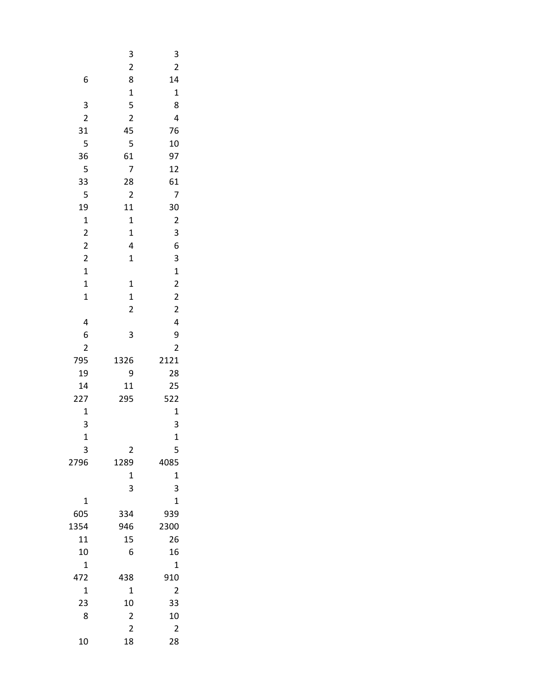|                         | $\mathsf{3}$            | 3                       |
|-------------------------|-------------------------|-------------------------|
|                         | $\overline{\mathbf{c}}$ | $\overline{\mathbf{c}}$ |
| 6                       | 8                       | 14                      |
|                         | $\mathbf{1}$            | $\mathbf{1}$            |
| 3                       | 5                       | 8                       |
| $\overline{c}$          | $\overline{2}$          | 4                       |
| 31                      | 45                      | 76                      |
| 5                       | 5                       | 10                      |
| 36                      | 61                      | 97                      |
| 5                       | 7                       | 12                      |
| 33                      | 28                      | 61                      |
| 5                       | $\overline{c}$          | 7                       |
| 19                      | 11                      | 30                      |
| $\mathbf{1}$            | $\mathbf 1$             | $\overline{\mathbf{c}}$ |
| $\overline{\mathbf{c}}$ | $\mathbf{1}$            | 3                       |
| $\overline{\mathbf{c}}$ | 4                       | 6                       |
| $\overline{\mathbf{c}}$ | $\mathbf{1}$            | 3                       |
| $\mathbf 1$             |                         | $\mathbf{1}$            |
| $\mathbf 1$             | 1                       | $\overline{\mathbf{c}}$ |
| $\mathbf 1$             | $\mathbf{1}$            | $\overline{\mathbf{c}}$ |
|                         | $\overline{c}$          | $\overline{\mathbf{c}}$ |
| 4                       |                         | 4                       |
| 6                       | 3                       | 9                       |
| $\overline{c}$          |                         | $\overline{c}$          |
| 795                     | 1326                    | 2121                    |
| 19<br>14                | 9<br>11                 | 28                      |
|                         | 295                     | 25<br>522               |
| 227<br>$\mathbf 1$      |                         | $\mathbf{1}$            |
| 3                       |                         | 3                       |
| $\mathbf{1}$            |                         | $\mathbf{1}$            |
| 3                       | $\overline{c}$          | 5                       |
| 2796                    | 1289                    | 4085                    |
|                         | 1                       | $\mathbf{1}$            |
|                         | 3                       | 3                       |
| $\mathbf 1$             |                         | $\mathbf 1$             |
| 605                     | 334                     | 939                     |
| 1354                    | 946                     | 2300                    |
| 11                      | 15                      | 26                      |
| 10                      | 6                       | 16                      |
| $\mathbf 1$             |                         | 1                       |
| 472                     | 438                     | 910                     |
| $\mathbf 1$             | 1                       | $\overline{\mathbf{c}}$ |
| 23                      | 10                      | 33                      |
| 8                       | $\overline{c}$          | 10                      |
|                         | $\overline{2}$          | $\overline{c}$          |
| 10                      | 18                      | 28                      |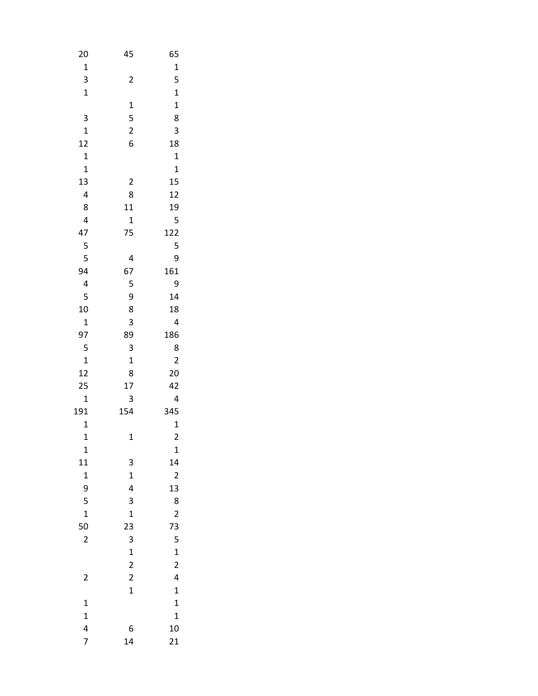| 20                      | 45                      | 65                      |
|-------------------------|-------------------------|-------------------------|
| $\mathbf 1$             |                         | $\mathbf{1}$            |
| 3                       | $\overline{c}$          | 5                       |
| $\mathbf{1}$            |                         | $\mathbf{1}$            |
|                         | $\mathbf{1}$            | $\mathbf{1}$            |
| 3                       | 5                       | 8                       |
| $\mathbf{1}$            | $\overline{c}$          | 3                       |
| 12                      | 6                       | 18                      |
| $\mathbf 1$             |                         | $\mathbf 1$             |
| $\mathbf 1$             |                         | $\mathbf{1}$            |
| 13                      | $\overline{\mathbf{c}}$ | 15                      |
| $\overline{\mathbf{r}}$ | 8                       | 12                      |
| 8                       | 11                      | 19                      |
| 4                       | $\mathbf{1}$            | 5                       |
| 47                      | 75                      | 122                     |
| 5                       |                         | 5                       |
| 5                       | 4                       | 9                       |
| 94                      | 67                      | 161                     |
| 4                       | 5                       | 9                       |
| 5                       | 9                       | 14                      |
| 10                      | 8                       | 18                      |
| $\mathbf 1$             | 3                       | 4                       |
| 97                      | 89                      | 186                     |
| 5                       | 3                       | 8                       |
| $\mathbf{1}$            | $\mathbf 1$             | $\overline{\mathbf{c}}$ |
| 12                      | 8                       | 20                      |
| 25                      | 17                      | 42                      |
| $\mathbf{1}$            | 3                       | 4                       |
| 191                     | 154                     | 345                     |
| $\mathbf{1}$            |                         | $\mathbf{1}$            |
| $\mathbf{1}$            | 1                       | $\overline{c}$          |
| 1                       |                         | $\mathbf{1}$            |
| 11                      | 3                       | 14                      |
| $\mathbf{1}$            | $\mathbf{1}$            | $\overline{c}$          |
| 9                       | 4                       | 13                      |
| 5                       | 3                       | 8                       |
| $\mathbf{1}$            | 1                       | $\overline{\mathbf{c}}$ |
| 50                      | 23                      | 73                      |
| $\overline{c}$          | 3                       | 5                       |
|                         | $\mathbf{1}$            | $\mathbf{1}$            |
|                         | $\overline{c}$          | $\overline{\mathbf{c}}$ |
| $\overline{c}$          | $\overline{c}$          | 4                       |
|                         | $\mathbf{1}$            | $\mathbf{1}$            |
| $\mathbf{1}$            |                         | $\mathbf{1}$            |
| $\mathbf{1}$            |                         | $\mathbf{1}$            |
| 4                       | 6                       | 10                      |
| 7                       | 14                      | 21                      |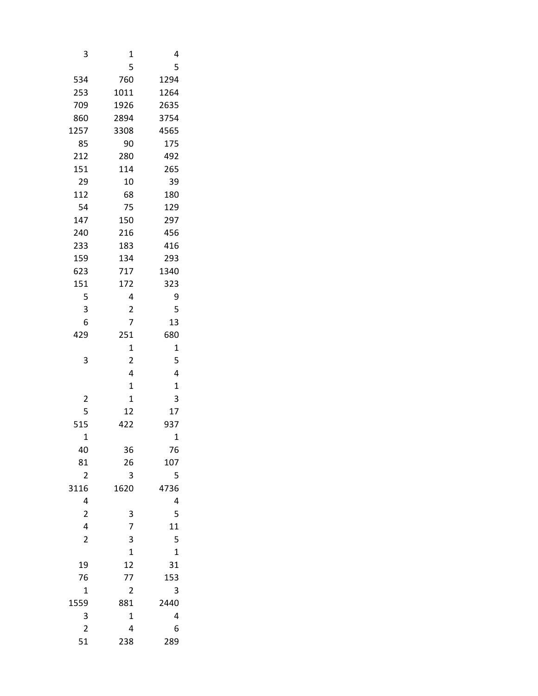| 3                       | 1              | 4            |
|-------------------------|----------------|--------------|
|                         | 5              | 5            |
| 534                     | 760            | 1294         |
| 253                     | 1011           | 1264         |
| 709                     | 1926           | 2635         |
| 860                     | 2894           | 3754         |
| 1257                    | 3308           | 4565         |
| 85                      | 90             | 175          |
| 212                     | 280            | 492          |
| 151                     | 114            | 265          |
| 29                      | 10             | 39           |
| 112                     | 68             | 180          |
| 54                      | 75             | 129          |
| 147                     | 150            | 297          |
| 240                     | 216            | 456          |
| 233                     | 183            | 416          |
| 159                     | 134            | 293          |
| 623                     | 717            | 1340         |
| 151                     | 172            | 323          |
| 5                       | 4              | 9            |
| 3                       | $\overline{c}$ | 5            |
| 6                       | 7              | 13           |
| 429                     | 251            | 680          |
|                         | 1              | $\mathbf 1$  |
| 3                       | $\overline{2}$ | 5            |
|                         | 4              | 4            |
|                         | 1              | $\mathbf{1}$ |
| $\overline{c}$          | 1              | 3            |
| 5                       | 12             | 17           |
| 515                     | 422            | 937          |
| $\overline{1}$          |                | $\mathbf 1$  |
| 40                      | 36             | 76           |
| 81                      | 26             | 107          |
| $\overline{c}$          | 3              | 5            |
| 3116                    | 1620           | 4736         |
| 4                       |                | 4            |
| $\overline{\mathbf{c}}$ | 3<br>7         | 5            |
| 4                       |                | 11           |
| $\overline{2}$          | 3              | 5            |
|                         | $\mathbf{1}$   | $\mathbf{1}$ |
| 19                      | 12             | 31           |
| 76                      | 77             | 153          |
| $\mathbf{1}$            | 2              | 3            |
| 1559                    | 881            | 2440         |
| 3                       | 1              | 4            |
| $\overline{\mathbf{c}}$ | 4              | 6            |
| 51                      | 238            | 289          |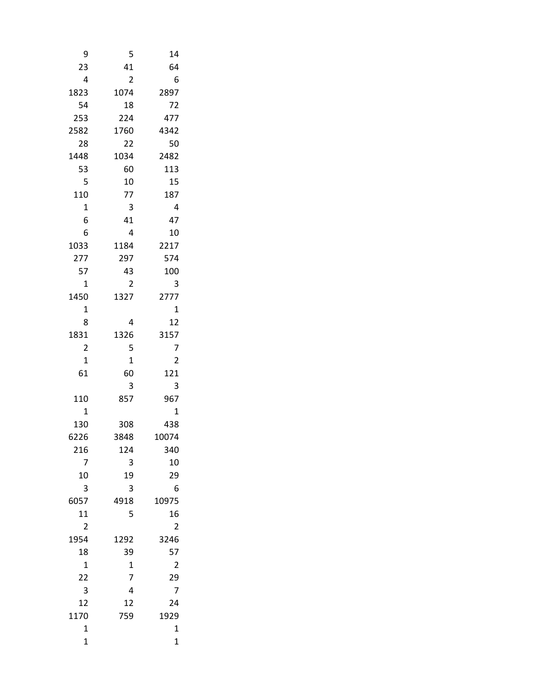| 9              | 5              | 14             |
|----------------|----------------|----------------|
| 23             | 41             | 64             |
| 4              | $\overline{2}$ | 6              |
| 1823           | 1074           | 2897           |
| 54             | 18             | 72             |
| 253            | 224            | 477            |
| 2582           | 1760           | 4342           |
| 28             | 22             | 50             |
| 1448           | 1034           | 2482           |
| 53             | 60             | 113            |
| 5              | 10             | 15             |
| 110            | 77             | 187            |
| $\mathbf 1$    | 3              | 4              |
| 6              | 41             | 47             |
| 6              | 4              | 10             |
| 1033           | 1184           | 2217           |
| 277            | 297            | 574            |
| 57             | 43             | 100            |
| 1              | 2              | 3              |
| 1450           | 1327           | 2777           |
| 1              |                | 1              |
| 8              | 4              | 12             |
| 1831           | 1326           | 3157           |
| 2              | 5              | 7              |
| 1              | 1              | 2              |
| 61             | 60             | 121            |
|                | 3              | 3              |
| 110            | 857            | 967            |
| $\overline{1}$ |                | $\mathbf{1}$   |
| 130            | 308            | 438            |
| 6226           | 3848           | 10074          |
| 216            | 124            | 340            |
| 7              | 3              | 10             |
| 10             | 19             | 29             |
| 3              | 3              | 6              |
| 6057           | 4918           | 10975          |
| 11             | 5              | 16             |
| $\overline{2}$ |                | $\overline{c}$ |
| 1954           | 1292           | 3246           |
| 18             | 39             | 57             |
| $\mathbf 1$    | 1              | 2              |
| 22             | 7              | 29             |
| 3              | 4              | 7              |
| 12             | 12             | 24             |
| 1170           | 759            | 1929           |
| $\mathbf 1$    |                | 1              |
| $\mathbf 1$    |                | 1              |
|                |                |                |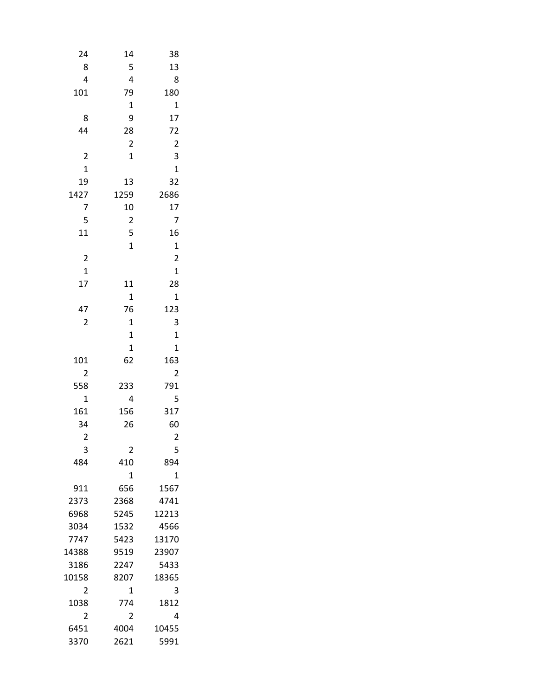| 24                      | 14                      | 38                      |  |
|-------------------------|-------------------------|-------------------------|--|
| 8                       | 5                       | 13                      |  |
| 4                       | 4                       | 8                       |  |
| 101                     | 79                      | 180                     |  |
|                         | $\mathbf 1$             | 1                       |  |
| 8                       | 9                       | 17                      |  |
| 44                      | 28                      | 72                      |  |
|                         | $\overline{c}$          | $\overline{2}$          |  |
| $\overline{\mathbf{c}}$ | $\mathbf 1$             | 3                       |  |
| $\mathbf{1}$            |                         | $\mathbf{1}$            |  |
| 19                      | 13                      |                         |  |
|                         |                         | 32                      |  |
| 1427                    | 1259                    | 2686                    |  |
| 7                       | 10                      | 17                      |  |
| 5                       | $\overline{\mathbf{c}}$ | 7                       |  |
| 11                      | 5                       | 16                      |  |
|                         | $\overline{1}$          | $\mathbf 1$             |  |
| $\overline{\mathbf{c}}$ |                         | $\overline{\mathbf{c}}$ |  |
| $\overline{1}$          |                         | $\overline{1}$          |  |
| 17                      | 11                      | 28                      |  |
|                         | $\mathbf 1$             | $\mathbf{1}$            |  |
| 47                      | 76                      | 123                     |  |
| 2                       | 1                       | 3                       |  |
|                         | $\mathbf 1$             | $\overline{1}$          |  |
|                         | $\mathbf 1$             | $\mathbf 1$             |  |
| 101                     | 62                      | 163                     |  |
| 2                       |                         | $\overline{\mathbf{c}}$ |  |
| 558                     | 233                     | 791                     |  |
| $\mathbf{1}$            | 4                       | 5                       |  |
| 161                     | 156                     | 317                     |  |
| 34                      | 26                      | 60                      |  |
| 2                       |                         | $\overline{c}$          |  |
| 3                       | 2                       | 5                       |  |
| 484                     | 410                     | 894                     |  |
|                         | 1                       | $\mathbf 1$             |  |
| 911                     | 656                     | 1567                    |  |
| 2373                    | 2368                    | 4741                    |  |
| 6968                    | 5245                    | 12213                   |  |
| 3034                    | 1532                    | 4566                    |  |
| 7747                    | 5423                    | 13170                   |  |
| 14388                   | 9519                    | 23907                   |  |
| 3186                    | 2247                    | 5433                    |  |
| 10158                   | 8207                    | 18365                   |  |
| 2                       | 1                       | 3                       |  |
|                         |                         |                         |  |
| 1038                    | 774                     | 1812                    |  |
| 2                       | 2                       | 4                       |  |
| 6451                    | 4004                    | 10455                   |  |
| 3370                    | 2621                    | 5991                    |  |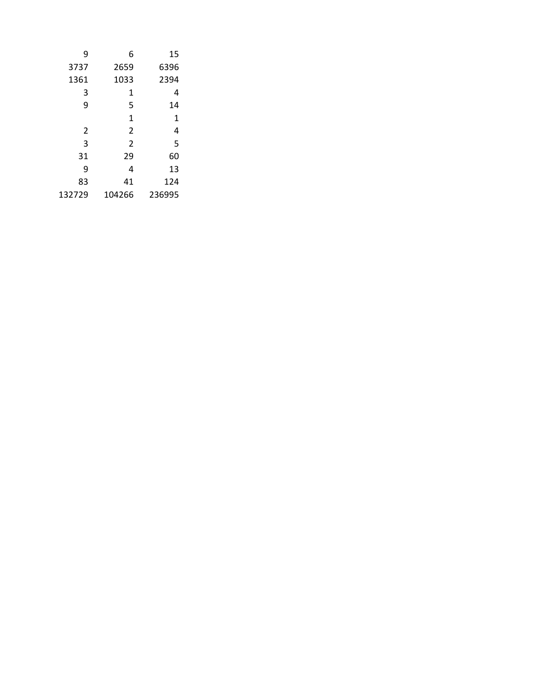| 9      | 6              | 15     |
|--------|----------------|--------|
| 3737   | 2659           | 6396   |
| 1361   | 1033           | 2394   |
| 3      | 1              | 4      |
| 9      | 5              | 14     |
|        | 1              | 1      |
| 2      | $\overline{2}$ | 4      |
| 3      | $\overline{2}$ | 5      |
| 31     | 29             | 60     |
| 9      | 4              | 13     |
| 83     | 41             | 124    |
| 132729 | 104266         | 236995 |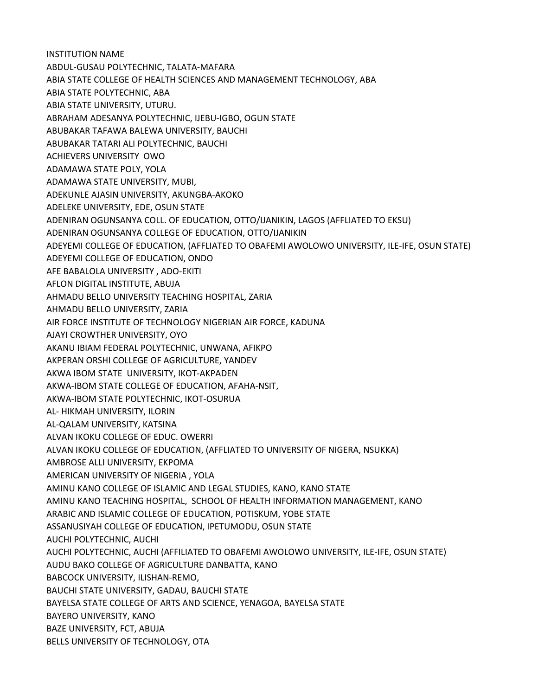INSTITUTION NAME ABDUL-GUSAU POLYTECHNIC, TALATA-MAFARA ABIA STATE COLLEGE OF HEALTH SCIENCES AND MANAGEMENT TECHNOLOGY, ABA ABIA STATE POLYTECHNIC, ABA ABIA STATE UNIVERSITY, UTURU. ABRAHAM ADESANYA POLYTECHNIC, IJEBU-IGBO, OGUN STATE ABUBAKAR TAFAWA BALEWA UNIVERSITY, BAUCHI ABUBAKAR TATARI ALI POLYTECHNIC, BAUCHI ACHIEVERS UNIVERSITY OWO ADAMAWA STATE POLY, YOLA ADAMAWA STATE UNIVERSITY, MUBI, ADEKUNLE AJASIN UNIVERSITY, AKUNGBA-AKOKO ADELEKE UNIVERSITY, EDE, OSUN STATE ADENIRAN OGUNSANYA COLL. OF EDUCATION, OTTO/IJANIKIN, LAGOS (AFFLIATED TO EKSU) ADENIRAN OGUNSANYA COLLEGE OF EDUCATION, OTTO/IJANIKIN ADEYEMI COLLEGE OF EDUCATION, (AFFLIATED TO OBAFEMI AWOLOWO UNIVERSITY, ILE-IFE, OSUN STATE) ADEYEMI COLLEGE OF EDUCATION, ONDO AFE BABALOLA UNIVERSITY , ADO-EKITI AFLON DIGITAL INSTITUTE, ABUJA AHMADU BELLO UNIVERSITY TEACHING HOSPITAL, ZARIA AHMADU BELLO UNIVERSITY, ZARIA AIR FORCE INSTITUTE OF TECHNOLOGY NIGERIAN AIR FORCE, KADUNA AJAYI CROWTHER UNIVERSITY, OYO AKANU IBIAM FEDERAL POLYTECHNIC, UNWANA, AFIKPO AKPERAN ORSHI COLLEGE OF AGRICULTURE, YANDEV AKWA IBOM STATE UNIVERSITY, IKOT-AKPADEN AKWA-IBOM STATE COLLEGE OF EDUCATION, AFAHA-NSIT, AKWA-IBOM STATE POLYTECHNIC, IKOT-OSURUA AL- HIKMAH UNIVERSITY, ILORIN AL-QALAM UNIVERSITY, KATSINA ALVAN IKOKU COLLEGE OF EDUC. OWERRI ALVAN IKOKU COLLEGE OF EDUCATION, (AFFLIATED TO UNIVERSITY OF NIGERA, NSUKKA) AMBROSE ALLI UNIVERSITY, EKPOMA AMERICAN UNIVERSITY OF NIGERIA , YOLA AMINU KANO COLLEGE OF ISLAMIC AND LEGAL STUDIES, KANO, KANO STATE AMINU KANO TEACHING HOSPITAL, SCHOOL OF HEALTH INFORMATION MANAGEMENT, KANO ARABIC AND ISLAMIC COLLEGE OF EDUCATION, POTISKUM, YOBE STATE ASSANUSIYAH COLLEGE OF EDUCATION, IPETUMODU, OSUN STATE AUCHI POLYTECHNIC, AUCHI AUCHI POLYTECHNIC, AUCHI (AFFILIATED TO OBAFEMI AWOLOWO UNIVERSITY, ILE-IFE, OSUN STATE) AUDU BAKO COLLEGE OF AGRICULTURE DANBATTA, KANO BABCOCK UNIVERSITY, ILISHAN-REMO, BAUCHI STATE UNIVERSITY, GADAU, BAUCHI STATE BAYELSA STATE COLLEGE OF ARTS AND SCIENCE, YENAGOA, BAYELSA STATE BAYERO UNIVERSITY, KANO BAZE UNIVERSITY, FCT, ABUJA BELLS UNIVERSITY OF TECHNOLOGY, OTA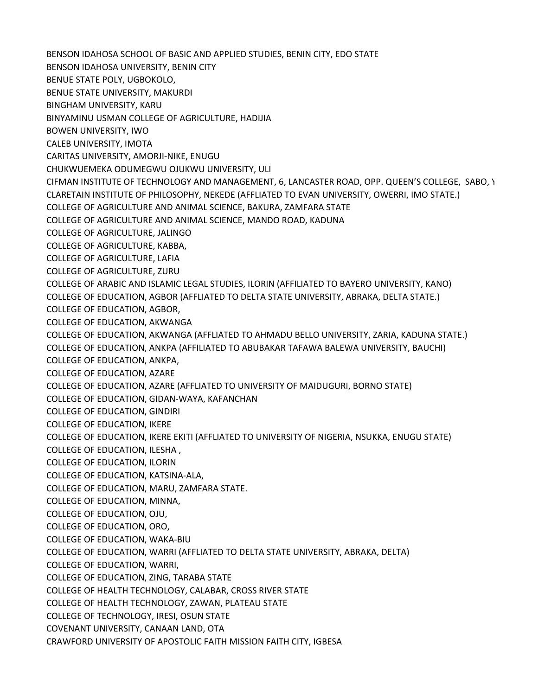BENSON IDAHOSA SCHOOL OF BASIC AND APPLIED STUDIES, BENIN CITY, EDO STATE BENSON IDAHOSA UNIVERSITY, BENIN CITY BENUE STATE POLY, UGBOKOLO, BENUE STATE UNIVERSITY, MAKURDI BINGHAM UNIVERSITY, KARU BINYAMINU USMAN COLLEGE OF AGRICULTURE, HADIJIA BOWEN UNIVERSITY, IWO CALEB UNIVERSITY, IMOTA CARITAS UNIVERSITY, AMORJI-NIKE, ENUGU CHUKWUEMEKA ODUMEGWU OJUKWU UNIVERSITY, ULI CIFMAN INSTITUTE OF TECHNOLOGY AND MANAGEMENT, 6, LANCASTER ROAD, OPP. QUEEN'S COLLEGE, SABO, Y CLARETAIN INSTITUTE OF PHILOSOPHY, NEKEDE (AFFLIATED TO EVAN UNIVERSITY, OWERRI, IMO STATE.) COLLEGE OF AGRICULTURE AND ANIMAL SCIENCE, BAKURA, ZAMFARA STATE COLLEGE OF AGRICULTURE AND ANIMAL SCIENCE, MANDO ROAD, KADUNA COLLEGE OF AGRICULTURE, JALINGO COLLEGE OF AGRICULTURE, KABBA, COLLEGE OF AGRICULTURE, LAFIA COLLEGE OF AGRICULTURE, ZURU COLLEGE OF ARABIC AND ISLAMIC LEGAL STUDIES, ILORIN (AFFILIATED TO BAYERO UNIVERSITY, KANO) COLLEGE OF EDUCATION, AGBOR (AFFLIATED TO DELTA STATE UNIVERSITY, ABRAKA, DELTA STATE.) COLLEGE OF EDUCATION, AGBOR, COLLEGE OF EDUCATION, AKWANGA COLLEGE OF EDUCATION, AKWANGA (AFFLIATED TO AHMADU BELLO UNIVERSITY, ZARIA, KADUNA STATE.) COLLEGE OF EDUCATION, ANKPA (AFFILIATED TO ABUBAKAR TAFAWA BALEWA UNIVERSITY, BAUCHI) COLLEGE OF EDUCATION, ANKPA, COLLEGE OF EDUCATION, AZARE COLLEGE OF EDUCATION, AZARE (AFFLIATED TO UNIVERSITY OF MAIDUGURI, BORNO STATE) COLLEGE OF EDUCATION, GIDAN-WAYA, KAFANCHAN COLLEGE OF EDUCATION, GINDIRI COLLEGE OF EDUCATION, IKERE COLLEGE OF EDUCATION, IKERE EKITI (AFFLIATED TO UNIVERSITY OF NIGERIA, NSUKKA, ENUGU STATE) COLLEGE OF EDUCATION, ILESHA , COLLEGE OF EDUCATION, ILORIN COLLEGE OF EDUCATION, KATSINA-ALA, COLLEGE OF EDUCATION, MARU, ZAMFARA STATE. COLLEGE OF EDUCATION, MINNA, COLLEGE OF EDUCATION, OJU, COLLEGE OF EDUCATION, ORO, COLLEGE OF EDUCATION, WAKA-BIU COLLEGE OF EDUCATION, WARRI (AFFLIATED TO DELTA STATE UNIVERSITY, ABRAKA, DELTA) COLLEGE OF EDUCATION, WARRI, COLLEGE OF EDUCATION, ZING, TARABA STATE COLLEGE OF HEALTH TECHNOLOGY, CALABAR, CROSS RIVER STATE COLLEGE OF HEALTH TECHNOLOGY, ZAWAN, PLATEAU STATE COLLEGE OF TECHNOLOGY, IRESI, OSUN STATE COVENANT UNIVERSITY, CANAAN LAND, OTA CRAWFORD UNIVERSITY OF APOSTOLIC FAITH MISSION FAITH CITY, IGBESA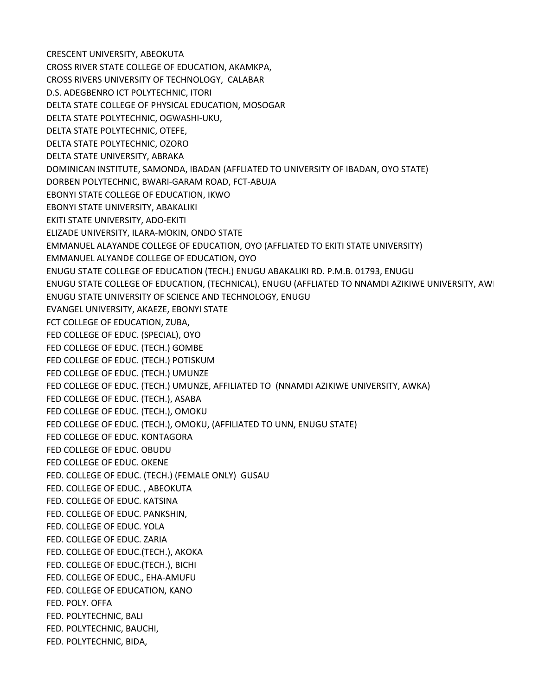CRESCENT UNIVERSITY, ABEOKUTA CROSS RIVER STATE COLLEGE OF EDUCATION, AKAMKPA, CROSS RIVERS UNIVERSITY OF TECHNOLOGY, CALABAR D.S. ADEGBENRO ICT POLYTECHNIC, ITORI DELTA STATE COLLEGE OF PHYSICAL EDUCATION, MOSOGAR DELTA STATE POLYTECHNIC, OGWASHI-UKU, DELTA STATE POLYTECHNIC, OTEFE, DELTA STATE POLYTECHNIC, OZORO DELTA STATE UNIVERSITY, ABRAKA DOMINICAN INSTITUTE, SAMONDA, IBADAN (AFFLIATED TO UNIVERSITY OF IBADAN, OYO STATE) DORBEN POLYTECHNIC, BWARI-GARAM ROAD, FCT-ABUJA EBONYI STATE COLLEGE OF EDUCATION, IKWO EBONYI STATE UNIVERSITY, ABAKALIKI EKITI STATE UNIVERSITY, ADO-EKITI ELIZADE UNIVERSITY, ILARA-MOKIN, ONDO STATE EMMANUEL ALAYANDE COLLEGE OF EDUCATION, OYO (AFFLIATED TO EKITI STATE UNIVERSITY) EMMANUEL ALYANDE COLLEGE OF EDUCATION, OYO ENUGU STATE COLLEGE OF EDUCATION (TECH.) ENUGU ABAKALIKI RD. P.M.B. 01793, ENUGU ENUGU STATE COLLEGE OF EDUCATION, (TECHNICAL), ENUGU (AFFLIATED TO NNAMDI AZIKIWE UNIVERSITY, AWI ENUGU STATE UNIVERSITY OF SCIENCE AND TECHNOLOGY, ENUGU EVANGEL UNIVERSITY, AKAEZE, EBONYI STATE FCT COLLEGE OF EDUCATION, ZUBA, FED COLLEGE OF EDUC. (SPECIAL), OYO FED COLLEGE OF EDUC. (TECH.) GOMBE FED COLLEGE OF EDUC. (TECH.) POTISKUM FED COLLEGE OF EDUC. (TECH.) UMUNZE FED COLLEGE OF EDUC. (TECH.) UMUNZE, AFFILIATED TO (NNAMDI AZIKIWE UNIVERSITY, AWKA) FED COLLEGE OF EDUC. (TECH.), ASABA FED COLLEGE OF EDUC. (TECH.), OMOKU FED COLLEGE OF EDUC. (TECH.), OMOKU, (AFFILIATED TO UNN, ENUGU STATE) FED COLLEGE OF EDUC. KONTAGORA FED COLLEGE OF EDUC. OBUDU FED COLLEGE OF EDUC. OKENE FED. COLLEGE OF EDUC. (TECH.) (FEMALE ONLY) GUSAU FED. COLLEGE OF EDUC. , ABEOKUTA FED. COLLEGE OF EDUC. KATSINA FED. COLLEGE OF EDUC. PANKSHIN, FED. COLLEGE OF EDUC. YOLA FED. COLLEGE OF EDUC. ZARIA FED. COLLEGE OF EDUC.(TECH.), AKOKA FED. COLLEGE OF EDUC.(TECH.), BICHI FED. COLLEGE OF EDUC., EHA-AMUFU FED. COLLEGE OF EDUCATION, KANO FED. POLY. OFFA FED. POLYTECHNIC, BALI FED. POLYTECHNIC, BAUCHI, FED. POLYTECHNIC, BIDA,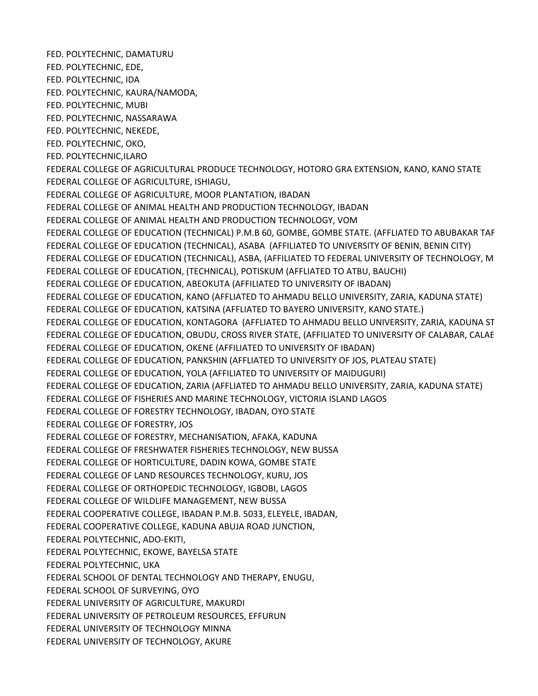FED. POLYTECHNIC, DAMATURU FED. POLYTECHNIC, EDE, FED. POLYTECHNIC, IDA FED. POLYTECHNIC, KAURA/NAMODA, FED. POLYTECHNIC, MUBI FED. POLYTECHNIC, NASSARAWA FED. POLYTECHNIC, NEKEDE, FED. POLYTECHNIC, OKO, FED. POLYTECHNIC,ILARO FEDERAL COLLEGE OF AGRICULTURAL PRODUCE TECHNOLOGY, HOTORO GRA EXTENSION, KANO, KANO STATE FEDERAL COLLEGE OF AGRICULTURE, ISHIAGU, FEDERAL COLLEGE OF AGRICULTURE, MOOR PLANTATION, IBADAN FEDERAL COLLEGE OF ANIMAL HEALTH AND PRODUCTION TECHNOLOGY, IBADAN FEDERAL COLLEGE OF ANIMAL HEALTH AND PRODUCTION TECHNOLOGY, VOM FEDERAL COLLEGE OF EDUCATION (TECHNICAL) P.M.B 60, GOMBE, GOMBE STATE. (AFFLIATED TO ABUBAKAR TAF FEDERAL COLLEGE OF EDUCATION (TECHNICAL), ASABA (AFFILIATED TO UNIVERSITY OF BENIN, BENIN CITY) FEDERAL COLLEGE OF EDUCATION (TECHNICAL), ASBA, (AFFILIATED TO FEDERAL UNIVERSITY OF TECHNOLOGY, M FEDERAL COLLEGE OF EDUCATION, (TECHNICAL), POTISKUM (AFFLIATED TO ATBU, BAUCHI) FEDERAL COLLEGE OF EDUCATION, ABEOKUTA (AFFILIATED TO UNIVERSITY OF IBADAN) FEDERAL COLLEGE OF EDUCATION, KANO (AFFLIATED TO AHMADU BELLO UNIVERSITY, ZARIA, KADUNA STATE) FEDERAL COLLEGE OF EDUCATION, KATSINA (AFFLIATED TO BAYERO UNIVERSITY, KANO STATE.) FEDERAL COLLEGE OF EDUCATION, KONTAGORA (AFFLIATED TO AHMADU BELLO UNIVERSITY, ZARIA, KADUNA ST FEDERAL COLLEGE OF EDUCATION, OBUDU, CROSS RIVER STATE, (AFFILIATED TO UNIVERSITY OF CALABAR, CALABAR FEDERAL COLLEGE OF EDUCATION, OKENE (AFFILIATED TO UNIVERSITY OF IBADAN) FEDERAL COLLEGE OF EDUCATION, PANKSHIN (AFFLIATED TO UNIVERSITY OF JOS, PLATEAU STATE) FEDERAL COLLEGE OF EDUCATION, YOLA (AFFILIATED TO UNIVERSITY OF MAIDUGURI) FEDERAL COLLEGE OF EDUCATION, ZARIA (AFFLIATED TO AHMADU BELLO UNIVERSITY, ZARIA, KADUNA STATE) FEDERAL COLLEGE OF FISHERIES AND MARINE TECHNOLOGY, VICTORIA ISLAND LAGOS FEDERAL COLLEGE OF FORESTRY TECHNOLOGY, IBADAN, OYO STATE FEDERAL COLLEGE OF FORESTRY, JOS FEDERAL COLLEGE OF FORESTRY, MECHANISATION, AFAKA, KADUNA FEDERAL COLLEGE OF FRESHWATER FISHERIES TECHNOLOGY, NEW BUSSA FEDERAL COLLEGE OF HORTICULTURE, DADIN KOWA, GOMBE STATE FEDERAL COLLEGE OF LAND RESOURCES TECHNOLOGY, KURU, JOS FEDERAL COLLEGE OF ORTHOPEDIC TECHNOLOGY, IGBOBI, LAGOS FEDERAL COLLEGE OF WILDLIFE MANAGEMENT, NEW BUSSA FEDERAL COOPERATIVE COLLEGE, IBADAN P.M.B. 5033, ELEYELE, IBADAN, FEDERAL COOPERATIVE COLLEGE, KADUNA ABUJA ROAD JUNCTION, FEDERAL POLYTECHNIC, ADO-EKITI, FEDERAL POLYTECHNIC, EKOWE, BAYELSA STATE FEDERAL POLYTECHNIC, UKA FEDERAL SCHOOL OF DENTAL TECHNOLOGY AND THERAPY, ENUGU, FEDERAL SCHOOL OF SURVEYING, OYO FEDERAL UNIVERSITY OF AGRICULTURE, MAKURDI FEDERAL UNIVERSITY OF PETROLEUM RESOURCES, EFFURUN FEDERAL UNIVERSITY OF TECHNOLOGY MINNA FEDERAL UNIVERSITY OF TECHNOLOGY, AKURE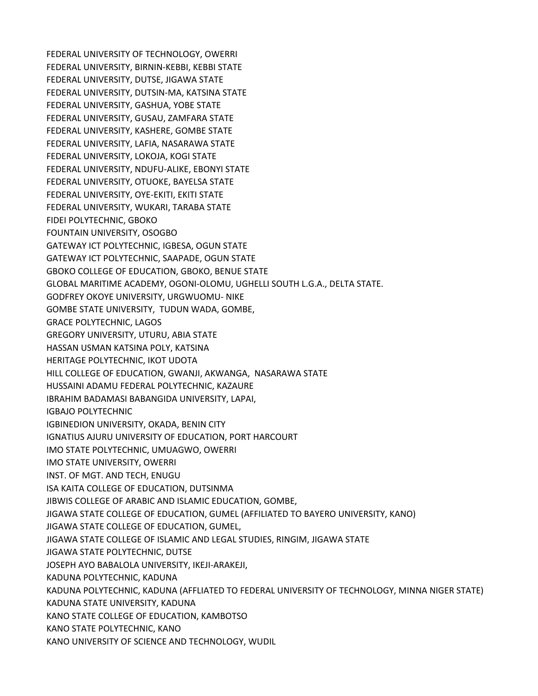FEDERAL UNIVERSITY OF TECHNOLOGY, OWERRI FEDERAL UNIVERSITY, BIRNIN-KEBBI, KEBBI STATE FEDERAL UNIVERSITY, DUTSE, JIGAWA STATE FEDERAL UNIVERSITY, DUTSIN-MA, KATSINA STATE FEDERAL UNIVERSITY, GASHUA, YOBE STATE FEDERAL UNIVERSITY, GUSAU, ZAMFARA STATE FEDERAL UNIVERSITY, KASHERE, GOMBE STATE FEDERAL UNIVERSITY, LAFIA, NASARAWA STATE FEDERAL UNIVERSITY, LOKOJA, KOGI STATE FEDERAL UNIVERSITY, NDUFU-ALIKE, EBONYI STATE FEDERAL UNIVERSITY, OTUOKE, BAYELSA STATE FEDERAL UNIVERSITY, OYE-EKITI, EKITI STATE FEDERAL UNIVERSITY, WUKARI, TARABA STATE FIDEI POLYTECHNIC, GBOKO FOUNTAIN UNIVERSITY, OSOGBO GATEWAY ICT POLYTECHNIC, IGBESA, OGUN STATE GATEWAY ICT POLYTECHNIC, SAAPADE, OGUN STATE GBOKO COLLEGE OF EDUCATION, GBOKO, BENUE STATE GLOBAL MARITIME ACADEMY, OGONI-OLOMU, UGHELLI SOUTH L.G.A., DELTA STATE. GODFREY OKOYE UNIVERSITY, URGWUOMU- NIKE GOMBE STATE UNIVERSITY, TUDUN WADA, GOMBE, GRACE POLYTECHNIC, LAGOS GREGORY UNIVERSITY, UTURU, ABIA STATE HASSAN USMAN KATSINA POLY, KATSINA HERITAGE POLYTECHNIC, IKOT UDOTA HILL COLLEGE OF EDUCATION, GWANJI, AKWANGA, NASARAWA STATE HUSSAINI ADAMU FEDERAL POLYTECHNIC, KAZAURE IBRAHIM BADAMASI BABANGIDA UNIVERSITY, LAPAI, IGBAJO POLYTECHNIC IGBINEDION UNIVERSITY, OKADA, BENIN CITY IGNATIUS AJURU UNIVERSITY OF EDUCATION, PORT HARCOURT IMO STATE POLYTECHNIC, UMUAGWO, OWERRI IMO STATE UNIVERSITY, OWERRI INST. OF MGT. AND TECH, ENUGU ISA KAITA COLLEGE OF EDUCATION, DUTSINMA JIBWIS COLLEGE OF ARABIC AND ISLAMIC EDUCATION, GOMBE, JIGAWA STATE COLLEGE OF EDUCATION, GUMEL (AFFILIATED TO BAYERO UNIVERSITY, KANO) JIGAWA STATE COLLEGE OF EDUCATION, GUMEL, JIGAWA STATE COLLEGE OF ISLAMIC AND LEGAL STUDIES, RINGIM, JIGAWA STATE JIGAWA STATE POLYTECHNIC, DUTSE JOSEPH AYO BABALOLA UNIVERSITY, IKEJI-ARAKEJI, KADUNA POLYTECHNIC, KADUNA KADUNA POLYTECHNIC, KADUNA (AFFLIATED TO FEDERAL UNIVERSITY OF TECHNOLOGY, MINNA NIGER STATE) KADUNA STATE UNIVERSITY, KADUNA KANO STATE COLLEGE OF EDUCATION, KAMBOTSO KANO STATE POLYTECHNIC, KANO KANO UNIVERSITY OF SCIENCE AND TECHNOLOGY, WUDIL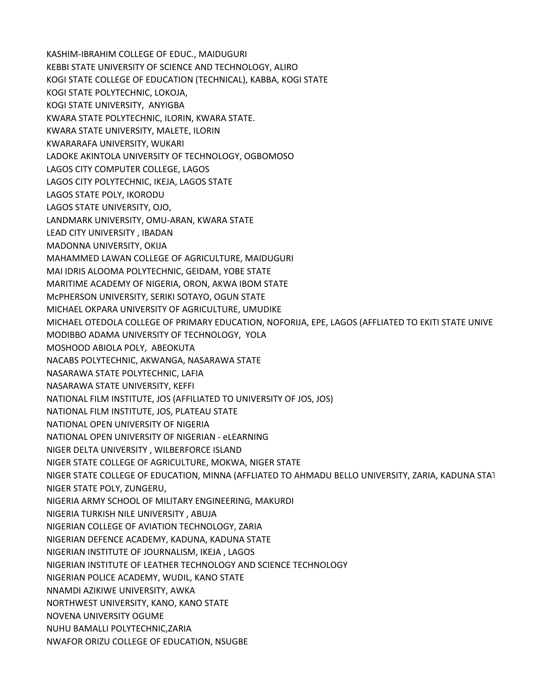KASHIM-IBRAHIM COLLEGE OF EDUC., MAIDUGURI KEBBI STATE UNIVERSITY OF SCIENCE AND TECHNOLOGY, ALIRO KOGI STATE COLLEGE OF EDUCATION (TECHNICAL), KABBA, KOGI STATE KOGI STATE POLYTECHNIC, LOKOJA, KOGI STATE UNIVERSITY, ANYIGBA KWARA STATE POLYTECHNIC, ILORIN, KWARA STATE. KWARA STATE UNIVERSITY, MALETE, ILORIN KWARARAFA UNIVERSITY, WUKARI LADOKE AKINTOLA UNIVERSITY OF TECHNOLOGY, OGBOMOSO LAGOS CITY COMPUTER COLLEGE, LAGOS LAGOS CITY POLYTECHNIC, IKEJA, LAGOS STATE LAGOS STATE POLY, IKORODU LAGOS STATE UNIVERSITY, OJO, LANDMARK UNIVERSITY, OMU-ARAN, KWARA STATE LEAD CITY UNIVERSITY , IBADAN MADONNA UNIVERSITY, OKIJA MAHAMMED LAWAN COLLEGE OF AGRICULTURE, MAIDUGURI MAI IDRIS ALOOMA POLYTECHNIC, GEIDAM, YOBE STATE MARITIME ACADEMY OF NIGERIA, ORON, AKWA IBOM STATE McPHERSON UNIVERSITY, SERIKI SOTAYO, OGUN STATE MICHAEL OKPARA UNIVERSITY OF AGRICULTURE, UMUDIKE MICHAEL OTEDOLA COLLEGE OF PRIMARY EDUCATION, NOFORIJA, EPE, LAGOS (AFFLIATED TO EKITI STATE UNIVE MODIBBO ADAMA UNIVERSITY OF TECHNOLOGY, YOLA MOSHOOD ABIOLA POLY, ABEOKUTA NACABS POLYTECHNIC, AKWANGA, NASARAWA STATE NASARAWA STATE POLYTECHNIC, LAFIA NASARAWA STATE UNIVERSITY, KEFFI NATIONAL FILM INSTITUTE, JOS (AFFILIATED TO UNIVERSITY OF JOS, JOS) NATIONAL FILM INSTITUTE, JOS, PLATEAU STATE NATIONAL OPEN UNIVERSITY OF NIGERIA NATIONAL OPEN UNIVERSITY OF NIGERIAN - eLEARNING NIGER DELTA UNIVERSITY , WILBERFORCE ISLAND NIGER STATE COLLEGE OF AGRICULTURE, MOKWA, NIGER STATE NIGER STATE COLLEGE OF EDUCATION, MINNA (AFFLIATED TO AHMADU BELLO UNIVERSITY, ZARIA, KADUNA STATE.) NIGER STATE POLY, ZUNGERU, NIGERIA ARMY SCHOOL OF MILITARY ENGINEERING, MAKURDI NIGERIA TURKISH NILE UNIVERSITY , ABUJA NIGERIAN COLLEGE OF AVIATION TECHNOLOGY, ZARIA NIGERIAN DEFENCE ACADEMY, KADUNA, KADUNA STATE NIGERIAN INSTITUTE OF JOURNALISM, IKEJA , LAGOS NIGERIAN INSTITUTE OF LEATHER TECHNOLOGY AND SCIENCE TECHNOLOGY NIGERIAN POLICE ACADEMY, WUDIL, KANO STATE NNAMDI AZIKIWE UNIVERSITY, AWKA NORTHWEST UNIVERSITY, KANO, KANO STATE NOVENA UNIVERSITY OGUME NUHU BAMALLI POLYTECHNIC,ZARIA NWAFOR ORIZU COLLEGE OF EDUCATION, NSUGBE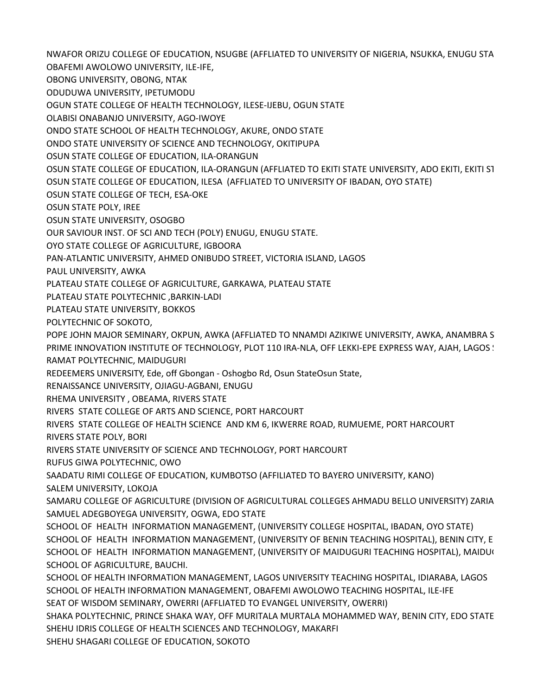NWAFOR ORIZU COLLEGE OF EDUCATION, NSUGBE (AFFLIATED TO UNIVERSITY OF NIGERIA, NSUKKA, ENUGU STATE)

OBAFEMI AWOLOWO UNIVERSITY, ILE-IFE,

OBONG UNIVERSITY, OBONG, NTAK

ODUDUWA UNIVERSITY, IPETUMODU

OGUN STATE COLLEGE OF HEALTH TECHNOLOGY, ILESE-IJEBU, OGUN STATE

OLABISI ONABANJO UNIVERSITY, AGO-IWOYE

ONDO STATE SCHOOL OF HEALTH TECHNOLOGY, AKURE, ONDO STATE

ONDO STATE UNIVERSITY OF SCIENCE AND TECHNOLOGY, OKITIPUPA

OSUN STATE COLLEGE OF EDUCATION, ILA-ORANGUN

OSUN STATE COLLEGE OF EDUCATION, ILA-ORANGUN (AFFLIATED TO EKITI STATE UNIVERSITY, ADO EKITI, EKITI ST

OSUN STATE COLLEGE OF EDUCATION, ILESA (AFFLIATED TO UNIVERSITY OF IBADAN, OYO STATE)

OSUN STATE COLLEGE OF TECH, ESA-OKE

OSUN STATE POLY, IREE

OSUN STATE UNIVERSITY, OSOGBO

OUR SAVIOUR INST. OF SCI AND TECH (POLY) ENUGU, ENUGU STATE.

OYO STATE COLLEGE OF AGRICULTURE, IGBOORA

PAN-ATLANTIC UNIVERSITY, AHMED ONIBUDO STREET, VICTORIA ISLAND, LAGOS

PAUL UNIVERSITY, AWKA

PLATEAU STATE COLLEGE OF AGRICULTURE, GARKAWA, PLATEAU STATE

PLATEAU STATE POLYTECHNIC ,BARKIN-LADI

PLATEAU STATE UNIVERSITY, BOKKOS

POLYTECHNIC OF SOKOTO,

POPE JOHN MAJOR SEMINARY, OKPUN, AWKA (AFFLIATED TO NNAMDI AZIKIWE UNIVERSITY, AWKA, ANAMBRA S PRIME INNOVATION INSTITUTE OF TECHNOLOGY, PLOT 110 IRA-NLA, OFF LEKKI-EPE EXPRESS WAY, AJAH, LAGOS !

RAMAT POLYTECHNIC, MAIDUGURI

REDEEMERS UNIVERSITY, Ede, off Gbongan - Oshogbo Rd, Osun State Osun State,

RENAISSANCE UNIVERSITY, OJIAGU-AGBANI, ENUGU

RHEMA UNIVERSITY , OBEAMA, RIVERS STATE

RIVERS STATE COLLEGE OF ARTS AND SCIENCE, PORT HARCOURT

RIVERS STATE COLLEGE OF HEALTH SCIENCE AND KM 6, IKWERRE ROAD, RUMUEME, PORT HARCOURT RIVERS STATE POLY, BORI

RIVERS STATE UNIVERSITY OF SCIENCE AND TECHNOLOGY, PORT HARCOURT

RUFUS GIWA POLYTECHNIC, OWO

SAADATU RIMI COLLEGE OF EDUCATION, KUMBOTSO (AFFILIATED TO BAYERO UNIVERSITY, KANO) SALEM UNIVERSITY, LOKOJA

SAMARU COLLEGE OF AGRICULTURE (DIVISION OF AGRICULTURAL COLLEGES AHMADU BELLO UNIVERSITY) ZARIA SAMUEL ADEGBOYEGA UNIVERSITY, OGWA, EDO STATE

SCHOOL OF HEALTH INFORMATION MANAGEMENT, (UNIVERSITY COLLEGE HOSPITAL, IBADAN, OYO STATE) SCHOOL OF HEALTH INFORMATION MANAGEMENT, (UNIVERSITY OF BENIN TEACHING HOSPITAL), BENIN CITY, E SCHOOL OF HEALTH INFORMATION MANAGEMENT, (UNIVERSITY OF MAIDUGURI TEACHING HOSPITAL), MAIDUG SCHOOL OF AGRICULTURE, BAUCHI.

SCHOOL OF HEALTH INFORMATION MANAGEMENT, LAGOS UNIVERSITY TEACHING HOSPITAL, IDIARABA, LAGOS SCHOOL OF HEALTH INFORMATION MANAGEMENT, OBAFEMI AWOLOWO TEACHING HOSPITAL, ILE-IFE SEAT OF WISDOM SEMINARY, OWERRI (AFFLIATED TO EVANGEL UNIVERSITY, OWERRI)

SHAKA POLYTECHNIC, PRINCE SHAKA WAY, OFF MURITALA MURTALA MOHAMMED WAY, BENIN CITY, EDO STATE SHEHU IDRIS COLLEGE OF HEALTH SCIENCES AND TECHNOLOGY, MAKARFI

SHEHU SHAGARI COLLEGE OF EDUCATION, SOKOTO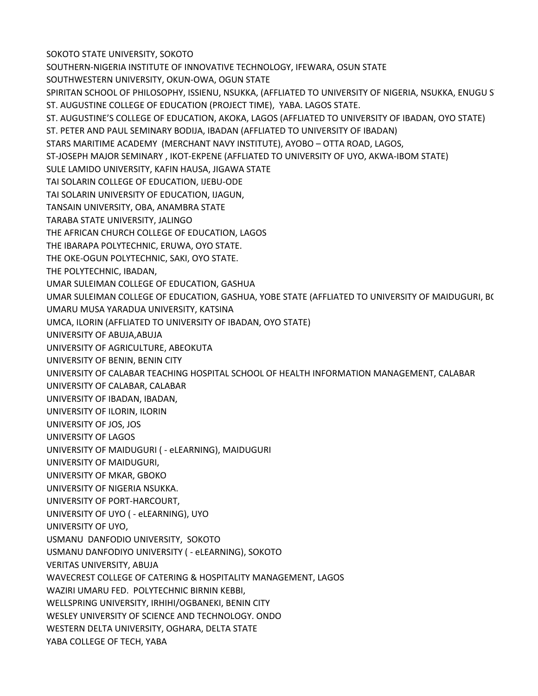SOKOTO STATE UNIVERSITY, SOKOTO SOUTHERN-NIGERIA INSTITUTE OF INNOVATIVE TECHNOLOGY, IFEWARA, OSUN STATE SOUTHWESTERN UNIVERSITY, OKUN-OWA, OGUN STATE SPIRITAN SCHOOL OF PHILOSOPHY, ISSIENU, NSUKKA, (AFFLIATED TO UNIVERSITY OF NIGERIA, NSUKKA, ENUGU ST ST. AUGUSTINE COLLEGE OF EDUCATION (PROJECT TIME), YABA. LAGOS STATE. ST. AUGUSTINE'S COLLEGE OF EDUCATION, AKOKA, LAGOS (AFFLIATED TO UNIVERSITY OF IBADAN, OYO STATE) ST. PETER AND PAUL SEMINARY BODIJA, IBADAN (AFFLIATED TO UNIVERSITY OF IBADAN) STARS MARITIME ACADEMY (MERCHANT NAVY INSTITUTE), AYOBO – OTTA ROAD, LAGOS, ST-JOSEPH MAJOR SEMINARY , IKOT-EKPENE (AFFLIATED TO UNIVERSITY OF UYO, AKWA-IBOM STATE) SULE LAMIDO UNIVERSITY, KAFIN HAUSA, JIGAWA STATE TAI SOLARIN COLLEGE OF EDUCATION, IJEBU-ODE TAI SOLARIN UNIVERSITY OF EDUCATION, IJAGUN, TANSAIN UNIVERSITY, OBA, ANAMBRA STATE TARABA STATE UNIVERSITY, JALINGO THE AFRICAN CHURCH COLLEGE OF EDUCATION, LAGOS THE IBARAPA POLYTECHNIC, ERUWA, OYO STATE. THE OKE-OGUN POLYTECHNIC, SAKI, OYO STATE. THE POLYTECHNIC, IBADAN, UMAR SULEIMAN COLLEGE OF EDUCATION, GASHUA UMAR SULEIMAN COLLEGE OF EDUCATION, GASHUA, YOBE STATE (AFFLIATED TO UNIVERSITY OF MAIDUGURI, B( UMARU MUSA YARADUA UNIVERSITY, KATSINA UMCA, ILORIN (AFFLIATED TO UNIVERSITY OF IBADAN, OYO STATE) UNIVERSITY OF ABUJA,ABUJA UNIVERSITY OF AGRICULTURE, ABEOKUTA UNIVERSITY OF BENIN, BENIN CITY UNIVERSITY OF CALABAR TEACHING HOSPITAL SCHOOL OF HEALTH INFORMATION MANAGEMENT, CALABAR UNIVERSITY OF CALABAR, CALABAR UNIVERSITY OF IBADAN, IBADAN, UNIVERSITY OF ILORIN, ILORIN UNIVERSITY OF JOS, JOS UNIVERSITY OF LAGOS UNIVERSITY OF MAIDUGURI ( - eLEARNING), MAIDUGURI UNIVERSITY OF MAIDUGURI, UNIVERSITY OF MKAR, GBOKO UNIVERSITY OF NIGERIA NSUKKA. UNIVERSITY OF PORT-HARCOURT, UNIVERSITY OF UYO ( - eLEARNING), UYO UNIVERSITY OF UYO, USMANU DANFODIO UNIVERSITY, SOKOTO USMANU DANFODIYO UNIVERSITY ( - eLEARNING), SOKOTO VERITAS UNIVERSITY, ABUJA WAVECREST COLLEGE OF CATERING & HOSPITALITY MANAGEMENT, LAGOS WAZIRI UMARU FED. POLYTECHNIC BIRNIN KEBBI, WELLSPRING UNIVERSITY, IRHIHI/OGBANEKI, BENIN CITY WESLEY UNIVERSITY OF SCIENCE AND TECHNOLOGY. ONDO WESTERN DELTA UNIVERSITY, OGHARA, DELTA STATE YABA COLLEGE OF TECH, YABA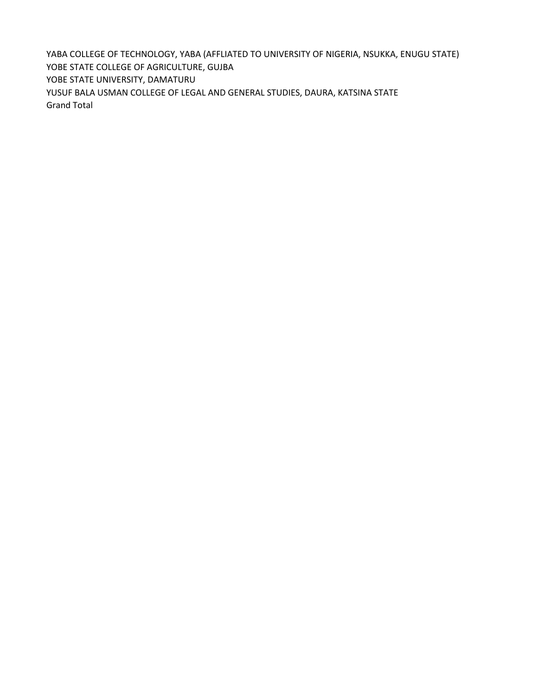YABA COLLEGE OF TECHNOLOGY, YABA (AFFLIATED TO UNIVERSITY OF NIGERIA, NSUKKA, ENUGU STATE) YOBE STATE COLLEGE OF AGRICULTURE, GUJBA YOBE STATE UNIVERSITY, DAMATURU YUSUF BALA USMAN COLLEGE OF LEGAL AND GENERAL STUDIES, DAURA, KATSINA STATE Grand Total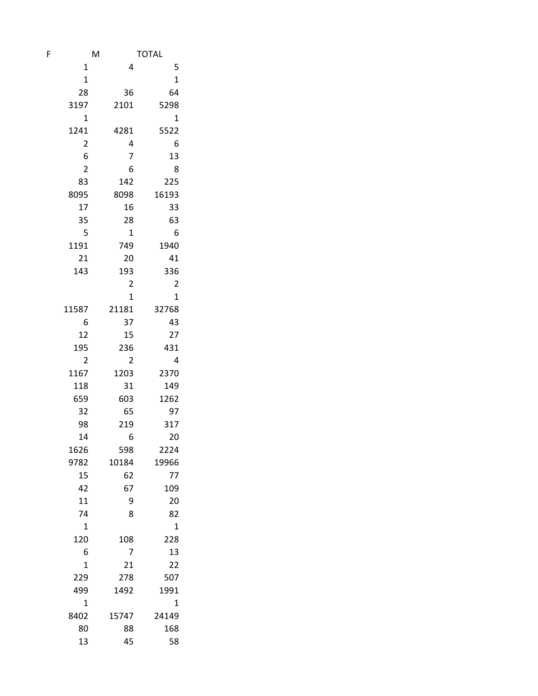| F | M              |                | <b>TOTAL</b>            |
|---|----------------|----------------|-------------------------|
|   | $\mathbf{1}$   | 4              | 5                       |
|   | $\mathbf 1$    |                | $\mathbf{1}$            |
|   | 28             | 36             | 64                      |
|   | 3197           | 2101           | 5298                    |
|   | $\mathbf 1$    |                | $\mathbf 1$             |
|   | 1241           | 4281           | 5522                    |
|   | $\overline{2}$ | 4              | 6                       |
|   | 6              | 7              | 13                      |
|   | 2              | 6              | 8                       |
|   | 83             | 142            | 225                     |
|   | 8095           | 8098           | 16193                   |
|   | 17             | 16             | 33                      |
|   | 35             | 28             | 63                      |
|   | 5              | $\mathbf{1}$   | 6                       |
|   | 1191           | 749            | 1940                    |
|   | 21             | 20             | 41                      |
|   | 143            | 193            | 336                     |
|   |                | $\overline{c}$ | $\overline{\mathbf{c}}$ |
|   |                | $\overline{1}$ | $\mathbf 1$             |
|   | 11587          | 21181          | 32768                   |
|   | 6              | 37             | 43                      |
|   | 12             | 15             | 27                      |
|   | 195            | 236            | 431                     |
|   | 2              | 2              | 4                       |
|   | 1167           | 1203           | 2370                    |
|   | 118            | 31             | 149                     |
|   | 659            | 603            | 1262                    |
|   | 32             | 65             | 97                      |
|   | 98             | 219            | 317                     |
|   | 14             | 6              | 20                      |
|   | 1626           | 598            | 2224                    |
|   | 9782           | 10184          | 19966                   |
|   | 15             | 62             | 77                      |
|   | 42             | 67             | 109                     |
|   | 11             | 9              | 20                      |
|   | 74             | 8              | 82                      |
|   | 1              |                | 1                       |
|   | 120            | 108            | 228                     |
|   | 6              | 7              | 13                      |
|   | $\mathbf 1$    | 21             | 22                      |
|   | 229            | 278            | 507                     |
|   | 499            | 1492           | 1991                    |
|   | $\mathbf 1$    |                | $\mathbf 1$             |
|   | 8402           | 15747          | 24149                   |
|   | 80             | 88             | 168                     |
|   | 13             | 45             | 58                      |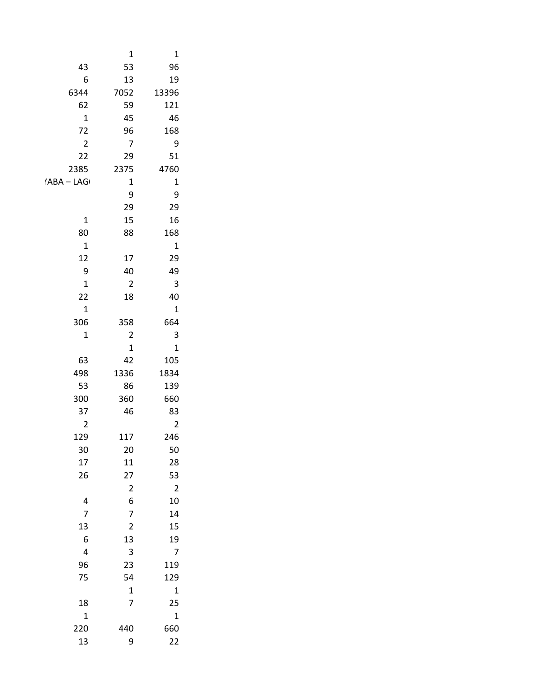| $\mathbf{1}$                                 | $\mathbf{1}$                                |                                        |
|----------------------------------------------|---------------------------------------------|----------------------------------------|
| 96                                           | 53                                          | 43                                     |
| 19                                           | $13\,$                                      | $\boldsymbol{6}$                       |
| 13396                                        | 7052                                        | 6344                                   |
| 121                                          | 59                                          | 62                                     |
| $\sqrt{46}$                                  | $45\,$                                      | $\mathbf 1$                            |
| 168                                          | 96                                          | $72\,$                                 |
| $\overline{9}$                               | $\overline{7}$                              | $\overline{2}$                         |
| 51                                           | $29\,$                                      | $22\,$                                 |
| 4760                                         | 2375                                        | 2385                                   |
| $\mathbf{1}$                                 | $\mathbf 1$                                 | $\mathsf{YABA}-\mathsf{LAG}$           |
| $\overline{9}$                               | $\boldsymbol{9}$                            |                                        |
| 29                                           | 29                                          |                                        |
| $16\,$                                       | $15\,$                                      | $\mathbf 1$                            |
| 168                                          | 88                                          | $80\,$                                 |
| $\mathbf{1}$                                 |                                             | $\mathbf 1$                            |
| 29                                           | $17\,$                                      | $12\,$                                 |
| 49                                           | $40\,$                                      | $\boldsymbol{9}$                       |
| $\overline{3}$                               | $\sqrt{2}$                                  | $\mathbf{1}$                           |
| $40\,$                                       | $18\,$                                      | $22\,$                                 |
| $\mathbf 1$                                  |                                             | $\mathbf 1$                            |
| 664                                          | 358                                         | 306                                    |
| $\overline{\mathbf{3}}$                      | $\overline{2}$                              | $\mathbf{1}$                           |
| $\mathbf 1$                                  | $\mathbf 1$                                 |                                        |
| 105                                          | 42                                          | 63                                     |
| 1834                                         | 1336                                        | 498                                    |
| 139                                          | 86                                          | 53                                     |
| 660                                          | 360                                         | 300                                    |
| 83                                           | $\bf 46$                                    | $37\,$                                 |
| $\overline{2}$                               |                                             | $\overline{2}$                         |
| 246                                          | 117                                         | 129                                    |
| ${\bf 50}$<br>28                             | $20\,$<br>${\bf 11}$                        | $30\,$<br>17                           |
|                                              |                                             | $26\,$                                 |
| $\begin{array}{c} 53 \\ 2 \\ 10 \end{array}$ | $\begin{array}{c} 27 \\ 2 \\ 6 \end{array}$ |                                        |
|                                              |                                             |                                        |
| 14                                           | $\overline{7}$                              | $\frac{4}{7}$                          |
| 15                                           | $\overline{2}$                              |                                        |
| 19                                           | 13                                          | $\begin{array}{c} 13 \\ 6 \end{array}$ |
| $\overline{7}$                               |                                             | $\overline{\mathbf{4}}$                |
| 119                                          | $\frac{3}{23}$                              | 96                                     |
| 129                                          | 54                                          | 75                                     |
|                                              |                                             |                                        |
| $\begin{array}{c} 1 \\ 25 \end{array}$       | $\frac{1}{7}$                               |                                        |
| $\mathbf{1}$                                 |                                             | $\begin{array}{c} 18 \\ 1 \end{array}$ |
| 660                                          | 440                                         | 220                                    |
| $22$                                         | $\boldsymbol{9}$                            | 13                                     |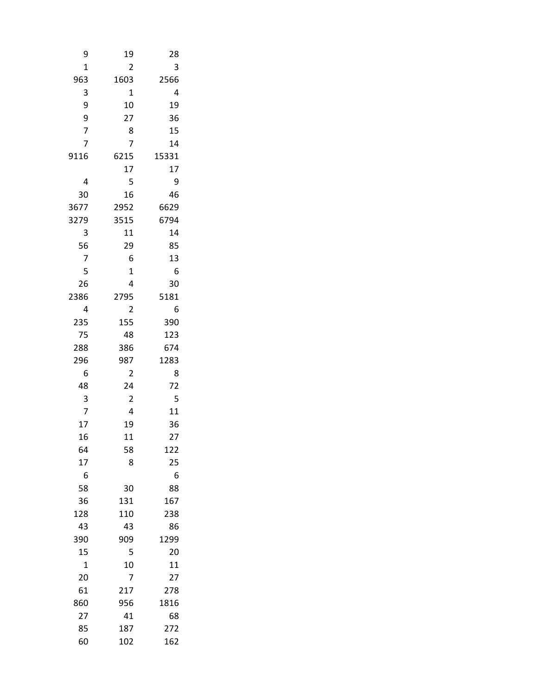| 9              | 19             | 28       |
|----------------|----------------|----------|
| 1              | $\overline{2}$ | 3        |
| 963            | 1603           | 2566     |
| 3              | 1              | 4        |
| 9              | 10             | 19       |
|                | 27             | 36       |
| 9<br>7         | 8              | 15       |
| $\overline{7}$ | $\overline{7}$ | 14       |
| 9116           | 6215           | 15331    |
|                | 17             | 17       |
| 4              | 5              | 9        |
| 30             | 16             | 46       |
| 3677           | 2952           | 6629     |
| 3279           | 3515           | 6794     |
| 3              | 11             | 14       |
| 56             | 29             | 85       |
| 7              | 6              | 13       |
| 5              | 1              | 6        |
| 26             | 4              | 30       |
| 2386           | 2795           | 5181     |
| 4              | 2              | 6        |
| 235            | 155            | 390      |
| 75             | 48             | 123      |
| 288            | 386            | 674      |
| 296            | 987            | 1283     |
| 6              | 2              | 8        |
| 48             | 24             | 72       |
| 3              | $\overline{c}$ | 5        |
| 7              | 4              | 11       |
| 17             | 19             | 36       |
| 16             | 11             | 27       |
| 64             | 58             | 122      |
| 17             | 8              | 25       |
| 6              |                | 6        |
| 58             | 30             | 88       |
| 36             | 131            | 167      |
| 128            | 110            | 238      |
| 43             | 43             | 86       |
| 390            | 909            | 1299     |
| 15<br>1        | 5<br>10        | 20<br>11 |
| 20             | 7              | 27       |
| 61             | 217            | 278      |
| 860            | 956            | 1816     |
| 27             | 41             | 68       |
| 85             | 187            | 272      |
| 60             | 102            | 162      |
|                |                |          |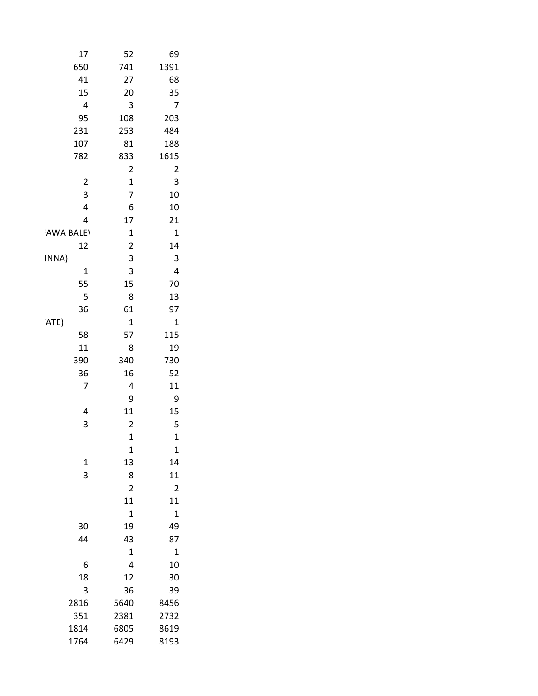| $17\,$                  | 52                            | 69                         |
|-------------------------|-------------------------------|----------------------------|
| 650                     | 741                           | 1391                       |
| $41\,$                  | 27                            | 68                         |
| 15                      | $20\,$                        | $35\,$                     |
| $\pmb{4}$               | $\mathsf 3$                   | $\overline{7}$             |
| 95                      | 108                           | 203                        |
| 231                     | 253                           | 484                        |
| 107                     | ${\bf 81}$                    | 188                        |
| 782                     | 833                           | 1615                       |
|                         | $\mathbf 2$                   | $\overline{2}$             |
| $\mathbf 2$             | $\mathbf 1$                   | $\overline{\mathbf{3}}$    |
| $\overline{\mathbf{3}}$ | $\overline{7}$                | $10\,$                     |
| $\pmb{4}$               | $\boldsymbol{6}$              | $10\,$                     |
| $\overline{\mathbf{4}}$ | 17                            | $21\,$                     |
| AWA BALEY               | $\mathbf 1$                   | $\mathbf{1}$               |
| 12                      | $\mathbf 2$                   | $14\,$                     |
| INNA)                   | $\mathsf{3}$                  | $\overline{\mathbf{3}}$    |
| $\mathbf 1$             | $\overline{\mathbf{3}}$       | $\pmb{4}$                  |
| 55                      | 15                            | $70\,$                     |
| $\overline{\mathbf{5}}$ | $\bf 8$                       | 13                         |
| 36                      | 61                            | 97                         |
| 'ATE)                   | $\mathbf 1$                   | $\mathbf 1$                |
| 58                      | 57                            | $115\,$                    |
| $11\,$                  | $\bf 8$                       | 19                         |
| 390                     | 340                           | 730                        |
| 36                      | 16                            | 52                         |
| $\overline{7}$          | $\pmb{4}$<br>$\boldsymbol{9}$ | $11\,$<br>$\boldsymbol{9}$ |
| $\overline{4}$          | ${\bf 11}$                    |                            |
| 3                       | $\mathbf 2$                   | $15\,$<br>5                |
|                         | $\mathbf 1$                   | $\mathbf 1$                |
|                         | $\mathbf 1$                   | $\mathbf 1$                |
| $\mathbf{1}$            | $13\,$                        | ${\bf 14}$                 |
| $\mathbf{3}$            | $\bf 8$                       | $11\,$                     |
|                         | $\mathbf 2$                   | $\mathbf 2$                |
|                         | ${\bf 11}$                    | ${\bf 11}$                 |
|                         | $\mathbf 1$                   | $\mathbf 1$                |
| $30\,$                  | 19                            | 49                         |
| $44\,$                  | 43                            | $87\,$                     |
|                         | $\mathbf 1$                   | $\mathbf 1$                |
| $\boldsymbol{6}$        | $\overline{\mathbf{4}}$       | $10\,$                     |
| 18                      | $12\,$                        | $30\,$                     |
| $\mathbf{3}$            | 36                            | 39                         |
| 2816                    | 5640                          | 8456                       |
| 351                     | 2381                          | 2732                       |
| 1814                    | 6805                          | 8619                       |
| 1764                    | 6429                          | 8193                       |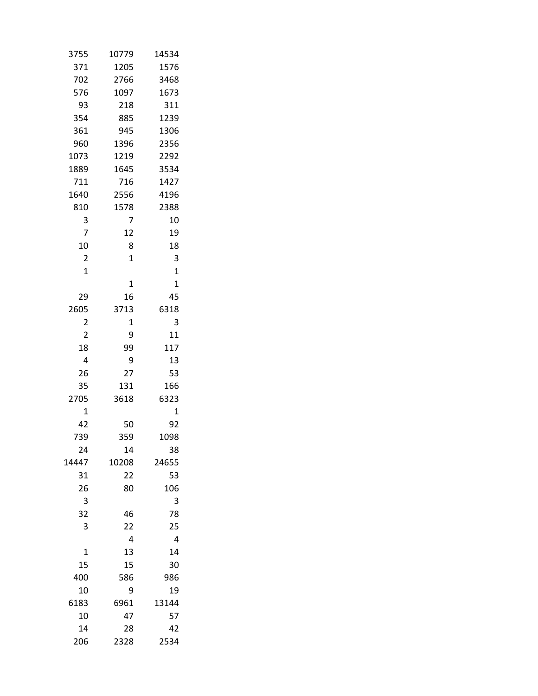| 3755           | 10779        | 14534        |
|----------------|--------------|--------------|
| 371            | 1205         | 1576         |
| 702            | 2766         | 3468         |
| 576            | 1097         | 1673         |
| 93             | 218          | 311          |
| 354            | 885          | 1239         |
| 361            | 945          | 1306         |
| 960            | 1396         | 2356         |
| 1073           | 1219         | 2292         |
| 1889           | 1645         | 3534         |
| 711            | 716          | 1427         |
| 1640           | 2556         | 4196         |
| 810            | 1578         | 2388         |
| 3              | 7            | 10           |
| 7              | 12           | 19           |
| 10             | 8            | 18           |
| $\overline{2}$ | $\mathbf{1}$ | 3            |
| $\mathbf 1$    |              | $\mathbf{1}$ |
|                | $\mathbf 1$  | $\mathbf 1$  |
| 29             | 16           | 45           |
| 2605           | 3713         | 6318         |
| 2              | 1            | 3            |
| $\overline{2}$ | 9            | 11           |
| 18             | 99           | 117          |
| 4              | 9            | 13           |
| 26             | 27           | 53           |
| 35             | 131          | 166          |
| 2705           | 3618         | 6323         |
| $\mathbf 1$    |              | $\mathbf{1}$ |
| 42             | 50           | 92           |
| 739            | 359          | 1098         |
| 24             | 14           | 38           |
| 14447          | 10208        | 24655        |
| 31             | 22           | 53           |
| 26             | 80           | 106          |
| 3              |              | 3            |
| 32             | 46           | 78           |
| 3              | 22           | 25           |
|                | 4            | 4            |
| 1              | 13           | 14           |
| 15             | 15           | 30           |
| 400            | 586          | 986          |
| 10             | 9            | 19           |
| 6183           | 6961         | 13144        |
| 10             | 47           | 57           |
| 14             | 28           | 42           |
| 206            | 2328         | 2534         |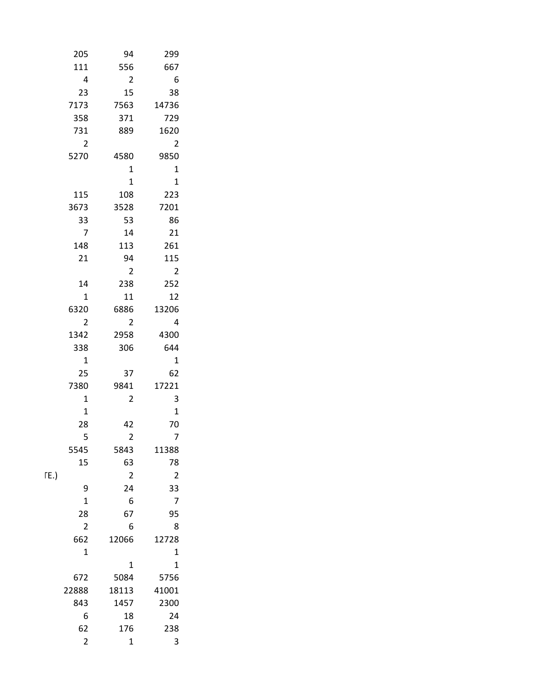| 205                    | 94                    | 299                      |
|------------------------|-----------------------|--------------------------|
| 111                    | 556                   | 667                      |
| $\pmb{4}$              | $\overline{2}$        | $6\overline{6}$          |
| 23                     | 15                    | $38\,$                   |
| 7173                   | 7563                  | 14736                    |
| 358                    | 371                   | 729                      |
| 731                    | 889                   | 1620                     |
| $\overline{2}$         |                       | $\overline{\phantom{a}}$ |
| 5270                   | 4580                  | 9850                     |
|                        | $\mathbf 1$           | $\overline{\mathbf{1}}$  |
|                        | $\mathbf 1$           | $\overline{\mathbf{1}}$  |
| 115                    | 108                   | 223                      |
| 3673                   | 3528                  | 7201                     |
| 33                     | 53                    | 86                       |
| $\overline{7}$         | $14\,$                | $21\,$                   |
| 148                    | 113                   | 261                      |
| $21\,$                 | 94                    | $115\,$                  |
|                        | $\overline{2}$<br>238 | $\overline{\mathbf{c}}$  |
| $14\,$                 |                       | $252\,$                  |
| $\mathbf 1$            | ${\bf 11}$<br>6886    | $12\,$                   |
| 6320<br>$\overline{2}$ | $\overline{2}$        | 13206<br>$\overline{4}$  |
| 1342                   | 2958                  | 4300                     |
| 338                    | 306                   | 644                      |
| $\mathbf 1$            |                       | $\overline{\mathbf{1}}$  |
| 25                     | 37                    | 62                       |
| 7380                   | 9841                  | 17221                    |
| $\mathbf{1}$           | $\overline{2}$        | $\overline{\mathbf{3}}$  |
| $\mathbf 1$            |                       | $\mathbf{1}$             |
| ${\bf 28}$             | 42                    | $70\,$                   |
| 5                      | $\overline{2}$        | $\overline{7}$           |
| 5545                   | 5843                  | 11388                    |
| 15                     | 63                    | ${\bf 78}$               |
| $\Gamma E$ .)          | $\overline{2}$        | $\overline{\mathbf{2}}$  |
| $\mathsf 9$            | $24\,$                | 33                       |
| $\mathbf{1}$           | $\boldsymbol{6}$      | $\overline{7}$           |
| 28                     | 67                    | 95                       |
| $\overline{2}$         | 6                     | $\,$ 8 $\,$              |
| 662                    | 12066                 | 12728                    |
| $\mathbf 1$            |                       | $\mathbf{1}$             |
|                        | $\mathbf{1}$          | $\mathbf{1}$             |
| 672                    | 5084                  | 5756                     |
| 22888                  | 18113                 | 41001                    |
| 843                    | 1457                  | 2300                     |
| $\boldsymbol{6}$       | ${\bf 18}$            | 24                       |
| 62                     | 176                   | 238                      |
| $\overline{2}$         | $\mathbf 1$           | $\overline{3}$           |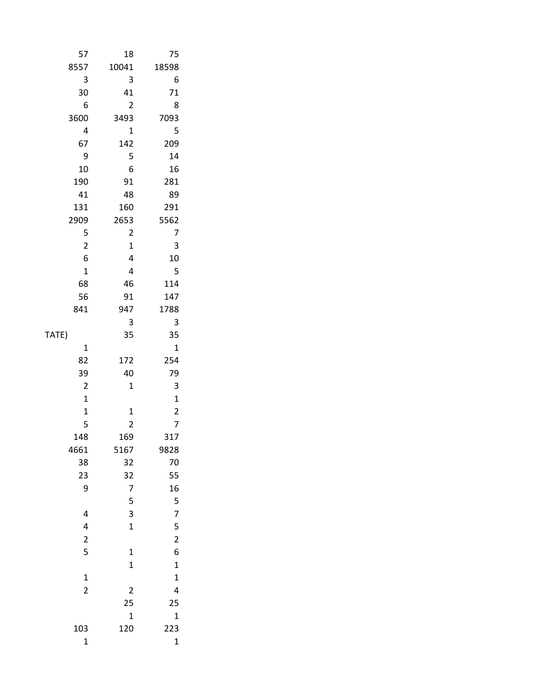|       | 57                                    | $18\,$                                | $75\,$                                          |
|-------|---------------------------------------|---------------------------------------|-------------------------------------------------|
|       | 8557                                  | 10041                                 | 18598                                           |
|       | $\overline{\mathbf{3}}$               | $\mathbf{3}$                          | $6\phantom{1}6$                                 |
|       | $30\,$                                | 41                                    | $71\,$                                          |
|       | $\boldsymbol{6}$                      | $\overline{2}$                        | $\boldsymbol{8}$                                |
|       | 3600                                  | 3493                                  | 7093                                            |
|       | $\overline{4}$                        | $\mathbf 1$                           | $\overline{\mathbf{5}}$                         |
|       | 67                                    | 142                                   | 209                                             |
|       | $\overline{9}$                        | 5                                     | 14                                              |
|       | $10\,$                                | $\boldsymbol{6}$                      | $16\,$                                          |
|       | 190                                   | 91                                    | 281                                             |
|       | 41                                    | 48                                    | 89                                              |
|       | 131                                   | 160                                   | 291                                             |
|       | 2909                                  | 2653                                  | 5562                                            |
|       | $\overline{\mathbf{5}}$               | $\overline{2}$                        | $\overline{7}$                                  |
|       | $\overline{2}$                        | $\mathbf 1$                           | $\begin{array}{c} 3 \\ 10 \end{array}$          |
|       | $\boldsymbol{6}$                      | $\overline{a}$                        |                                                 |
|       | $\mathbf 1$                           | $\overline{\mathbf{4}}$               | $\overline{\mathbf{5}}$                         |
|       | 68                                    | $\bf 46$                              | 114                                             |
|       | 56                                    | $91\,$                                | 147                                             |
|       | 841                                   | 947<br>$\mathbf{3}$                   | 1788                                            |
| TATE) |                                       | 35                                    | $\overline{\mathbf{3}}$<br>35                   |
|       | $\mathbf 1$                           |                                       | $\mathbf 1$                                     |
|       | 82                                    | 172                                   | 254                                             |
|       | 39                                    | $40\,$                                | 79                                              |
|       | $\overline{c}$                        | $\mathbf 1$                           |                                                 |
|       | $\mathbf 1$                           |                                       | $\begin{array}{c} 3 \\ 1 \\ 2 \\ 7 \end{array}$ |
|       | $\mathbf 1$                           | $\mathbf 1$                           |                                                 |
|       | 5                                     | $\overline{2}$                        |                                                 |
|       | 148                                   | 169                                   | 317                                             |
|       | 4661                                  | 5167                                  | 9828                                            |
|       | $38\,$                                | 32                                    | $70\,$                                          |
|       | $23\,$                                | 32                                    | 55                                              |
|       | $\overline{9}$                        | $\overline{7}$                        |                                                 |
|       |                                       | 5                                     | $\frac{16}{5}$                                  |
|       | 4                                     | $\overline{\mathbf{3}}$               | $\overline{7}$                                  |
|       | 4                                     | $\mathbf{1}$                          |                                                 |
|       | $\begin{array}{c} 2 \\ 5 \end{array}$ |                                       | $\begin{array}{c} 5 \\ 2 \\ 6 \end{array}$      |
|       |                                       | $\begin{array}{c} 1 \\ 1 \end{array}$ |                                                 |
|       |                                       |                                       | $\mathbf{1}$                                    |
|       | $\frac{1}{2}$                         |                                       | $\mathbf{1}$                                    |
|       |                                       | $\overline{\mathbf{c}}$               | $\overline{\mathbf{r}}$                         |
|       |                                       | 25                                    | $25\,$                                          |
|       |                                       | $\mathbf{1}$                          | $\mathbf{1}$                                    |
|       | 103                                   | 120                                   | 223                                             |
|       | $\mathbf{1}$                          |                                       | $\mathbf 1$                                     |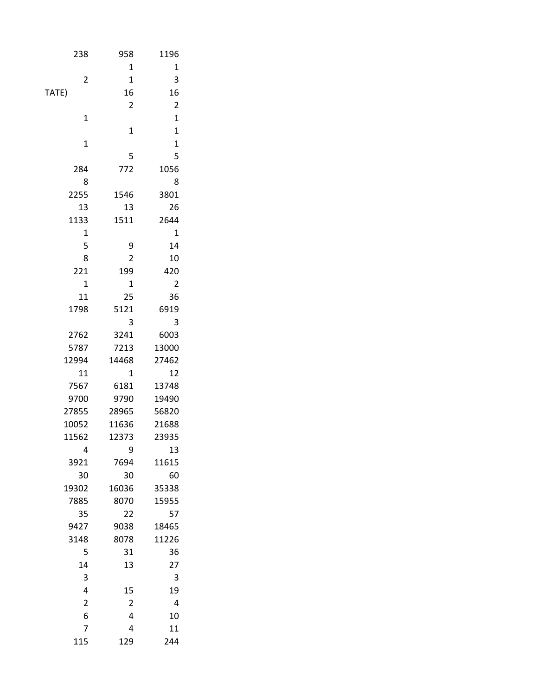| 1196                    |                         | 238                     | 958 |
|-------------------------|-------------------------|-------------------------|-----|
| $\mathbf 1$             | $\mathbf 1$             |                         |     |
| $\overline{\mathbf{3}}$ | $\mathbf 1$             | $\sqrt{2}$              |     |
| 16                      | ${\bf 16}$              | TATE)                   |     |
| $\mathbf 2$             | $\overline{2}$          |                         |     |
| $\mathbf 1$             |                         | $\mathbf 1$             |     |
| $\mathbf 1$             | $\mathbf{1}$            |                         |     |
| $\mathbf 1$             |                         | $\mathbf 1$             |     |
|                         | 5                       |                         |     |
| 1056                    | 772                     | 284                     |     |
| 8                       |                         | $\bf 8$                 |     |
| 3801                    | 1546                    | 2255                    |     |
| 26                      | $13\,$                  | $13\,$                  |     |
| 2644                    | 1511                    | 1133                    |     |
| $\mathbf{1}$            |                         | $\mathbf 1$             |     |
| 14                      | $\boldsymbol{9}$        | 5                       |     |
| $10\,$                  | $\mathbf 2$             | 8                       |     |
| 420                     | 199                     | 221                     |     |
| $\overline{2}$          | $\mathbf 1$             | $\mathbf 1$             |     |
| 36                      | $25\,$                  | $11\,$                  |     |
| 6919                    | 5121                    | 1798                    |     |
| $\mathbf{3}$            | $\mathsf 3$             |                         |     |
| 6003                    | 3241                    | 2762                    |     |
| 13000                   | 7213                    | 5787                    |     |
| 27462                   | 14468                   | 12994                   |     |
| $12\,$                  | $\mathbf 1$             | $11\,$                  |     |
| 13748                   | 6181                    | 7567                    |     |
| 19490<br>56820          | 9790<br>28965           | 9700<br>27855           |     |
| 21688                   | 11636                   | 10052                   |     |
| 23935                   | 12373                   | 11562                   |     |
| 13                      | 9                       | $\overline{4}$          |     |
| 11615                   | 7694                    | 3921                    |     |
| $60\,$                  | $30\,$                  | $30\,$                  |     |
| 35338                   | 16036                   | 19302                   |     |
| 15955                   | 8070                    | 7885                    |     |
| 57                      | $22\,$                  | $35\,$                  |     |
| 18465                   | 9038                    | 9427                    |     |
| 11226                   | 8078                    | 3148                    |     |
| 36                      | 31                      | $\overline{5}$          |     |
| $27$                    | $13\,$                  | $14\,$                  |     |
| $\overline{3}$          |                         | $\overline{\mathbf{3}}$ |     |
| 19                      | $15\,$                  | $\overline{\mathbf{4}}$ |     |
| $\overline{4}$          | $\overline{2}$          | $\overline{2}$          |     |
| 10                      | $\pmb{4}$               | 6                       |     |
| 11                      | $\overline{\mathbf{4}}$ | $\overline{7}$          |     |
| 244                     | 129                     | 115                     |     |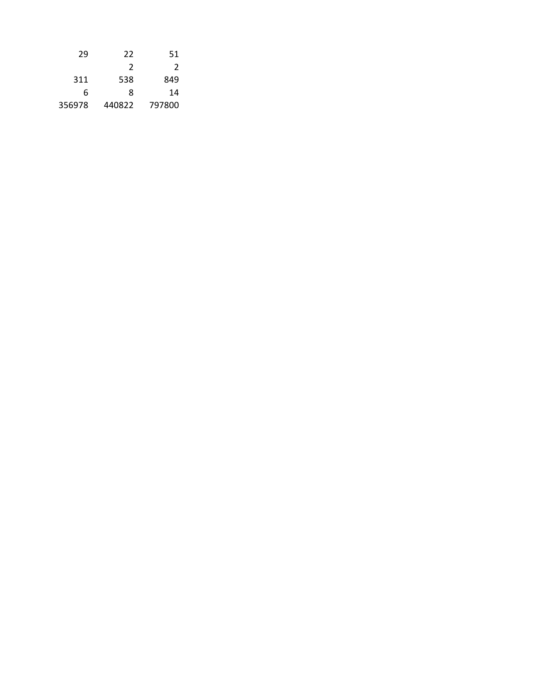| 22     | 51     |
|--------|--------|
| 2      | 2      |
| 538    | 849    |
| 8      | 14     |
| 440822 | 797800 |
|        |        |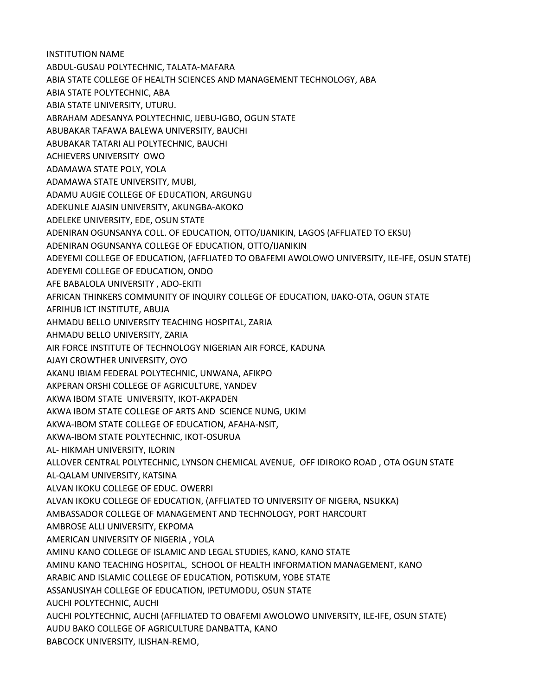INSTITUTION NAME ABDUL-GUSAU POLYTECHNIC, TALATA-MAFARA ABIA STATE COLLEGE OF HEALTH SCIENCES AND MANAGEMENT TECHNOLOGY, ABA ABIA STATE POLYTECHNIC, ABA ABIA STATE UNIVERSITY, UTURU. ABRAHAM ADESANYA POLYTECHNIC, IJEBU-IGBO, OGUN STATE ABUBAKAR TAFAWA BALEWA UNIVERSITY, BAUCHI ABUBAKAR TATARI ALI POLYTECHNIC, BAUCHI ACHIEVERS UNIVERSITY OWO ADAMAWA STATE POLY, YOLA ADAMAWA STATE UNIVERSITY, MUBI, ADAMU AUGIE COLLEGE OF EDUCATION, ARGUNGU ADEKUNLE AJASIN UNIVERSITY, AKUNGBA-AKOKO ADELEKE UNIVERSITY, EDE, OSUN STATE ADENIRAN OGUNSANYA COLL. OF EDUCATION, OTTO/IJANIKIN, LAGOS (AFFLIATED TO EKSU) ADENIRAN OGUNSANYA COLLEGE OF EDUCATION, OTTO/IJANIKIN ADEYEMI COLLEGE OF EDUCATION, (AFFLIATED TO OBAFEMI AWOLOWO UNIVERSITY, ILE-IFE, OSUN STATE) ADEYEMI COLLEGE OF EDUCATION, ONDO AFE BABALOLA UNIVERSITY , ADO-EKITI AFRICAN THINKERS COMMUNITY OF INQUIRY COLLEGE OF EDUCATION, IJAKO-OTA, OGUN STATE AFRIHUB ICT INSTITUTE, ABUJA AHMADU BELLO UNIVERSITY TEACHING HOSPITAL, ZARIA AHMADU BELLO UNIVERSITY, ZARIA AIR FORCE INSTITUTE OF TECHNOLOGY NIGERIAN AIR FORCE, KADUNA AJAYI CROWTHER UNIVERSITY, OYO AKANU IBIAM FEDERAL POLYTECHNIC, UNWANA, AFIKPO AKPERAN ORSHI COLLEGE OF AGRICULTURE, YANDEV AKWA IBOM STATE UNIVERSITY, IKOT-AKPADEN AKWA IBOM STATE COLLEGE OF ARTS AND SCIENCE NUNG, UKIM AKWA-IBOM STATE COLLEGE OF EDUCATION, AFAHA-NSIT, AKWA-IBOM STATE POLYTECHNIC, IKOT-OSURUA AL- HIKMAH UNIVERSITY, ILORIN ALLOVER CENTRAL POLYTECHNIC, LYNSON CHEMICAL AVENUE, OFF IDIROKO ROAD , OTA OGUN STATE AL-QALAM UNIVERSITY, KATSINA ALVAN IKOKU COLLEGE OF EDUC. OWERRI ALVAN IKOKU COLLEGE OF EDUCATION, (AFFLIATED TO UNIVERSITY OF NIGERA, NSUKKA) AMBASSADOR COLLEGE OF MANAGEMENT AND TECHNOLOGY, PORT HARCOURT AMBROSE ALLI UNIVERSITY, EKPOMA AMERICAN UNIVERSITY OF NIGERIA , YOLA AMINU KANO COLLEGE OF ISLAMIC AND LEGAL STUDIES, KANO, KANO STATE AMINU KANO TEACHING HOSPITAL, SCHOOL OF HEALTH INFORMATION MANAGEMENT, KANO ARABIC AND ISLAMIC COLLEGE OF EDUCATION, POTISKUM, YOBE STATE ASSANUSIYAH COLLEGE OF EDUCATION, IPETUMODU, OSUN STATE AUCHI POLYTECHNIC, AUCHI AUCHI POLYTECHNIC, AUCHI (AFFILIATED TO OBAFEMI AWOLOWO UNIVERSITY, ILE-IFE, OSUN STATE) AUDU BAKO COLLEGE OF AGRICULTURE DANBATTA, KANO BABCOCK UNIVERSITY, ILISHAN-REMO,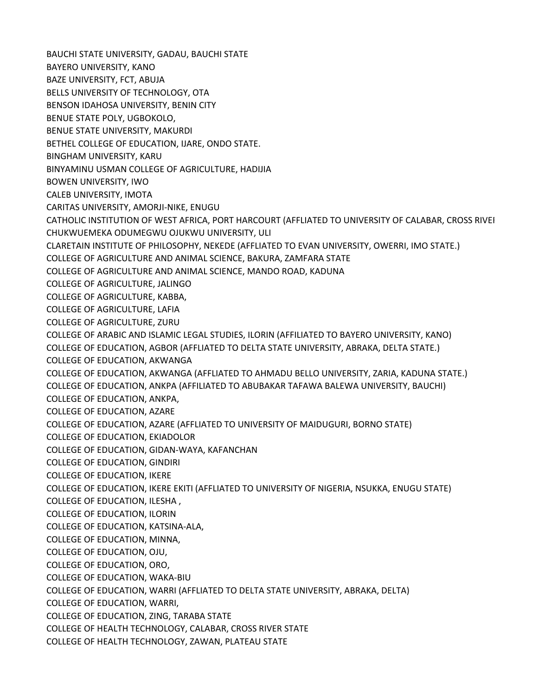BAUCHI STATE UNIVERSITY, GADAU, BAUCHI STATE BAYERO UNIVERSITY, KANO BAZE UNIVERSITY, FCT, ABUJA BELLS UNIVERSITY OF TECHNOLOGY, OTA BENSON IDAHOSA UNIVERSITY, BENIN CITY BENUE STATE POLY, UGBOKOLO, BENUE STATE UNIVERSITY, MAKURDI BETHEL COLLEGE OF EDUCATION, IJARE, ONDO STATE. BINGHAM UNIVERSITY, KARU BINYAMINU USMAN COLLEGE OF AGRICULTURE, HADIJIA BOWEN UNIVERSITY, IWO CALEB UNIVERSITY, IMOTA CARITAS UNIVERSITY, AMORJI-NIKE, ENUGU CATHOLIC INSTITUTION OF WEST AFRICA, PORT HARCOURT (AFFLIATED TO UNIVERSITY OF CALABAR, CROSS RIVEI CHUKWUEMEKA ODUMEGWU OJUKWU UNIVERSITY, ULI CLARETAIN INSTITUTE OF PHILOSOPHY, NEKEDE (AFFLIATED TO EVAN UNIVERSITY, OWERRI, IMO STATE.) COLLEGE OF AGRICULTURE AND ANIMAL SCIENCE, BAKURA, ZAMFARA STATE COLLEGE OF AGRICULTURE AND ANIMAL SCIENCE, MANDO ROAD, KADUNA COLLEGE OF AGRICULTURE, JALINGO COLLEGE OF AGRICULTURE, KABBA, COLLEGE OF AGRICULTURE, LAFIA COLLEGE OF AGRICULTURE, ZURU COLLEGE OF ARABIC AND ISLAMIC LEGAL STUDIES, ILORIN (AFFILIATED TO BAYERO UNIVERSITY, KANO) COLLEGE OF EDUCATION, AGBOR (AFFLIATED TO DELTA STATE UNIVERSITY, ABRAKA, DELTA STATE.) COLLEGE OF EDUCATION, AKWANGA COLLEGE OF EDUCATION, AKWANGA (AFFLIATED TO AHMADU BELLO UNIVERSITY, ZARIA, KADUNA STATE.) COLLEGE OF EDUCATION, ANKPA (AFFILIATED TO ABUBAKAR TAFAWA BALEWA UNIVERSITY, BAUCHI) COLLEGE OF EDUCATION, ANKPA, COLLEGE OF EDUCATION, AZARE COLLEGE OF EDUCATION, AZARE (AFFLIATED TO UNIVERSITY OF MAIDUGURI, BORNO STATE) COLLEGE OF EDUCATION, EKIADOLOR COLLEGE OF EDUCATION, GIDAN-WAYA, KAFANCHAN COLLEGE OF EDUCATION, GINDIRI COLLEGE OF EDUCATION, IKERE COLLEGE OF EDUCATION, IKERE EKITI (AFFLIATED TO UNIVERSITY OF NIGERIA, NSUKKA, ENUGU STATE) COLLEGE OF EDUCATION, ILESHA , COLLEGE OF EDUCATION, ILORIN COLLEGE OF EDUCATION, KATSINA-ALA, COLLEGE OF EDUCATION, MINNA, COLLEGE OF EDUCATION, OJU, COLLEGE OF EDUCATION, ORO, COLLEGE OF EDUCATION, WAKA-BIU COLLEGE OF EDUCATION, WARRI (AFFLIATED TO DELTA STATE UNIVERSITY, ABRAKA, DELTA) COLLEGE OF EDUCATION, WARRI, COLLEGE OF EDUCATION, ZING, TARABA STATE COLLEGE OF HEALTH TECHNOLOGY, CALABAR, CROSS RIVER STATE COLLEGE OF HEALTH TECHNOLOGY, ZAWAN, PLATEAU STATE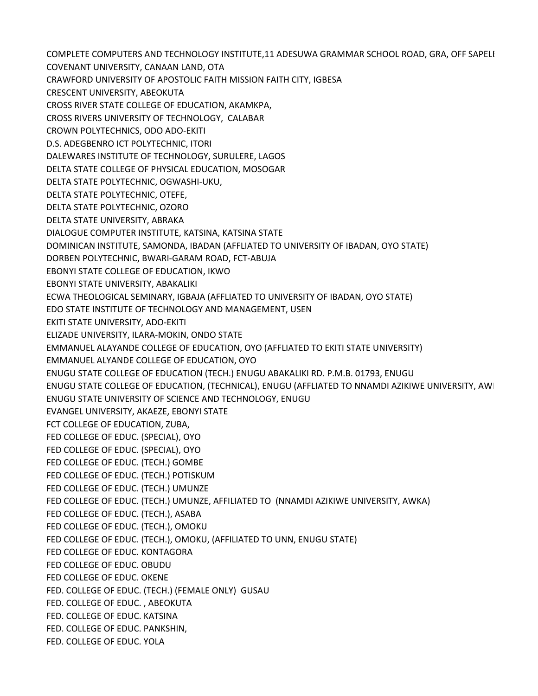COMPLETE COMPUTERS AND TECHNOLOGY INSTITUTE,11 ADESUWA GRAMMAR SCHOOL ROAD, GRA, OFF SAPELI COVENANT UNIVERSITY, CANAAN LAND, OTA CRAWFORD UNIVERSITY OF APOSTOLIC FAITH MISSION FAITH CITY, IGBESA CRESCENT UNIVERSITY, ABEOKUTA CROSS RIVER STATE COLLEGE OF EDUCATION, AKAMKPA, CROSS RIVERS UNIVERSITY OF TECHNOLOGY, CALABAR CROWN POLYTECHNICS, ODO ADO-EKITI D.S. ADEGBENRO ICT POLYTECHNIC, ITORI DALEWARES INSTITUTE OF TECHNOLOGY, SURULERE, LAGOS DELTA STATE COLLEGE OF PHYSICAL EDUCATION, MOSOGAR DELTA STATE POLYTECHNIC, OGWASHI-UKU, DELTA STATE POLYTECHNIC, OTEFE, DELTA STATE POLYTECHNIC, OZORO DELTA STATE UNIVERSITY, ABRAKA DIALOGUE COMPUTER INSTITUTE, KATSINA, KATSINA STATE DOMINICAN INSTITUTE, SAMONDA, IBADAN (AFFLIATED TO UNIVERSITY OF IBADAN, OYO STATE) DORBEN POLYTECHNIC, BWARI-GARAM ROAD, FCT-ABUJA EBONYI STATE COLLEGE OF EDUCATION, IKWO EBONYI STATE UNIVERSITY, ABAKALIKI ECWA THEOLOGICAL SEMINARY, IGBAJA (AFFLIATED TO UNIVERSITY OF IBADAN, OYO STATE) EDO STATE INSTITUTE OF TECHNOLOGY AND MANAGEMENT, USEN EKITI STATE UNIVERSITY, ADO-EKITI ELIZADE UNIVERSITY, ILARA-MOKIN, ONDO STATE EMMANUEL ALAYANDE COLLEGE OF EDUCATION, OYO (AFFLIATED TO EKITI STATE UNIVERSITY) EMMANUEL ALYANDE COLLEGE OF EDUCATION, OYO ENUGU STATE COLLEGE OF EDUCATION (TECH.) ENUGU ABAKALIKI RD. P.M.B. 01793, ENUGU ENUGU STATE COLLEGE OF EDUCATION, (TECHNICAL), ENUGU (AFFLIATED TO NNAMDI AZIKIWE UNIVERSITY, AWI ENUGU STATE UNIVERSITY OF SCIENCE AND TECHNOLOGY, ENUGU EVANGEL UNIVERSITY, AKAEZE, EBONYI STATE FCT COLLEGE OF EDUCATION, ZUBA, FED COLLEGE OF EDUC. (SPECIAL), OYO FED COLLEGE OF EDUC. (SPECIAL), OYO FED COLLEGE OF EDUC. (TECH.) GOMBE FED COLLEGE OF EDUC. (TECH.) POTISKUM FED COLLEGE OF EDUC. (TECH.) UMUNZE FED COLLEGE OF EDUC. (TECH.) UMUNZE, AFFILIATED TO (NNAMDI AZIKIWE UNIVERSITY, AWKA) FED COLLEGE OF EDUC. (TECH.), ASABA FED COLLEGE OF EDUC. (TECH.), OMOKU FED COLLEGE OF EDUC. (TECH.), OMOKU, (AFFILIATED TO UNN, ENUGU STATE) FED COLLEGE OF EDUC. KONTAGORA FED COLLEGE OF EDUC. OBUDU FED COLLEGE OF EDUC. OKENE FED. COLLEGE OF EDUC. (TECH.) (FEMALE ONLY) GUSAU FED. COLLEGE OF EDUC. , ABEOKUTA FED. COLLEGE OF EDUC. KATSINA FED. COLLEGE OF EDUC. PANKSHIN, FED. COLLEGE OF EDUC. YOLA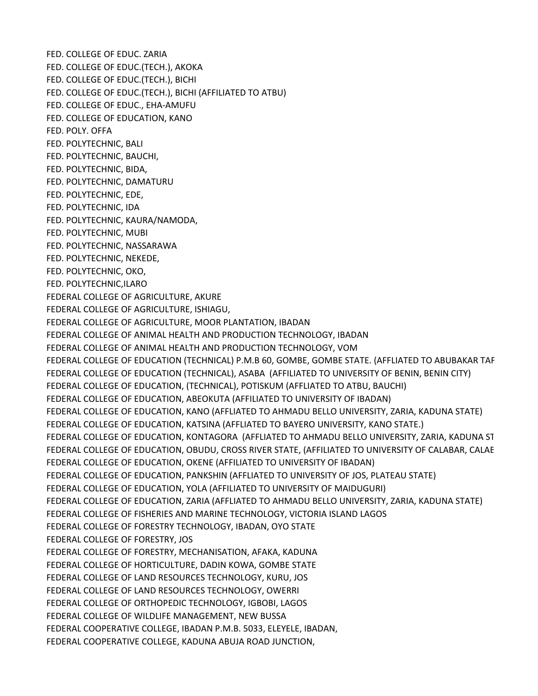FED. COLLEGE OF EDUC. ZARIA FED. COLLEGE OF EDUC.(TECH.), AKOKA FED. COLLEGE OF EDUC.(TECH.), BICHI FED. COLLEGE OF EDUC.(TECH.), BICHI (AFFILIATED TO ATBU) FED. COLLEGE OF EDUC., EHA-AMUFU FED. COLLEGE OF EDUCATION, KANO FED. POLY. OFFA FED. POLYTECHNIC, BALI FED. POLYTECHNIC, BAUCHI, FED. POLYTECHNIC, BIDA, FED. POLYTECHNIC, DAMATURU FED. POLYTECHNIC, EDE, FED. POLYTECHNIC, IDA FED. POLYTECHNIC, KAURA/NAMODA, FED. POLYTECHNIC, MUBI FED. POLYTECHNIC, NASSARAWA FED. POLYTECHNIC, NEKEDE, FED. POLYTECHNIC, OKO, FED. POLYTECHNIC,ILARO FEDERAL COLLEGE OF AGRICULTURE, AKURE FEDERAL COLLEGE OF AGRICULTURE, ISHIAGU, FEDERAL COLLEGE OF AGRICULTURE, MOOR PLANTATION, IBADAN FEDERAL COLLEGE OF ANIMAL HEALTH AND PRODUCTION TECHNOLOGY, IBADAN FEDERAL COLLEGE OF ANIMAL HEALTH AND PRODUCTION TECHNOLOGY, VOM FEDERAL COLLEGE OF EDUCATION (TECHNICAL) P.M.B 60, GOMBE, GOMBE STATE. (AFFLIATED TO ABUBAKAR TAF FEDERAL COLLEGE OF EDUCATION (TECHNICAL), ASABA (AFFILIATED TO UNIVERSITY OF BENIN, BENIN CITY) FEDERAL COLLEGE OF EDUCATION, (TECHNICAL), POTISKUM (AFFLIATED TO ATBU, BAUCHI) FEDERAL COLLEGE OF EDUCATION, ABEOKUTA (AFFILIATED TO UNIVERSITY OF IBADAN) FEDERAL COLLEGE OF EDUCATION, KANO (AFFLIATED TO AHMADU BELLO UNIVERSITY, ZARIA, KADUNA STATE) FEDERAL COLLEGE OF EDUCATION, KATSINA (AFFLIATED TO BAYERO UNIVERSITY, KANO STATE.) FEDERAL COLLEGE OF EDUCATION, KONTAGORA (AFFLIATED TO AHMADU BELLO UNIVERSITY, ZARIA, KADUNA ST FEDERAL COLLEGE OF EDUCATION, OBUDU, CROSS RIVER STATE, (AFFILIATED TO UNIVERSITY OF CALABAR, CALABAR FEDERAL COLLEGE OF EDUCATION, OKENE (AFFILIATED TO UNIVERSITY OF IBADAN) FEDERAL COLLEGE OF EDUCATION, PANKSHIN (AFFLIATED TO UNIVERSITY OF JOS, PLATEAU STATE) FEDERAL COLLEGE OF EDUCATION, YOLA (AFFILIATED TO UNIVERSITY OF MAIDUGURI) FEDERAL COLLEGE OF EDUCATION, ZARIA (AFFLIATED TO AHMADU BELLO UNIVERSITY, ZARIA, KADUNA STATE) FEDERAL COLLEGE OF FISHERIES AND MARINE TECHNOLOGY, VICTORIA ISLAND LAGOS FEDERAL COLLEGE OF FORESTRY TECHNOLOGY, IBADAN, OYO STATE FEDERAL COLLEGE OF FORESTRY, JOS FEDERAL COLLEGE OF FORESTRY, MECHANISATION, AFAKA, KADUNA FEDERAL COLLEGE OF HORTICULTURE, DADIN KOWA, GOMBE STATE FEDERAL COLLEGE OF LAND RESOURCES TECHNOLOGY, KURU, JOS FEDERAL COLLEGE OF LAND RESOURCES TECHNOLOGY, OWERRI FEDERAL COLLEGE OF ORTHOPEDIC TECHNOLOGY, IGBOBI, LAGOS FEDERAL COLLEGE OF WILDLIFE MANAGEMENT, NEW BUSSA FEDERAL COOPERATIVE COLLEGE, IBADAN P.M.B. 5033, ELEYELE, IBADAN, FEDERAL COOPERATIVE COLLEGE, KADUNA ABUJA ROAD JUNCTION,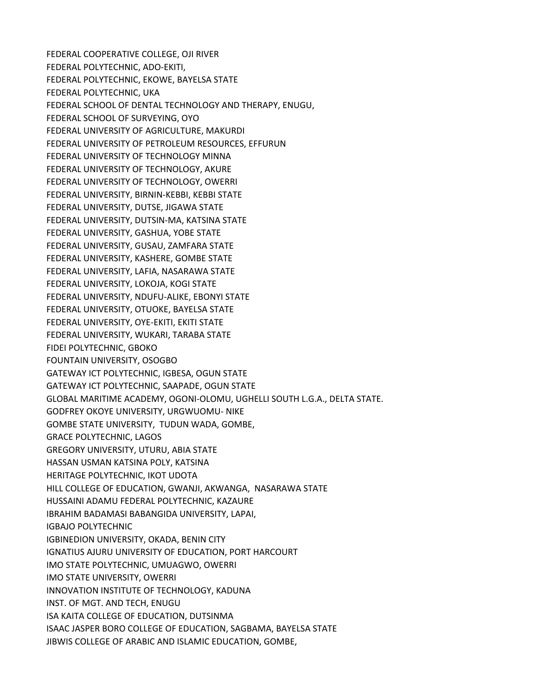FEDERAL COOPERATIVE COLLEGE, OJI RIVER FEDERAL POLYTECHNIC, ADO-EKITI, FEDERAL POLYTECHNIC, EKOWE, BAYELSA STATE FEDERAL POLYTECHNIC, UKA FEDERAL SCHOOL OF DENTAL TECHNOLOGY AND THERAPY, ENUGU, FEDERAL SCHOOL OF SURVEYING, OYO FEDERAL UNIVERSITY OF AGRICULTURE, MAKURDI FEDERAL UNIVERSITY OF PETROLEUM RESOURCES, EFFURUN FEDERAL UNIVERSITY OF TECHNOLOGY MINNA FEDERAL UNIVERSITY OF TECHNOLOGY, AKURE FEDERAL UNIVERSITY OF TECHNOLOGY, OWERRI FEDERAL UNIVERSITY, BIRNIN-KEBBI, KEBBI STATE FEDERAL UNIVERSITY, DUTSE, JIGAWA STATE FEDERAL UNIVERSITY, DUTSIN-MA, KATSINA STATE FEDERAL UNIVERSITY, GASHUA, YOBE STATE FEDERAL UNIVERSITY, GUSAU, ZAMFARA STATE FEDERAL UNIVERSITY, KASHERE, GOMBE STATE FEDERAL UNIVERSITY, LAFIA, NASARAWA STATE FEDERAL UNIVERSITY, LOKOJA, KOGI STATE FEDERAL UNIVERSITY, NDUFU-ALIKE, EBONYI STATE FEDERAL UNIVERSITY, OTUOKE, BAYELSA STATE FEDERAL UNIVERSITY, OYE-EKITI, EKITI STATE FEDERAL UNIVERSITY, WUKARI, TARABA STATE FIDEI POLYTECHNIC, GBOKO FOUNTAIN UNIVERSITY, OSOGBO GATEWAY ICT POLYTECHNIC, IGBESA, OGUN STATE GATEWAY ICT POLYTECHNIC, SAAPADE, OGUN STATE GLOBAL MARITIME ACADEMY, OGONI-OLOMU, UGHELLI SOUTH L.G.A., DELTA STATE. GODFREY OKOYE UNIVERSITY, URGWUOMU- NIKE GOMBE STATE UNIVERSITY, TUDUN WADA, GOMBE, GRACE POLYTECHNIC, LAGOS GREGORY UNIVERSITY, UTURU, ABIA STATE HASSAN USMAN KATSINA POLY, KATSINA HERITAGE POLYTECHNIC, IKOT UDOTA HILL COLLEGE OF EDUCATION, GWANJI, AKWANGA, NASARAWA STATE HUSSAINI ADAMU FEDERAL POLYTECHNIC, KAZAURE IBRAHIM BADAMASI BABANGIDA UNIVERSITY, LAPAI, IGBAJO POLYTECHNIC IGBINEDION UNIVERSITY, OKADA, BENIN CITY IGNATIUS AJURU UNIVERSITY OF EDUCATION, PORT HARCOURT IMO STATE POLYTECHNIC, UMUAGWO, OWERRI IMO STATE UNIVERSITY, OWERRI INNOVATION INSTITUTE OF TECHNOLOGY, KADUNA INST. OF MGT. AND TECH, ENUGU ISA KAITA COLLEGE OF EDUCATION, DUTSINMA ISAAC JASPER BORO COLLEGE OF EDUCATION, SAGBAMA, BAYELSA STATE JIBWIS COLLEGE OF ARABIC AND ISLAMIC EDUCATION, GOMBE,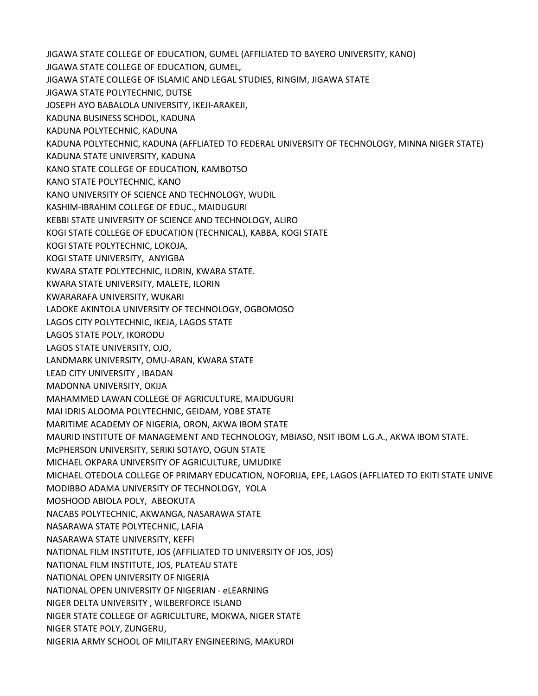JIGAWA STATE COLLEGE OF EDUCATION, GUMEL (AFFILIATED TO BAYERO UNIVERSITY, KANO) JIGAWA STATE COLLEGE OF EDUCATION, GUMEL, JIGAWA STATE COLLEGE OF ISLAMIC AND LEGAL STUDIES, RINGIM, JIGAWA STATE JIGAWA STATE POLYTECHNIC, DUTSE JOSEPH AYO BABALOLA UNIVERSITY, IKEJI-ARAKEJI, KADUNA BUSINESS SCHOOL, KADUNA KADUNA POLYTECHNIC, KADUNA KADUNA POLYTECHNIC, KADUNA (AFFLIATED TO FEDERAL UNIVERSITY OF TECHNOLOGY, MINNA NIGER STATE) KADUNA STATE UNIVERSITY, KADUNA KANO STATE COLLEGE OF EDUCATION, KAMBOTSO KANO STATE POLYTECHNIC, KANO KANO UNIVERSITY OF SCIENCE AND TECHNOLOGY, WUDIL KASHIM-IBRAHIM COLLEGE OF EDUC., MAIDUGURI KEBBI STATE UNIVERSITY OF SCIENCE AND TECHNOLOGY, ALIRO KOGI STATE COLLEGE OF EDUCATION (TECHNICAL), KABBA, KOGI STATE KOGI STATE POLYTECHNIC, LOKOJA, KOGI STATE UNIVERSITY, ANYIGBA KWARA STATE POLYTECHNIC, ILORIN, KWARA STATE. KWARA STATE UNIVERSITY, MALETE, ILORIN KWARARAFA UNIVERSITY, WUKARI LADOKE AKINTOLA UNIVERSITY OF TECHNOLOGY, OGBOMOSO LAGOS CITY POLYTECHNIC, IKEJA, LAGOS STATE LAGOS STATE POLY, IKORODU LAGOS STATE UNIVERSITY, OJO, LANDMARK UNIVERSITY, OMU-ARAN, KWARA STATE LEAD CITY UNIVERSITY , IBADAN MADONNA UNIVERSITY, OKIJA MAHAMMED LAWAN COLLEGE OF AGRICULTURE, MAIDUGURI MAI IDRIS ALOOMA POLYTECHNIC, GEIDAM, YOBE STATE MARITIME ACADEMY OF NIGERIA, ORON, AKWA IBOM STATE MAURID INSTITUTE OF MANAGEMENT AND TECHNOLOGY, MBIASO, NSIT IBOM L.G.A., AKWA IBOM STATE. McPHERSON UNIVERSITY, SERIKI SOTAYO, OGUN STATE MICHAEL OKPARA UNIVERSITY OF AGRICULTURE, UMUDIKE MICHAEL OTEDOLA COLLEGE OF PRIMARY EDUCATION, NOFORIJA, EPE, LAGOS (AFFLIATED TO EKITI STATE UNIVE MODIBBO ADAMA UNIVERSITY OF TECHNOLOGY, YOLA MOSHOOD ABIOLA POLY, ABEOKUTA NACABS POLYTECHNIC, AKWANGA, NASARAWA STATE NASARAWA STATE POLYTECHNIC, LAFIA NASARAWA STATE UNIVERSITY, KEFFI NATIONAL FILM INSTITUTE, JOS (AFFILIATED TO UNIVERSITY OF JOS, JOS) NATIONAL FILM INSTITUTE, JOS, PLATEAU STATE NATIONAL OPEN UNIVERSITY OF NIGERIA NATIONAL OPEN UNIVERSITY OF NIGERIAN - eLEARNING NIGER DELTA UNIVERSITY , WILBERFORCE ISLAND NIGER STATE COLLEGE OF AGRICULTURE, MOKWA, NIGER STATE NIGER STATE POLY, ZUNGERU, NIGERIA ARMY SCHOOL OF MILITARY ENGINEERING, MAKURDI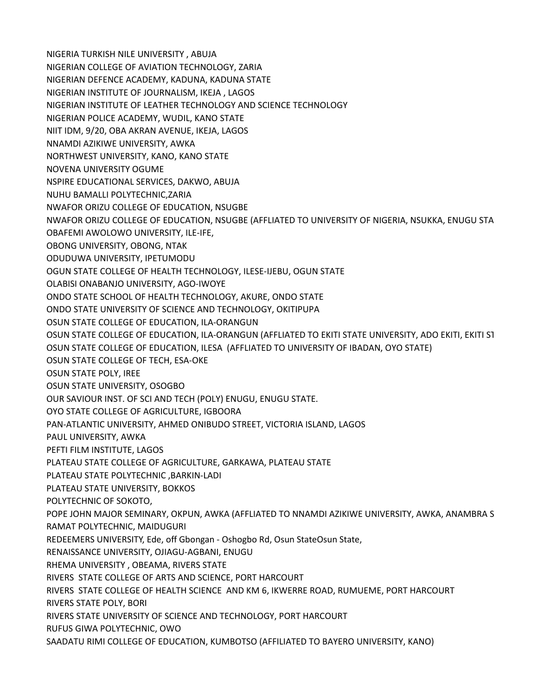NIGERIA TURKISH NILE UNIVERSITY , ABUJA NIGERIAN COLLEGE OF AVIATION TECHNOLOGY, ZARIA NIGERIAN DEFENCE ACADEMY, KADUNA, KADUNA STATE NIGERIAN INSTITUTE OF JOURNALISM, IKEJA , LAGOS NIGERIAN INSTITUTE OF LEATHER TECHNOLOGY AND SCIENCE TECHNOLOGY NIGERIAN POLICE ACADEMY, WUDIL, KANO STATE NIIT IDM, 9/20, OBA AKRAN AVENUE, IKEJA, LAGOS NNAMDI AZIKIWE UNIVERSITY, AWKA NORTHWEST UNIVERSITY, KANO, KANO STATE NOVENA UNIVERSITY OGUME NSPIRE EDUCATIONAL SERVICES, DAKWO, ABUJA NUHU BAMALLI POLYTECHNIC,ZARIA NWAFOR ORIZU COLLEGE OF EDUCATION, NSUGBE NWAFOR ORIZU COLLEGE OF EDUCATION, NSUGBE (AFFLIATED TO UNIVERSITY OF NIGERIA, NSUKKA, ENUGU STATE) OBAFEMI AWOLOWO UNIVERSITY, ILE-IFE, OBONG UNIVERSITY, OBONG, NTAK ODUDUWA UNIVERSITY, IPETUMODU OGUN STATE COLLEGE OF HEALTH TECHNOLOGY, ILESE-IJEBU, OGUN STATE OLABISI ONABANJO UNIVERSITY, AGO-IWOYE ONDO STATE SCHOOL OF HEALTH TECHNOLOGY, AKURE, ONDO STATE ONDO STATE UNIVERSITY OF SCIENCE AND TECHNOLOGY, OKITIPUPA OSUN STATE COLLEGE OF EDUCATION, ILA-ORANGUN OSUN STATE COLLEGE OF EDUCATION, ILA-ORANGUN (AFFLIATED TO EKITI STATE UNIVERSITY, ADO EKITI, EKITI ST OSUN STATE COLLEGE OF EDUCATION, ILESA (AFFLIATED TO UNIVERSITY OF IBADAN, OYO STATE) OSUN STATE COLLEGE OF TECH, ESA-OKE OSUN STATE POLY, IREE OSUN STATE UNIVERSITY, OSOGBO OUR SAVIOUR INST. OF SCI AND TECH (POLY) ENUGU, ENUGU STATE. OYO STATE COLLEGE OF AGRICULTURE, IGBOORA PAN-ATLANTIC UNIVERSITY, AHMED ONIBUDO STREET, VICTORIA ISLAND, LAGOS PAUL UNIVERSITY, AWKA PEFTI FILM INSTITUTE, LAGOS PLATEAU STATE COLLEGE OF AGRICULTURE, GARKAWA, PLATEAU STATE PLATEAU STATE POLYTECHNIC ,BARKIN-LADI PLATEAU STATE UNIVERSITY, BOKKOS POLYTECHNIC OF SOKOTO, POPE JOHN MAJOR SEMINARY, OKPUN, AWKA (AFFLIATED TO NNAMDI AZIKIWE UNIVERSITY, AWKA, ANAMBRA STATE) RAMAT POLYTECHNIC, MAIDUGURI REDEEMERS UNIVERSITY, Ede, off Gbongan - Oshogbo Rd, Osun State Osun State, RENAISSANCE UNIVERSITY, OJIAGU-AGBANI, ENUGU RHEMA UNIVERSITY , OBEAMA, RIVERS STATE RIVERS STATE COLLEGE OF ARTS AND SCIENCE, PORT HARCOURT RIVERS STATE COLLEGE OF HEALTH SCIENCE AND KM 6, IKWERRE ROAD, RUMUEME, PORT HARCOURT RIVERS STATE POLY, BORI RIVERS STATE UNIVERSITY OF SCIENCE AND TECHNOLOGY, PORT HARCOURT RUFUS GIWA POLYTECHNIC, OWO SAADATU RIMI COLLEGE OF EDUCATION, KUMBOTSO (AFFILIATED TO BAYERO UNIVERSITY, KANO)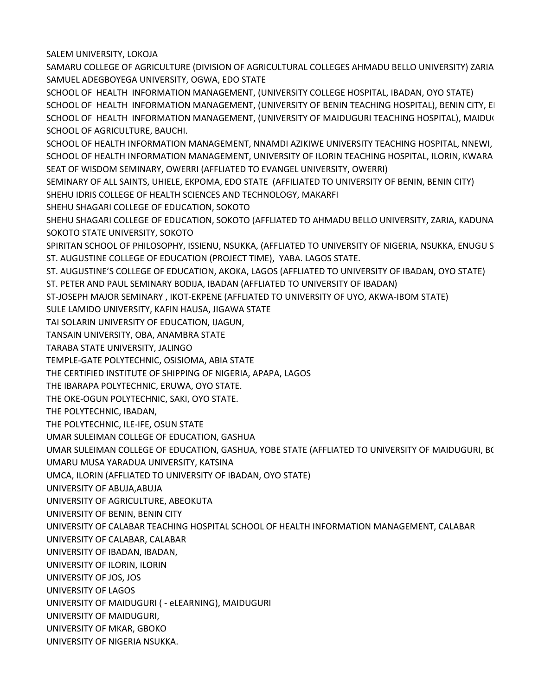SALEM UNIVERSITY, LOKOJA

SAMARU COLLEGE OF AGRICULTURE (DIVISION OF AGRICULTURAL COLLEGES AHMADU BELLO UNIVERSITY) ZARIA SAMUEL ADEGBOYEGA UNIVERSITY, OGWA, EDO STATE

SCHOOL OF HEALTH INFORMATION MANAGEMENT, (UNIVERSITY COLLEGE HOSPITAL, IBADAN, OYO STATE) SCHOOL OF HEALTH INFORMATION MANAGEMENT, (UNIVERSITY OF BENIN TEACHING HOSPITAL), BENIN CITY, EI SCHOOL OF HEALTH INFORMATION MANAGEMENT, (UNIVERSITY OF MAIDUGURI TEACHING HOSPITAL), MAIDUG SCHOOL OF AGRICULTURE, BAUCHI.

SCHOOL OF HEALTH INFORMATION MANAGEMENT, NNAMDI AZIKIWE UNIVERSITY TEACHING HOSPITAL, NNEWI, SCHOOL OF HEALTH INFORMATION MANAGEMENT, UNIVERSITY OF ILORIN TEACHING HOSPITAL, ILORIN, KWARA SEAT OF WISDOM SEMINARY, OWERRI (AFFLIATED TO EVANGEL UNIVERSITY, OWERRI)

SEMINARY OF ALL SAINTS, UHIELE, EKPOMA, EDO STATE (AFFILIATED TO UNIVERSITY OF BENIN, BENIN CITY) SHEHU IDRIS COLLEGE OF HEALTH SCIENCES AND TECHNOLOGY, MAKARFI

SHEHU SHAGARI COLLEGE OF EDUCATION, SOKOTO

SHEHU SHAGARI COLLEGE OF EDUCATION, SOKOTO (AFFLIATED TO AHMADU BELLO UNIVERSITY, ZARIA, KADUNA SOKOTO STATE UNIVERSITY, SOKOTO

SPIRITAN SCHOOL OF PHILOSOPHY, ISSIENU, NSUKKA, (AFFLIATED TO UNIVERSITY OF NIGERIA, NSUKKA, ENUGU ST ST. AUGUSTINE COLLEGE OF EDUCATION (PROJECT TIME), YABA. LAGOS STATE.

ST. AUGUSTINE'S COLLEGE OF EDUCATION, AKOKA, LAGOS (AFFLIATED TO UNIVERSITY OF IBADAN, OYO STATE)

- ST. PETER AND PAUL SEMINARY BODIJA, IBADAN (AFFLIATED TO UNIVERSITY OF IBADAN)
- ST-JOSEPH MAJOR SEMINARY , IKOT-EKPENE (AFFLIATED TO UNIVERSITY OF UYO, AKWA-IBOM STATE)
- SULE LAMIDO UNIVERSITY, KAFIN HAUSA, JIGAWA STATE

TAI SOLARIN UNIVERSITY OF EDUCATION, IJAGUN,

TANSAIN UNIVERSITY, OBA, ANAMBRA STATE

TARABA STATE UNIVERSITY, JALINGO

TEMPLE-GATE POLYTECHNIC, OSISIOMA, ABIA STATE

THE CERTIFIED INSTITUTE OF SHIPPING OF NIGERIA, APAPA, LAGOS

THE IBARAPA POLYTECHNIC, ERUWA, OYO STATE.

THE OKE-OGUN POLYTECHNIC, SAKI, OYO STATE.

THE POLYTECHNIC, IBADAN,

THE POLYTECHNIC, ILE-IFE, OSUN STATE

UMAR SULEIMAN COLLEGE OF EDUCATION, GASHUA

UMAR SULEIMAN COLLEGE OF EDUCATION, GASHUA, YOBE STATE (AFFLIATED TO UNIVERSITY OF MAIDUGURI, B(

UMARU MUSA YARADUA UNIVERSITY, KATSINA

UMCA, ILORIN (AFFLIATED TO UNIVERSITY OF IBADAN, OYO STATE)

UNIVERSITY OF ABUJA,ABUJA

UNIVERSITY OF AGRICULTURE, ABEOKUTA

UNIVERSITY OF BENIN, BENIN CITY

UNIVERSITY OF CALABAR TEACHING HOSPITAL SCHOOL OF HEALTH INFORMATION MANAGEMENT, CALABAR

UNIVERSITY OF CALABAR, CALABAR

UNIVERSITY OF IBADAN, IBADAN,

UNIVERSITY OF ILORIN, ILORIN

UNIVERSITY OF JOS, JOS

UNIVERSITY OF LAGOS

UNIVERSITY OF MAIDUGURI ( - eLEARNING), MAIDUGURI

UNIVERSITY OF MAIDUGURI,

UNIVERSITY OF MKAR, GBOKO

UNIVERSITY OF NIGERIA NSUKKA.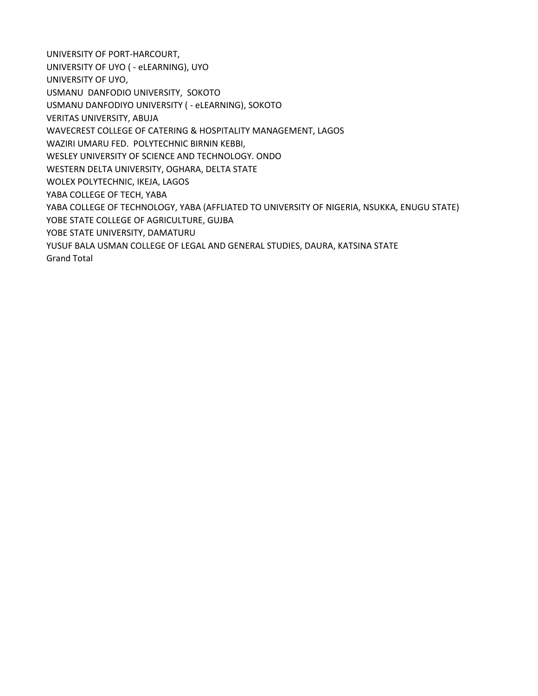UNIVERSITY OF PORT-HARCOURT, UNIVERSITY OF UYO ( - eLEARNING), UYO UNIVERSITY OF UYO, USMANU DANFODIO UNIVERSITY, SOKOTO USMANU DANFODIYO UNIVERSITY ( - eLEARNING), SOKOTO VERITAS UNIVERSITY, ABUJA WAVECREST COLLEGE OF CATERING & HOSPITALITY MANAGEMENT, LAGOS WAZIRI UMARU FED. POLYTECHNIC BIRNIN KEBBI, WESLEY UNIVERSITY OF SCIENCE AND TECHNOLOGY. ONDO WESTERN DELTA UNIVERSITY, OGHARA, DELTA STATE WOLEX POLYTECHNIC, IKEJA, LAGOS YABA COLLEGE OF TECH, YABA YABA COLLEGE OF TECHNOLOGY, YABA (AFFLIATED TO UNIVERSITY OF NIGERIA, NSUKKA, ENUGU STATE) YOBE STATE COLLEGE OF AGRICULTURE, GUJBA YOBE STATE UNIVERSITY, DAMATURU YUSUF BALA USMAN COLLEGE OF LEGAL AND GENERAL STUDIES, DAURA, KATSINA STATE Grand Total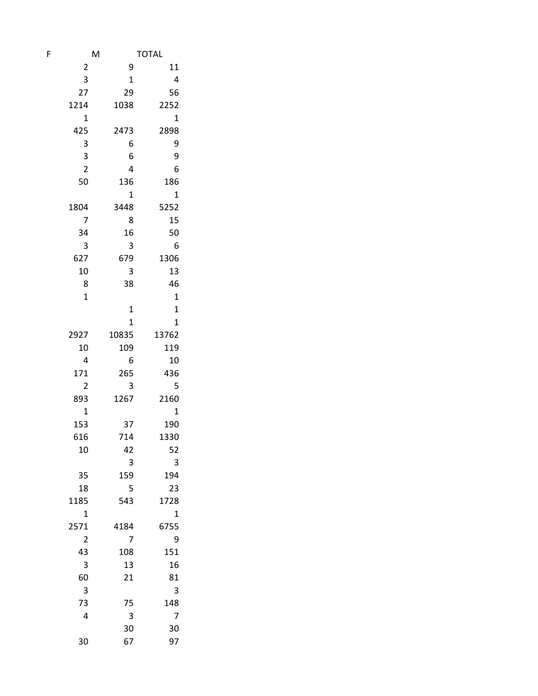| F | M                       |              | <b>TOTAL</b> |  |  |
|---|-------------------------|--------------|--------------|--|--|
|   | $\overline{\mathbf{c}}$ | 9            | 11           |  |  |
|   | 3                       | $\mathbf{1}$ | 4            |  |  |
|   | 27                      | 29           | 56           |  |  |
|   | 1214                    | 1038         | 2252         |  |  |
|   | $\mathbf 1$             |              | $\mathbf 1$  |  |  |
|   | 425                     | 2473         | 2898         |  |  |
|   | 3                       | 6            | 9            |  |  |
|   | 3                       | 6            | 9            |  |  |
|   | $\overline{\mathbf{c}}$ | 4            | 6            |  |  |
|   | 50                      | 136          | 186          |  |  |
|   |                         | 1            | $\mathbf 1$  |  |  |
|   | 1804                    | 3448         | 5252         |  |  |
|   | 7                       | 8            | 15           |  |  |
|   | 34                      | 16           | 50           |  |  |
|   | 3                       | 3            | 6            |  |  |
|   | 627                     | 679          | 1306         |  |  |
|   | 10                      | 3            | 13           |  |  |
|   | 8                       | 38           | 46           |  |  |
|   | $\mathbf 1$             |              | $\mathbf 1$  |  |  |
|   |                         | 1            | $\mathbf{1}$ |  |  |
|   |                         | $\mathbf{1}$ | $\mathbf{1}$ |  |  |
|   | 2927                    | 10835        | 13762        |  |  |
|   | 10<br>4                 | 109<br>6     | 119          |  |  |
|   | 171                     | 265          | 10<br>436    |  |  |
|   | $\overline{2}$          | 3            | 5            |  |  |
|   | 893                     | 1267         | 2160         |  |  |
|   | $\mathbf 1$             |              | $\mathbf 1$  |  |  |
|   | 153                     | 37           | 190          |  |  |
|   | 616                     | 714          | 1330         |  |  |
|   | 10                      | 42           | 52           |  |  |
|   |                         | 3            | 3            |  |  |
|   | 35                      | 159          | 194          |  |  |
|   | 18                      | 5            | 23           |  |  |
|   | 1185                    | 543          | 1728         |  |  |
|   | $\mathbf 1$             |              | $\mathbf 1$  |  |  |
|   | 2571                    | 4184         | 6755         |  |  |
|   | $\overline{2}$          | 7            | 9            |  |  |
|   | 43                      | 108          | 151          |  |  |
|   | 3                       | 13           | 16           |  |  |
|   | 60                      | 21           | 81           |  |  |
|   | 3                       |              | 3            |  |  |
|   | 73                      | 75           | 148          |  |  |
|   | 4                       | 3            | 7            |  |  |
|   |                         | 30           | 30           |  |  |
|   | 30                      | 67           | 97           |  |  |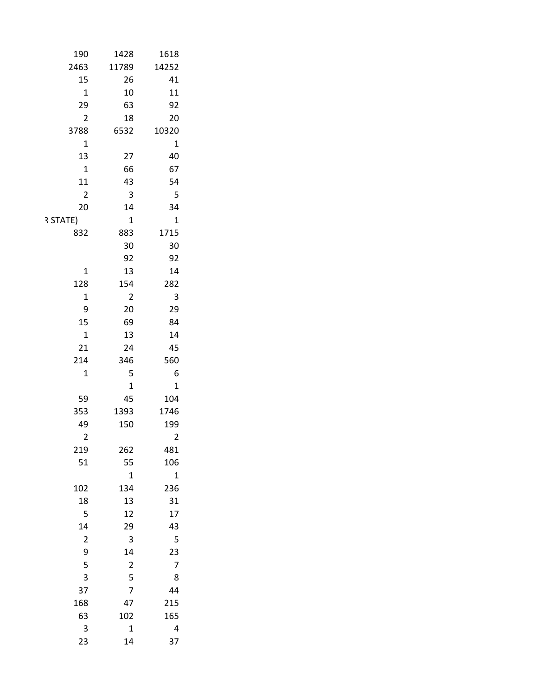| 190<br>1428                                | 1618                                                     |
|--------------------------------------------|----------------------------------------------------------|
| 11789<br>2463                              | 14252                                                    |
| 15                                         | $26\,$<br>41                                             |
| $\mathbf 1$                                | $10\,$<br>$11\,$                                         |
| 29                                         | 92<br>63                                                 |
| $\overline{2}$                             | $20\,$<br>${\bf 18}$                                     |
| 3788<br>6532                               | 10320                                                    |
| $\mathbf 1$                                | $\mathbf 1$                                              |
| 13                                         | $40\,$<br>$27\,$                                         |
| $\mathbf 1$                                | 66<br>67                                                 |
| ${\bf 11}$                                 | 54<br>43                                                 |
| $\overline{2}$                             | 5<br>$\mathbf{3}$                                        |
| $20\,$                                     | $34\,$<br>$14\,$                                         |
| R STATE)                                   | $\mathbf 1$<br>$\mathbf{1}$                              |
| 832                                        | 1715<br>883                                              |
|                                            | $30\,$<br>$30\,$                                         |
|                                            | 92<br>92                                                 |
| $\mathbf 1$                                | 13<br>14                                                 |
| 128                                        | 282<br>154                                               |
| $\mathbf 1$                                | $\overline{3}$<br>$\overline{2}$                         |
| $\mathsf 9$                                | 29<br>$20\,$                                             |
| 15                                         | 69<br>84                                                 |
| $\mathbf 1$                                | 13<br>$14\,$                                             |
| $21\,$                                     | 45<br>$24\,$                                             |
| $214\,$                                    | 346<br>560                                               |
| $\mathbf 1$                                | 5<br>$\sqrt{6}$                                          |
|                                            | $\mathbf 1$<br>$\mathbf 1$                               |
| 59                                         | 45<br>104                                                |
| 353<br>1393<br>49                          | 1746<br>150<br>199                                       |
| $\overline{2}$                             | $\overline{2}$                                           |
| $219\,$                                    | 481<br>262                                               |
| 51                                         | 55<br>106                                                |
|                                            | $\mathbf 1$<br>$\overline{1}$                            |
| $102\,$                                    | 236<br>134                                               |
| ${\bf 18}$                                 | 31<br>$13\,$                                             |
| $\overline{\mathbf{5}}$                    | $17\,$<br>$12\,$                                         |
| 14                                         | 43<br>$29\,$                                             |
| $\overline{2}$                             | $\overline{\mathbf{5}}$<br>$\mathbf{3}$                  |
|                                            | 14                                                       |
| $\begin{array}{c} 9 \\ 5 \\ 3 \end{array}$ | $\begin{array}{c} 23 \\ 7 \end{array}$<br>$\overline{2}$ |
|                                            | $\bf 8$                                                  |
| 37                                         | $\frac{5}{7}$<br>44                                      |
| 168                                        | 47<br>215                                                |
| 63                                         | 102<br>165                                               |
| $\overline{\mathbf{3}}$                    | $\mathbf 1$<br>$\overline{4}$                            |
| 23                                         | 37<br>$14\,$                                             |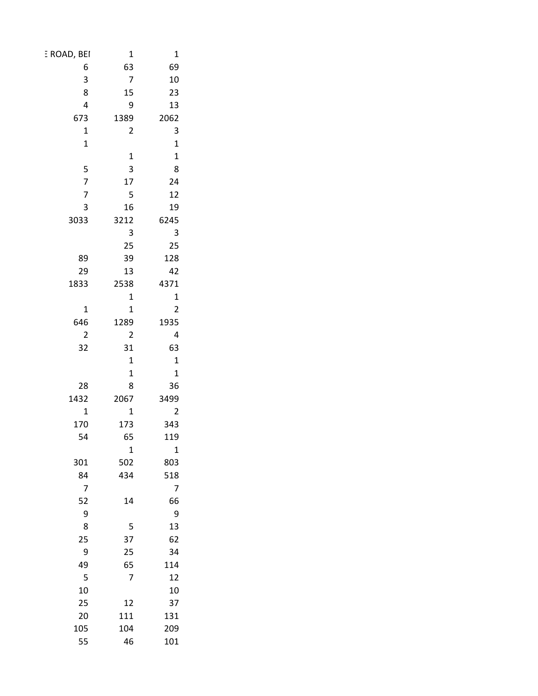| E ROAD, BEI                           | $\mathbf 1$             | $\mathbf 1$                            |
|---------------------------------------|-------------------------|----------------------------------------|
| $\boldsymbol{6}$                      | 63                      | 69                                     |
| 3                                     | $\overline{7}$          | 10                                     |
| 8                                     | 15                      | 23                                     |
| $\overline{\mathbf{4}}$               | 9                       | 13                                     |
| 673                                   | 1389                    | 2062                                   |
| $\mathbf 1$                           | $\overline{2}$          | $\overline{\mathbf{3}}$                |
| $\mathbf 1$                           |                         | $\mathbf 1$                            |
|                                       | $\mathbf 1$             | $\begin{array}{c} 1 \\ 8 \end{array}$  |
| 5                                     | $\overline{\mathbf{3}}$ |                                        |
| $\overline{7}$                        | $17\,$                  | 24                                     |
| $\overline{7}$                        | 5                       | 12                                     |
| $\mathsf{3}$                          | 16                      | 19                                     |
| 3033                                  | 3212                    | 6245                                   |
|                                       | $\mathsf{3}$            | $\overline{\mathbf{3}}$                |
|                                       | 25                      | 25                                     |
| 89                                    | 39                      | 128                                    |
| 29                                    | 13                      | 42                                     |
| 1833                                  | 2538                    | 4371                                   |
|                                       | $\mathbf 1$             | $\mathbf{1}$                           |
| $\mathbf 1$                           | $\mathbf 1$             | $\overline{c}$                         |
| 646                                   | 1289                    | 1935                                   |
| $\mathbf 2$<br>32                     | $\overline{2}$          | $\overline{4}$                         |
|                                       | 31<br>$\mathbf 1$       | 63                                     |
|                                       | $\mathbf 1$             | $\mathbf{1}$<br>$\mathbf{1}$           |
| ${\bf 28}$                            | 8                       | 36                                     |
| 1432                                  | 2067                    | 3499                                   |
| $\mathbf 1$                           | $\mathbf 1$             | $\overline{2}$                         |
| 170                                   | 173                     | 343                                    |
| 54                                    | 65                      | 119                                    |
|                                       | $\mathbf 1$             | $\mathbf{1}$                           |
| $301\,$                               | 502                     | 803                                    |
| 84                                    | 434                     | 518                                    |
| $\overline{7}$                        |                         | $\overline{7}$                         |
| 52                                    | $14\,$                  | 66                                     |
|                                       |                         |                                        |
| $\begin{array}{c} 9 \\ 8 \end{array}$ | $\overline{\mathbf{5}}$ | $\begin{array}{c} 9 \\ 13 \end{array}$ |
| $25\,$                                | 37                      | 62                                     |
| $\boldsymbol{9}$                      | 25                      | 34                                     |
| 49                                    | 65                      | $114\,$                                |
| $\overline{\mathbf{5}}$               | $\overline{7}$          | $12\,$                                 |
| $10\,$                                |                         | 10                                     |
| $25\,$                                | $12\,$                  | 37                                     |
| $20\,$                                | $111\,$                 | 131                                    |
| ${\bf 105}$                           | $104\,$                 | 209                                    |
| 55                                    | $46\,$                  | 101                                    |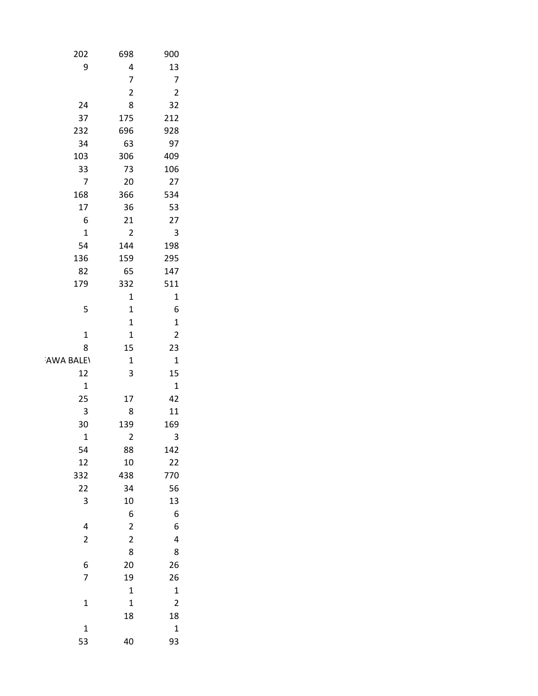| $202\,$                          | 698                           | 900                             |
|----------------------------------|-------------------------------|---------------------------------|
| $\boldsymbol{9}$                 | $\pmb{4}$                     | $13\,$                          |
|                                  | $\overline{\mathbf{7}}$       | $\overline{7}$                  |
|                                  | $\overline{2}$                | $\overline{2}$                  |
| 24                               | 8                             | 32                              |
| 37                               | 175                           | 212                             |
| 232                              | 696                           | 928                             |
| 34                               | 63                            | 97                              |
| $103\,$                          | 306                           | 409                             |
| 33                               | 73                            | 106                             |
| $\overline{7}$                   | 20                            | $27\,$                          |
| 168                              | 366                           | 534                             |
| 17                               | 36                            | 53                              |
| $\boldsymbol{6}$                 | $21\,$                        | $27\,$                          |
| $\mathbf 1$                      | $\overline{2}$                | $\overline{\mathbf{3}}$         |
| 54                               | 144                           | 198                             |
| 136                              | 159                           | 295                             |
| 82                               | 65                            | 147                             |
| 179                              | 332                           | 511                             |
| 5                                | $\mathbf 1$                   | $\mathbf 1$<br>$\boldsymbol{6}$ |
|                                  | $\mathbf 1$<br>$\mathbf 1$    | $\mathbf 1$                     |
| $\mathbf 1$                      | $\mathbf 1$                   | $\overline{2}$                  |
| 8                                | 15                            | 23                              |
| AWA BALEY                        | $\mathbf 1$                   | $\mathbf 1$                     |
| $12\,$                           | $\mathsf 3$                   | 15                              |
| $\mathbf 1$                      |                               | $\mathbf 1$                     |
| 25                               | $17\,$                        | 42                              |
| $\overline{\mathbf{3}}$          | $\bf 8$                       | ${\bf 11}$                      |
| 30                               | 139                           | 169                             |
| $\mathbf 1$                      | $\overline{2}$                | $\mathsf{3}$                    |
| 54                               | 88                            | 142                             |
| $12\,$                           | $10\,$                        | $22\,$                          |
| 332                              | 438                           | 770                             |
| 22                               | 34                            | 56                              |
| $\overline{\mathbf{3}}$          | $10\,$                        | $13\,$                          |
|                                  | $\boldsymbol{6}$              | $\boldsymbol{6}$                |
| $\overline{4}$<br>$\overline{2}$ | $\mathbf 2$<br>$\overline{c}$ | $\boldsymbol{6}$                |
|                                  | 8                             | $\overline{\mathbf{4}}$<br>8    |
| $\boldsymbol{6}$                 | 20                            | 26                              |
| $\overline{7}$                   | 19                            | 26                              |
|                                  | $\mathbf 1$                   | $\mathbf 1$                     |
| $\mathbf 1$                      | $\mathbf 1$                   | $\overline{2}$                  |
|                                  | 18                            | 18                              |
| $\mathbf 1$                      |                               | $\mathbf 1$                     |
| 53                               | 40                            | 93                              |
|                                  |                               |                                 |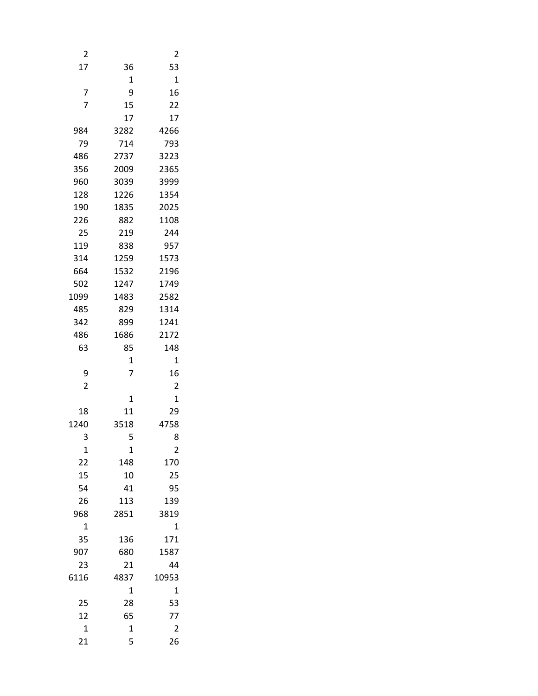| 2              |                | 2                       |
|----------------|----------------|-------------------------|
| 17             | 36             | 53                      |
|                | 1              | $\mathbf{1}$            |
| 7              | 9              | 16                      |
| $\overline{7}$ | 15             | 22                      |
|                | 17             | 17                      |
| 984            | 3282           | 4266                    |
| 79             | 714            | 793                     |
| 486            | 2737           | 3223                    |
| 356            | 2009           | 2365                    |
| 960            | 3039           | 3999                    |
| 128            | 1226           | 1354                    |
| 190            | 1835           | 2025                    |
| 226            | 882            | 1108                    |
| 25             | 219            | 244                     |
| 119            | 838            | 957                     |
| 314            | 1259           | 1573                    |
| 664            | 1532           | 2196                    |
| 502            | 1247           | 1749                    |
| 1099           | 1483           | 2582                    |
| 485            | 829            | 1314                    |
| 342            | 899            | 1241                    |
| 486            | 1686           | 2172                    |
| 63             | 85             | 148                     |
|                | 1              | 1                       |
| 9              | $\overline{7}$ | 16                      |
| $\overline{2}$ |                | $\overline{2}$          |
|                | 1              | 1                       |
| 18             | 11             | 29                      |
| 1240           | 3518           | 4758                    |
| 3              | 5              | 8                       |
| 1              | 1              | 2                       |
| 22             | 148            | 170                     |
| 15             | 10             | 25                      |
| 54             | 41             | 95                      |
| 26             | 113            | 139                     |
| 968            | 2851           | 3819                    |
| 1              |                | $\mathbf{1}$            |
| 35             | 136            | 171                     |
| 907            | 680            | 1587                    |
| 23             | 21             | 44                      |
| 6116           | 4837           | 10953                   |
|                | 1              | $\mathbf 1$             |
| 25             | 28             | 53                      |
| 12             | 65             | 77                      |
| $\mathbf 1$    | 1              | $\overline{\mathbf{c}}$ |
| 21             | 5              | 26                      |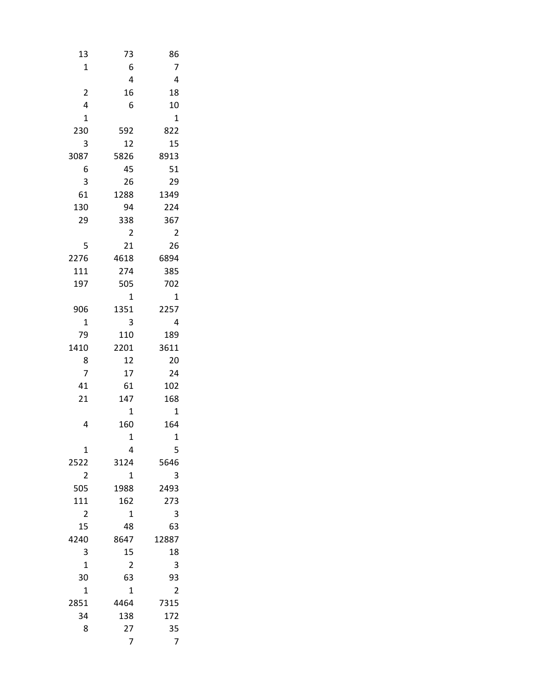| 13                      | 73                     | 86             |  |
|-------------------------|------------------------|----------------|--|
| $\mathbf 1$             | 6                      | 7              |  |
|                         | 4                      | 4              |  |
| $\overline{\mathbf{c}}$ | 16                     | 18             |  |
| 4                       | 6                      | 10             |  |
| $\mathbf 1$             |                        | $\mathbf 1$    |  |
| 230                     | 592                    | 822            |  |
| 3                       | 12                     | 15             |  |
| 3087                    | 5826                   | 8913           |  |
| 6                       | 45                     | 51             |  |
| 3                       | 26                     | 29             |  |
| 61                      | 1288                   | 1349           |  |
| 130                     | 94                     | 224            |  |
| 29                      | 338                    | 367            |  |
|                         | $\overline{2}$         | $\overline{c}$ |  |
| 5                       | 21                     | 26             |  |
| 2276                    | 4618                   | 6894           |  |
| 111                     | 274                    | 385            |  |
| 197                     | 505                    | 702            |  |
|                         | 1                      | $\overline{1}$ |  |
| 906                     | 1351                   | 2257           |  |
| $\overline{1}$          | 3                      | 4              |  |
| 79                      | 110                    | 189            |  |
| 1410                    | 2201                   | 3611           |  |
| 8                       | 12                     | 20             |  |
| 7                       | 17                     | 24             |  |
| 41                      | 61                     | 102            |  |
| 21                      | 147                    | 168            |  |
|                         | $\mathbf 1$            | $\overline{1}$ |  |
| 4                       | 160                    | 164            |  |
|                         | $\mathbf 1$            | $\mathbf 1$    |  |
| 1                       | 4                      | 5<br>5646      |  |
| 2522<br>$\overline{2}$  | 3124<br>$\overline{1}$ | 3              |  |
| 505                     | 1988                   | 2493           |  |
| 111                     | 162                    | 273            |  |
| $\overline{c}$          | 1                      | 3              |  |
| 15                      | 48                     | 63             |  |
| 4240                    | 8647                   | 12887          |  |
| 3                       | 15                     | 18             |  |
| $\mathbf{1}$            | 2                      | 3              |  |
| 30                      | 63                     | 93             |  |
| $\mathbf 1$             | $\mathbf 1$            | $\overline{2}$ |  |
| 2851                    | 4464                   | 7315           |  |
| 34                      | 138                    | 172            |  |
| 8                       | 27                     | 35             |  |
|                         | 7                      | 7              |  |
|                         |                        |                |  |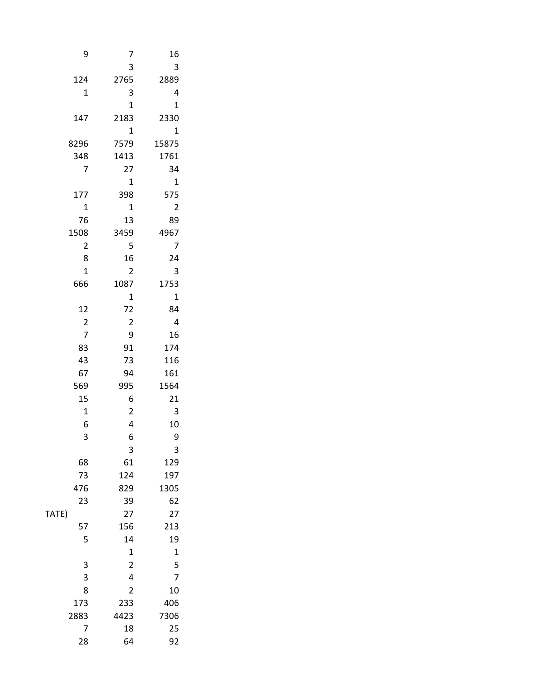| 9                      | $\overline{7}$          | 16                       |
|------------------------|-------------------------|--------------------------|
|                        | 3                       | $\overline{\mathbf{3}}$  |
| 124                    | 2765                    | 2889                     |
| $\mathbf{1}$           | $\mathsf 3$             | $\overline{\phantom{a}}$ |
|                        | $\mathbf{1}$            | $\mathbf{1}$             |
| 147                    | 2183                    | 2330                     |
|                        | $\mathbf{1}$            | $\overline{\mathbf{1}}$  |
| 8296                   | 7579                    | 15875                    |
| 348                    | 1413                    | 1761                     |
| $\overline{7}$         | $27\,$                  | 34                       |
|                        | $\mathbf 1$             | $\overline{\phantom{a}}$ |
| $177\,$                | 398                     | 575                      |
| $\mathbf 1$            | $\mathbf 1$             | $\overline{\mathbf{c}}$  |
| $76\,$                 | 13                      | 89                       |
| 1508<br>$\overline{2}$ | 3459<br>5               | 4967<br>$\overline{7}$   |
| $\bf 8$                | 16                      | $24$                     |
| $\mathbf{1}$           | $\overline{2}$          | $\frac{1}{3}$            |
| 666                    | 1087                    | 1753                     |
|                        | $\mathbf 1$             | $\overline{\mathbf{1}}$  |
| 12                     | $72\,$                  | 84                       |
| $\overline{2}$         | $\overline{2}$          | $\overline{4}$           |
| $\overline{7}$         | 9                       | 16                       |
| 83                     | $91\,$                  | 174                      |
| 43                     | 73                      | 116                      |
| 67                     | 94                      | $161\,$                  |
| 569                    | 995                     | 1564                     |
| $15\,$                 | $\boldsymbol{6}$        | 21                       |
| $\mathbf 1$            | $\overline{2}$          | $\overline{\mathbf{3}}$  |
| 6                      | $\overline{\mathbf{4}}$ | 10                       |
| 3                      | $\boldsymbol{6}$        | $\overline{9}$           |
|                        | $\mathsf 3$             | $\mathbf{3}$             |
| 68                     | 61                      | 129                      |
| $73\,$                 | 124                     | 197                      |
| 476                    | 829                     | 1305                     |
| $23\,$<br>TATE)        | 39                      | 62<br>$27$               |
| 57                     | $27\,$<br>156           | 213                      |
| 5                      | $14\,$                  | 19                       |
|                        | $\mathbf{1}$            | $\mathbf{1}$             |
|                        | $\overline{2}$          |                          |
| $\frac{3}{3}$          | $\overline{\mathbf{4}}$ | $\frac{5}{7}$            |
| 8                      | $\overline{2}$          | 10                       |
| $173\,$                | 233                     | 406                      |
| 2883                   | 4423                    | 7306                     |
| $\overline{7}$         | $18\,$                  | 25                       |
| ${\bf 28}$             | 64                      | 92                       |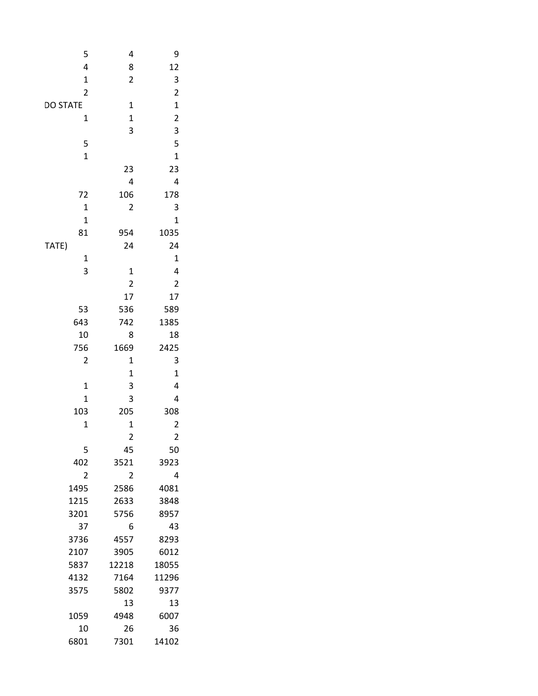| 4                            | 5                           |
|------------------------------|-----------------------------|
| $\bf 8$                      | 4                           |
| $\overline{2}$               | $\mathbf{1}$                |
|                              | $\mathbf 2$                 |
| $\mathbf 1$                  | DO STATE                    |
| $\mathbf 1$                  | $\mathbf 1$                 |
| $\mathbf{3}$                 |                             |
|                              | $\mathsf S$                 |
|                              | $\mathbf 1$                 |
| 23                           |                             |
| $\overline{\mathbf{r}}$      |                             |
| 106                          | $72\,$                      |
| $\overline{2}$               | $\mathbf{1}$                |
|                              | $\mathbf 1$                 |
| 1035<br>954                  | 81                          |
| 24                           | TATE)                       |
|                              | $\frac{1}{3}$               |
| $\frac{1}{2}$                |                             |
|                              |                             |
| 17                           |                             |
| 536                          | 53                          |
| 1385<br>742                  | 643                         |
| 8                            | 10                          |
| 1669<br>2425                 | 756                         |
| $\mathbf 1$                  | $\overline{c}$              |
| $\mathbf 1$                  |                             |
| 3<br>$\overline{\mathbf{3}}$ | $\mathbf 1$<br>$\mathbf{1}$ |
| 205                          |                             |
|                              | ${\bf 103}$<br>$\mathbf 1$  |
| $\frac{1}{2}$                |                             |
| 45                           | $\mathsf S$                 |
| 3923<br>3521                 | 402                         |
| $\overline{2}$               | $\overline{2}$              |
| 2586<br>4081                 | 1495                        |
| 2633<br>3848                 | 1215                        |
| 5756<br>8957                 | 3201                        |
| $\boldsymbol{6}$<br>43       | $37\,$                      |
| 8293<br>4557                 | 3736                        |
| 3905<br>6012                 | 2107                        |
| 18055<br>12218               | 5837                        |
| 7164<br>11296                | 4132                        |
| 5802<br>9377                 | 3575                        |
| $13\,$<br>13                 |                             |
| 4948<br>6007                 | 1059                        |
| $26\,$                       | $10\,$                      |
| 14102<br>7301                | 6801                        |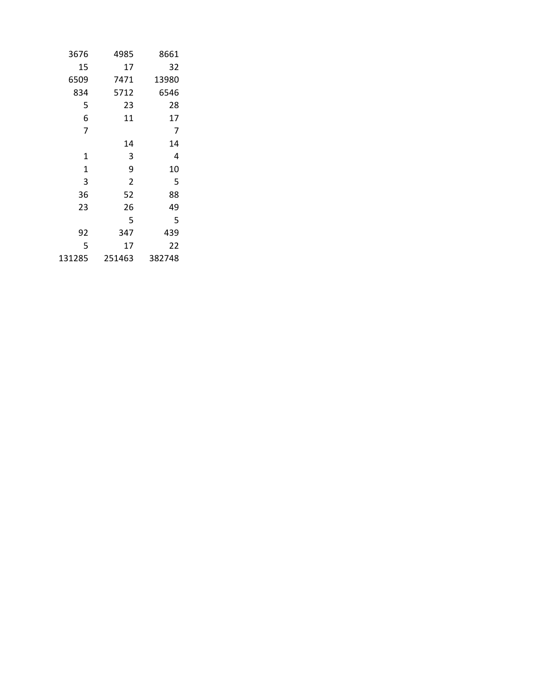| 3676        | 4985           | 8661   |
|-------------|----------------|--------|
| 15          | 17             | 32     |
| 6509        | 7471           | 13980  |
| 834         | 5712           | 6546   |
| 5           | 23             | 28     |
| 6           | 11             | 17     |
| 7           |                | 7      |
|             | 14             | 14     |
| 1           | 3              | 4      |
| $\mathbf 1$ | 9              | 10     |
| 3           | $\overline{2}$ | 5      |
| 36          | 52             | 88     |
| 23          | 26             | 49     |
|             | 5              | 5      |
| 92          | 347            | 439    |
| 5           | 17             | 22     |
| 131285      | 251463         | 382748 |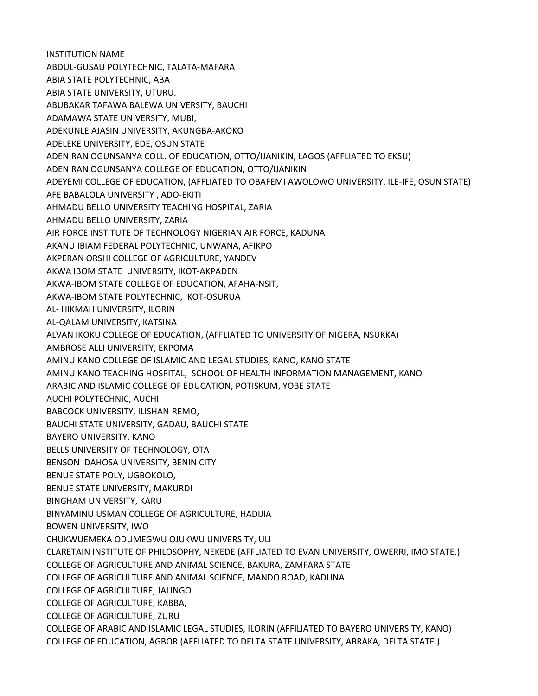INSTITUTION NAME ABDUL-GUSAU POLYTECHNIC, TALATA-MAFARA ABIA STATE POLYTECHNIC, ABA ABIA STATE UNIVERSITY, UTURU. ABUBAKAR TAFAWA BALEWA UNIVERSITY, BAUCHI ADAMAWA STATE UNIVERSITY, MUBI, ADEKUNLE AJASIN UNIVERSITY, AKUNGBA-AKOKO ADELEKE UNIVERSITY, EDE, OSUN STATE ADENIRAN OGUNSANYA COLL. OF EDUCATION, OTTO/IJANIKIN, LAGOS (AFFLIATED TO EKSU) ADENIRAN OGUNSANYA COLLEGE OF EDUCATION, OTTO/IJANIKIN ADEYEMI COLLEGE OF EDUCATION, (AFFLIATED TO OBAFEMI AWOLOWO UNIVERSITY, ILE-IFE, OSUN STATE) AFE BABALOLA UNIVERSITY , ADO-EKITI AHMADU BELLO UNIVERSITY TEACHING HOSPITAL, ZARIA AHMADU BELLO UNIVERSITY, ZARIA AIR FORCE INSTITUTE OF TECHNOLOGY NIGERIAN AIR FORCE, KADUNA AKANU IBIAM FEDERAL POLYTECHNIC, UNWANA, AFIKPO AKPERAN ORSHI COLLEGE OF AGRICULTURE, YANDEV AKWA IBOM STATE UNIVERSITY, IKOT-AKPADEN AKWA-IBOM STATE COLLEGE OF EDUCATION, AFAHA-NSIT, AKWA-IBOM STATE POLYTECHNIC, IKOT-OSURUA AL- HIKMAH UNIVERSITY, ILORIN AL-QALAM UNIVERSITY, KATSINA ALVAN IKOKU COLLEGE OF EDUCATION, (AFFLIATED TO UNIVERSITY OF NIGERA, NSUKKA) AMBROSE ALLI UNIVERSITY, EKPOMA AMINU KANO COLLEGE OF ISLAMIC AND LEGAL STUDIES, KANO, KANO STATE AMINU KANO TEACHING HOSPITAL, SCHOOL OF HEALTH INFORMATION MANAGEMENT, KANO ARABIC AND ISLAMIC COLLEGE OF EDUCATION, POTISKUM, YOBE STATE AUCHI POLYTECHNIC, AUCHI BABCOCK UNIVERSITY, ILISHAN-REMO, BAUCHI STATE UNIVERSITY, GADAU, BAUCHI STATE BAYERO UNIVERSITY, KANO BELLS UNIVERSITY OF TECHNOLOGY, OTA BENSON IDAHOSA UNIVERSITY, BENIN CITY BENUE STATE POLY, UGBOKOLO, BENUE STATE UNIVERSITY, MAKURDI BINGHAM UNIVERSITY, KARU BINYAMINU USMAN COLLEGE OF AGRICULTURE, HADIJIA BOWEN UNIVERSITY, IWO CHUKWUEMEKA ODUMEGWU OJUKWU UNIVERSITY, ULI CLARETAIN INSTITUTE OF PHILOSOPHY, NEKEDE (AFFLIATED TO EVAN UNIVERSITY, OWERRI, IMO STATE.) COLLEGE OF AGRICULTURE AND ANIMAL SCIENCE, BAKURA, ZAMFARA STATE COLLEGE OF AGRICULTURE AND ANIMAL SCIENCE, MANDO ROAD, KADUNA COLLEGE OF AGRICULTURE, JALINGO COLLEGE OF AGRICULTURE, KABBA, COLLEGE OF AGRICULTURE, ZURU COLLEGE OF ARABIC AND ISLAMIC LEGAL STUDIES, ILORIN (AFFILIATED TO BAYERO UNIVERSITY, KANO) COLLEGE OF EDUCATION, AGBOR (AFFLIATED TO DELTA STATE UNIVERSITY, ABRAKA, DELTA STATE.)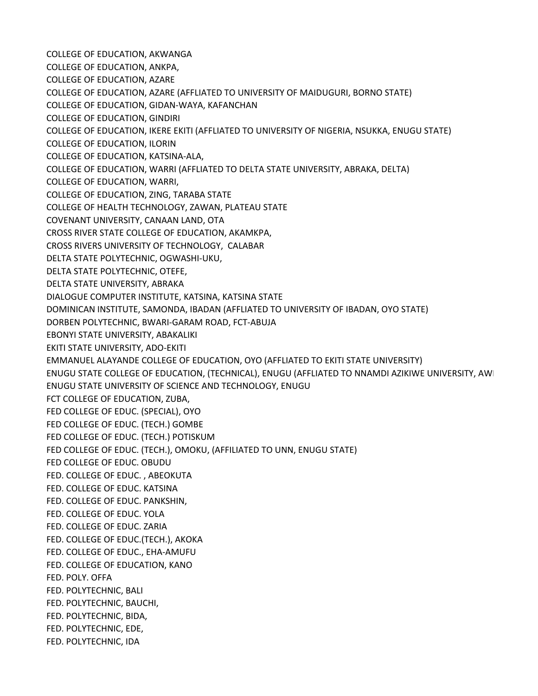COLLEGE OF EDUCATION, AKWANGA COLLEGE OF EDUCATION, ANKPA, COLLEGE OF EDUCATION, AZARE COLLEGE OF EDUCATION, AZARE (AFFLIATED TO UNIVERSITY OF MAIDUGURI, BORNO STATE) COLLEGE OF EDUCATION, GIDAN-WAYA, KAFANCHAN COLLEGE OF EDUCATION, GINDIRI COLLEGE OF EDUCATION, IKERE EKITI (AFFLIATED TO UNIVERSITY OF NIGERIA, NSUKKA, ENUGU STATE) COLLEGE OF EDUCATION, ILORIN COLLEGE OF EDUCATION, KATSINA-ALA, COLLEGE OF EDUCATION, WARRI (AFFLIATED TO DELTA STATE UNIVERSITY, ABRAKA, DELTA) COLLEGE OF EDUCATION, WARRI, COLLEGE OF EDUCATION, ZING, TARABA STATE COLLEGE OF HEALTH TECHNOLOGY, ZAWAN, PLATEAU STATE COVENANT UNIVERSITY, CANAAN LAND, OTA CROSS RIVER STATE COLLEGE OF EDUCATION, AKAMKPA, CROSS RIVERS UNIVERSITY OF TECHNOLOGY, CALABAR DELTA STATE POLYTECHNIC, OGWASHI-UKU, DELTA STATE POLYTECHNIC, OTEFE, DELTA STATE UNIVERSITY, ABRAKA DIALOGUE COMPUTER INSTITUTE, KATSINA, KATSINA STATE DOMINICAN INSTITUTE, SAMONDA, IBADAN (AFFLIATED TO UNIVERSITY OF IBADAN, OYO STATE) DORBEN POLYTECHNIC, BWARI-GARAM ROAD, FCT-ABUJA EBONYI STATE UNIVERSITY, ABAKALIKI EKITI STATE UNIVERSITY, ADO-EKITI EMMANUEL ALAYANDE COLLEGE OF EDUCATION, OYO (AFFLIATED TO EKITI STATE UNIVERSITY) ENUGU STATE COLLEGE OF EDUCATION, (TECHNICAL), ENUGU (AFFLIATED TO NNAMDI AZIKIWE UNIVERSITY, AWI ENUGU STATE UNIVERSITY OF SCIENCE AND TECHNOLOGY, ENUGU FCT COLLEGE OF EDUCATION, ZUBA, FED COLLEGE OF EDUC. (SPECIAL), OYO FED COLLEGE OF EDUC. (TECH.) GOMBE FED COLLEGE OF EDUC. (TECH.) POTISKUM FED COLLEGE OF EDUC. (TECH.), OMOKU, (AFFILIATED TO UNN, ENUGU STATE) FED COLLEGE OF EDUC. OBUDU FED. COLLEGE OF EDUC. , ABEOKUTA FED. COLLEGE OF EDUC. KATSINA FED. COLLEGE OF EDUC. PANKSHIN, FED. COLLEGE OF EDUC. YOLA FED. COLLEGE OF EDUC. ZARIA FED. COLLEGE OF EDUC.(TECH.), AKOKA FED. COLLEGE OF EDUC., EHA-AMUFU FED. COLLEGE OF EDUCATION, KANO FED. POLY. OFFA FED. POLYTECHNIC, BALI FED. POLYTECHNIC, BAUCHI, FED. POLYTECHNIC, BIDA, FED. POLYTECHNIC, EDE, FED. POLYTECHNIC, IDA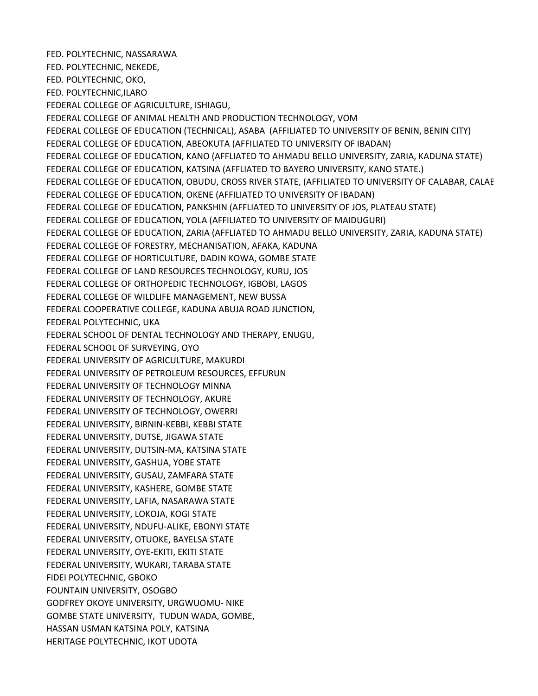FED. POLYTECHNIC, NASSARAWA FED. POLYTECHNIC, NEKEDE, FED. POLYTECHNIC, OKO, FED. POLYTECHNIC,ILARO FEDERAL COLLEGE OF AGRICULTURE, ISHIAGU, FEDERAL COLLEGE OF ANIMAL HEALTH AND PRODUCTION TECHNOLOGY, VOM FEDERAL COLLEGE OF EDUCATION (TECHNICAL), ASABA (AFFILIATED TO UNIVERSITY OF BENIN, BENIN CITY) FEDERAL COLLEGE OF EDUCATION, ABEOKUTA (AFFILIATED TO UNIVERSITY OF IBADAN) FEDERAL COLLEGE OF EDUCATION, KANO (AFFLIATED TO AHMADU BELLO UNIVERSITY, ZARIA, KADUNA STATE) FEDERAL COLLEGE OF EDUCATION, KATSINA (AFFLIATED TO BAYERO UNIVERSITY, KANO STATE.) FEDERAL COLLEGE OF EDUCATION, OBUDU, CROSS RIVER STATE, (AFFILIATED TO UNIVERSITY OF CALABAR, CALABAR FEDERAL COLLEGE OF EDUCATION, OKENE (AFFILIATED TO UNIVERSITY OF IBADAN) FEDERAL COLLEGE OF EDUCATION, PANKSHIN (AFFLIATED TO UNIVERSITY OF JOS, PLATEAU STATE) FEDERAL COLLEGE OF EDUCATION, YOLA (AFFILIATED TO UNIVERSITY OF MAIDUGURI) FEDERAL COLLEGE OF EDUCATION, ZARIA (AFFLIATED TO AHMADU BELLO UNIVERSITY, ZARIA, KADUNA STATE) FEDERAL COLLEGE OF FORESTRY, MECHANISATION, AFAKA, KADUNA FEDERAL COLLEGE OF HORTICULTURE, DADIN KOWA, GOMBE STATE FEDERAL COLLEGE OF LAND RESOURCES TECHNOLOGY, KURU, JOS FEDERAL COLLEGE OF ORTHOPEDIC TECHNOLOGY, IGBOBI, LAGOS FEDERAL COLLEGE OF WILDLIFE MANAGEMENT, NEW BUSSA FEDERAL COOPERATIVE COLLEGE, KADUNA ABUJA ROAD JUNCTION, FEDERAL POLYTECHNIC, UKA FEDERAL SCHOOL OF DENTAL TECHNOLOGY AND THERAPY, ENUGU, FEDERAL SCHOOL OF SURVEYING, OYO FEDERAL UNIVERSITY OF AGRICULTURE, MAKURDI FEDERAL UNIVERSITY OF PETROLEUM RESOURCES, EFFURUN FEDERAL UNIVERSITY OF TECHNOLOGY MINNA FEDERAL UNIVERSITY OF TECHNOLOGY, AKURE FEDERAL UNIVERSITY OF TECHNOLOGY, OWERRI FEDERAL UNIVERSITY, BIRNIN-KEBBI, KEBBI STATE FEDERAL UNIVERSITY, DUTSE, JIGAWA STATE FEDERAL UNIVERSITY, DUTSIN-MA, KATSINA STATE FEDERAL UNIVERSITY, GASHUA, YOBE STATE FEDERAL UNIVERSITY, GUSAU, ZAMFARA STATE FEDERAL UNIVERSITY, KASHERE, GOMBE STATE FEDERAL UNIVERSITY, LAFIA, NASARAWA STATE FEDERAL UNIVERSITY, LOKOJA, KOGI STATE FEDERAL UNIVERSITY, NDUFU-ALIKE, EBONYI STATE FEDERAL UNIVERSITY, OTUOKE, BAYELSA STATE FEDERAL UNIVERSITY, OYE-EKITI, EKITI STATE FEDERAL UNIVERSITY, WUKARI, TARABA STATE FIDEI POLYTECHNIC, GBOKO FOUNTAIN UNIVERSITY, OSOGBO GODFREY OKOYE UNIVERSITY, URGWUOMU- NIKE GOMBE STATE UNIVERSITY, TUDUN WADA, GOMBE, HASSAN USMAN KATSINA POLY, KATSINA HERITAGE POLYTECHNIC, IKOT UDOTA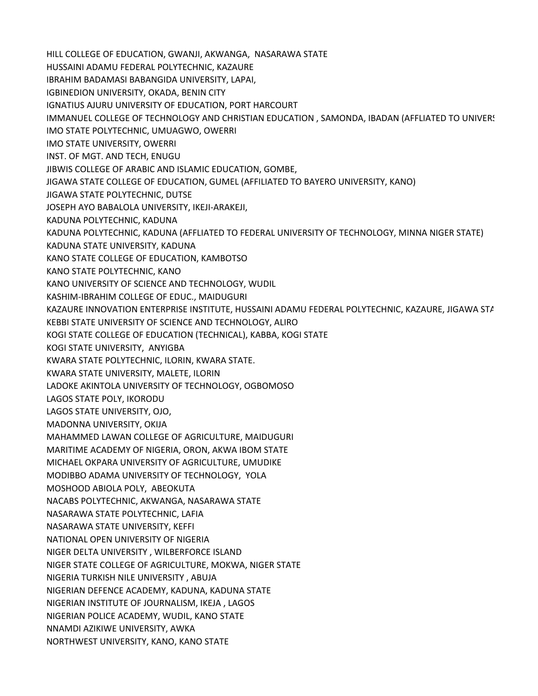HILL COLLEGE OF EDUCATION, GWANJI, AKWANGA, NASARAWA STATE HUSSAINI ADAMU FEDERAL POLYTECHNIC, KAZAURE IBRAHIM BADAMASI BABANGIDA UNIVERSITY, LAPAI, IGBINEDION UNIVERSITY, OKADA, BENIN CITY IGNATIUS AJURU UNIVERSITY OF EDUCATION, PORT HARCOURT IMMANUEL COLLEGE OF TECHNOLOGY AND CHRISTIAN EDUCATION, SAMONDA, IBADAN (AFFLIATED TO UNIVERS IMO STATE POLYTECHNIC, UMUAGWO, OWERRI IMO STATE UNIVERSITY, OWERRI INST. OF MGT. AND TECH, ENUGU JIBWIS COLLEGE OF ARABIC AND ISLAMIC EDUCATION, GOMBE, JIGAWA STATE COLLEGE OF EDUCATION, GUMEL (AFFILIATED TO BAYERO UNIVERSITY, KANO) JIGAWA STATE POLYTECHNIC, DUTSE JOSEPH AYO BABALOLA UNIVERSITY, IKEJI-ARAKEJI, KADUNA POLYTECHNIC, KADUNA KADUNA POLYTECHNIC, KADUNA (AFFLIATED TO FEDERAL UNIVERSITY OF TECHNOLOGY, MINNA NIGER STATE) KADUNA STATE UNIVERSITY, KADUNA KANO STATE COLLEGE OF EDUCATION, KAMBOTSO KANO STATE POLYTECHNIC, KANO KANO UNIVERSITY OF SCIENCE AND TECHNOLOGY, WUDIL KASHIM-IBRAHIM COLLEGE OF EDUC., MAIDUGURI KAZAURE INNOVATION ENTERPRISE INSTITUTE, HUSSAINI ADAMU FEDERAL POLYTECHNIC, KAZAURE, JIGAWA STA KEBBI STATE UNIVERSITY OF SCIENCE AND TECHNOLOGY, ALIRO KOGI STATE COLLEGE OF EDUCATION (TECHNICAL), KABBA, KOGI STATE KOGI STATE UNIVERSITY, ANYIGBA KWARA STATE POLYTECHNIC, ILORIN, KWARA STATE. KWARA STATE UNIVERSITY, MALETE, ILORIN LADOKE AKINTOLA UNIVERSITY OF TECHNOLOGY, OGBOMOSO LAGOS STATE POLY, IKORODU LAGOS STATE UNIVERSITY, OJO, MADONNA UNIVERSITY, OKIJA MAHAMMED LAWAN COLLEGE OF AGRICULTURE, MAIDUGURI MARITIME ACADEMY OF NIGERIA, ORON, AKWA IBOM STATE MICHAEL OKPARA UNIVERSITY OF AGRICULTURE, UMUDIKE MODIBBO ADAMA UNIVERSITY OF TECHNOLOGY, YOLA MOSHOOD ABIOLA POLY, ABEOKUTA NACABS POLYTECHNIC, AKWANGA, NASARAWA STATE NASARAWA STATE POLYTECHNIC, LAFIA NASARAWA STATE UNIVERSITY, KEFFI NATIONAL OPEN UNIVERSITY OF NIGERIA NIGER DELTA UNIVERSITY , WILBERFORCE ISLAND NIGER STATE COLLEGE OF AGRICULTURE, MOKWA, NIGER STATE NIGERIA TURKISH NILE UNIVERSITY , ABUJA NIGERIAN DEFENCE ACADEMY, KADUNA, KADUNA STATE NIGERIAN INSTITUTE OF JOURNALISM, IKEJA , LAGOS NIGERIAN POLICE ACADEMY, WUDIL, KANO STATE NNAMDI AZIKIWE UNIVERSITY, AWKA NORTHWEST UNIVERSITY, KANO, KANO STATE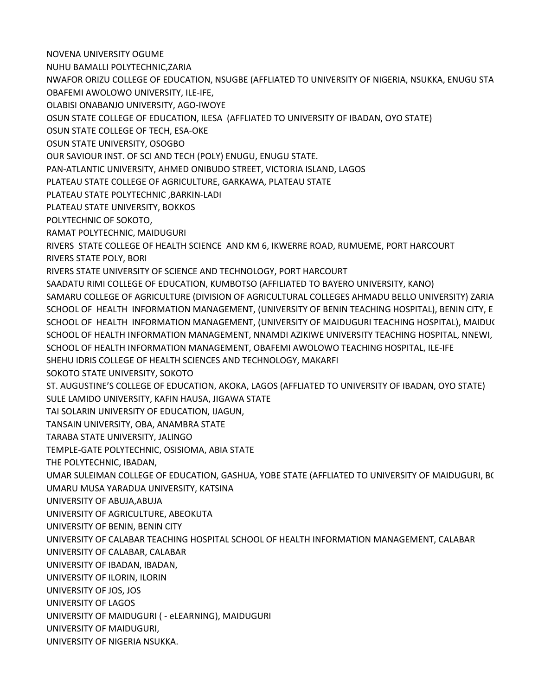NOVENA UNIVERSITY OGUME

NUHU BAMALLI POLYTECHNIC,ZARIA

NWAFOR ORIZU COLLEGE OF EDUCATION, NSUGBE (AFFLIATED TO UNIVERSITY OF NIGERIA, NSUKKA, ENUGU STATE) OBAFEMI AWOLOWO UNIVERSITY, ILE-IFE,

OLABISI ONABANJO UNIVERSITY, AGO-IWOYE

OSUN STATE COLLEGE OF EDUCATION, ILESA (AFFLIATED TO UNIVERSITY OF IBADAN, OYO STATE)

OSUN STATE COLLEGE OF TECH, ESA-OKE

OSUN STATE UNIVERSITY, OSOGBO

OUR SAVIOUR INST. OF SCI AND TECH (POLY) ENUGU, ENUGU STATE.

PAN-ATLANTIC UNIVERSITY, AHMED ONIBUDO STREET, VICTORIA ISLAND, LAGOS

PLATEAU STATE COLLEGE OF AGRICULTURE, GARKAWA, PLATEAU STATE

PLATEAU STATE POLYTECHNIC ,BARKIN-LADI

PLATEAU STATE UNIVERSITY, BOKKOS

POLYTECHNIC OF SOKOTO,

RAMAT POLYTECHNIC, MAIDUGURI

RIVERS STATE COLLEGE OF HEALTH SCIENCE AND KM 6, IKWERRE ROAD, RUMUEME, PORT HARCOURT RIVERS STATE POLY, BORI

RIVERS STATE UNIVERSITY OF SCIENCE AND TECHNOLOGY, PORT HARCOURT

SAADATU RIMI COLLEGE OF EDUCATION, KUMBOTSO (AFFILIATED TO BAYERO UNIVERSITY, KANO) SAMARU COLLEGE OF AGRICULTURE (DIVISION OF AGRICULTURAL COLLEGES AHMADU BELLO UNIVERSITY) ZARIA SCHOOL OF HEALTH INFORMATION MANAGEMENT, (UNIVERSITY OF BENIN TEACHING HOSPITAL), BENIN CITY, E SCHOOL OF HEALTH INFORMATION MANAGEMENT, (UNIVERSITY OF MAIDUGURI TEACHING HOSPITAL), MAIDU( SCHOOL OF HEALTH INFORMATION MANAGEMENT, NNAMDI AZIKIWE UNIVERSITY TEACHING HOSPITAL, NNEWI, SCHOOL OF HEALTH INFORMATION MANAGEMENT, OBAFEMI AWOLOWO TEACHING HOSPITAL, ILE-IFE

SHEHU IDRIS COLLEGE OF HEALTH SCIENCES AND TECHNOLOGY, MAKARFI

SOKOTO STATE UNIVERSITY, SOKOTO

ST. AUGUSTINE'S COLLEGE OF EDUCATION, AKOKA, LAGOS (AFFLIATED TO UNIVERSITY OF IBADAN, OYO STATE) SULE LAMIDO UNIVERSITY, KAFIN HAUSA, JIGAWA STATE

TAI SOLARIN UNIVERSITY OF EDUCATION, IJAGUN,

TANSAIN UNIVERSITY, OBA, ANAMBRA STATE

TARABA STATE UNIVERSITY, JALINGO

TEMPLE-GATE POLYTECHNIC, OSISIOMA, ABIA STATE

THE POLYTECHNIC, IBADAN,

UMAR SULEIMAN COLLEGE OF EDUCATION, GASHUA, YOBE STATE (AFFLIATED TO UNIVERSITY OF MAIDUGURI, B(

UMARU MUSA YARADUA UNIVERSITY, KATSINA

UNIVERSITY OF ABUJA,ABUJA

UNIVERSITY OF AGRICULTURE, ABEOKUTA

UNIVERSITY OF BENIN, BENIN CITY

UNIVERSITY OF CALABAR TEACHING HOSPITAL SCHOOL OF HEALTH INFORMATION MANAGEMENT, CALABAR

UNIVERSITY OF CALABAR, CALABAR

UNIVERSITY OF IBADAN, IBADAN,

UNIVERSITY OF ILORIN, ILORIN

UNIVERSITY OF JOS, JOS

UNIVERSITY OF LAGOS

UNIVERSITY OF MAIDUGURI ( - eLEARNING), MAIDUGURI

UNIVERSITY OF MAIDUGURI,

UNIVERSITY OF NIGERIA NSUKKA.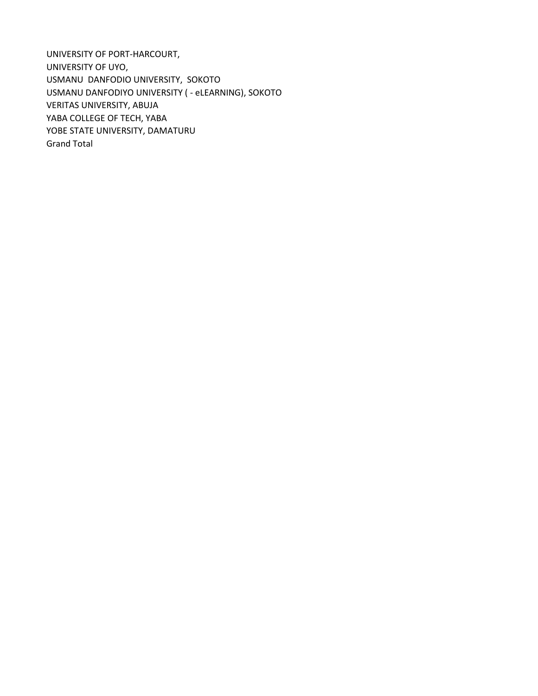UNIVERSITY OF PORT-HARCOURT, UNIVERSITY OF UYO, USMANU DANFODIO UNIVERSITY, SOKOTO USMANU DANFODIYO UNIVERSITY ( - eLEARNING), SOKOTO VERITAS UNIVERSITY, ABUJA YABA COLLEGE OF TECH, YABA YOBE STATE UNIVERSITY, DAMATURU Grand Total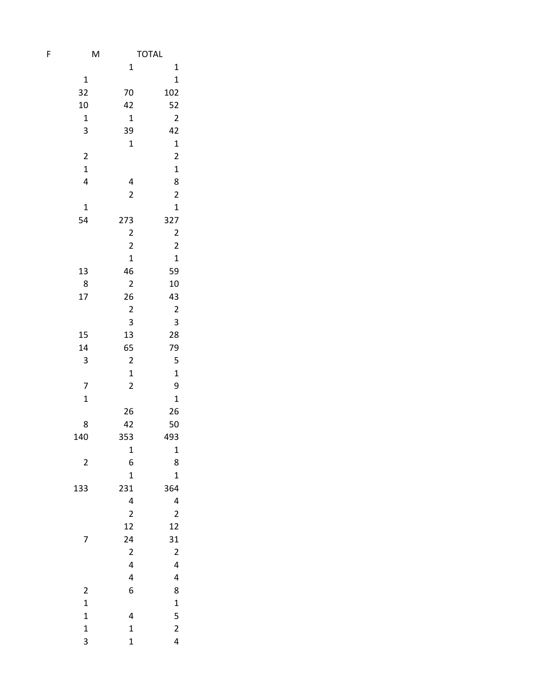| F                       | M                                         | <b>TOTAL</b>            |
|-------------------------|-------------------------------------------|-------------------------|
|                         | 1                                         | $\mathbf 1$             |
| 1                       |                                           | $\mathbf{1}$            |
| 32                      | 70                                        | 102                     |
| 10                      | 42                                        | 52                      |
| $\mathbf 1$             | $\mathbf 1$                               | $\overline{\mathbf{c}}$ |
| 3                       | 39                                        | 42                      |
|                         | $\mathbf 1$                               | $\mathbf{1}$            |
| $\overline{\mathbf{c}}$ |                                           | $\overline{\mathbf{c}}$ |
| $\mathbf 1$             |                                           | $\mathbf{1}$            |
| $\overline{\mathbf{r}}$ | 4                                         | 8                       |
|                         | $\overline{\mathbf{c}}$                   | $\overline{\mathbf{c}}$ |
| 1                       |                                           | $\mathbf 1$             |
| 54                      | 273                                       | 327                     |
|                         |                                           |                         |
|                         | $\overline{\mathbf{c}}$<br>$\overline{2}$ | $\overline{\mathbf{c}}$ |
|                         |                                           | $\overline{\mathbf{c}}$ |
|                         | $\mathbf 1$                               | $\mathbf{1}$            |
| 13                      | 46                                        | 59                      |
| 8                       | $\overline{a}$                            | 10                      |
| 17                      | 26                                        | 43                      |
|                         | $\overline{\mathbf{c}}$                   | $\overline{\mathbf{c}}$ |
|                         | 3                                         | 3                       |
| 15                      | 13                                        | 28                      |
| 14                      | 65                                        | 79                      |
| 3                       | $\overline{\mathbf{c}}$                   | 5                       |
|                         | $\mathbf{1}$                              | $\mathbf{1}$            |
| 7                       | $\overline{\mathbf{c}}$                   | 9                       |
| $\mathbf 1$             |                                           | $\mathbf{1}$            |
|                         | 26                                        | 26                      |
| 8                       | 42                                        | 50                      |
| 140                     | 353                                       | 493                     |
|                         | $\mathbf 1$                               | $\mathbf{1}$            |
| $\overline{\mathbf{c}}$ | 6                                         | 8                       |
|                         | $\mathbf 1$                               | $\mathbf{1}$            |
| 133                     | 231                                       | 364                     |
|                         | 4                                         | 4                       |
|                         | $\overline{\mathbf{c}}$                   | $\overline{c}$          |
|                         | 12                                        | 12                      |
| 7                       | 24                                        | 31                      |
|                         | $\overline{\mathbf{c}}$                   | $\overline{\mathbf{c}}$ |
|                         | 4                                         | 4                       |
|                         | 4                                         | 4                       |
| $\overline{\mathbf{c}}$ | 6                                         | 8                       |
| $\mathbf{1}$            |                                           | $\mathbf{1}$            |
| $\mathbf{1}$            | 4                                         | 5                       |
| $\mathbf 1$             | $\mathbf 1$                               | $\overline{\mathbf{c}}$ |
| 3                       | $\mathbf{1}$                              | 4                       |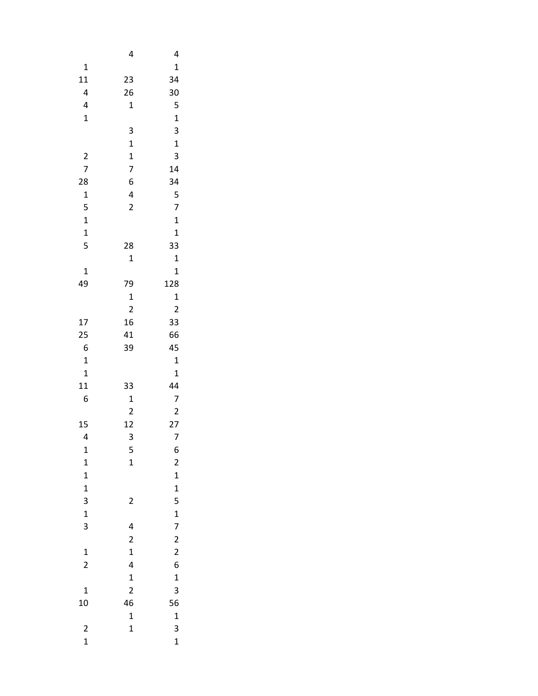|                              | 4                       | 4                                     |
|------------------------------|-------------------------|---------------------------------------|
| 1                            |                         | 1                                     |
| 11                           | 23                      | 34                                    |
| 4                            | 26                      | 30                                    |
| 4                            | $\mathbf 1$             | 5                                     |
| $\mathbf 1$                  |                         | $\mathbf{1}$                          |
|                              | 3                       | 3                                     |
|                              | $\mathbf 1$             | $\mathbf{1}$                          |
| $\overline{\mathbf{c}}$      | $\mathbf{1}$            | 3                                     |
| $\overline{7}$               | 7                       | 14                                    |
| 28                           | 6                       | 34                                    |
| $\mathbf 1$                  | 4                       | 5                                     |
| 5                            | $\overline{a}$          | $\overline{7}$                        |
| $\mathbf{1}$                 |                         | $\mathbf{1}$                          |
| $\mathbf{1}$                 |                         | $\mathbf{1}$                          |
| 5                            | 28                      | 33                                    |
|                              | 1                       | $\mathbf{1}$                          |
| $\overline{1}$               |                         | $\mathbf 1$                           |
| 49                           | 79                      | 128                                   |
|                              | $\mathbf 1$             | $\mathbf{1}$                          |
|                              | $\overline{\mathbf{c}}$ | $\overline{\mathbf{c}}$               |
| 17                           | 16                      | 33                                    |
| 25                           | 41                      | 66                                    |
| 6                            | 39                      | 45                                    |
| $\mathbf 1$                  |                         | $\mathbf{1}$                          |
| $\mathbf 1$                  |                         | 1                                     |
| 11                           | 33                      | 44                                    |
| 6                            | $\mathbf 1$             | 7                                     |
|                              | $\overline{\mathbf{c}}$ | $\overline{\mathbf{c}}$               |
| 15                           | 12<br>3                 | 27                                    |
| 4                            |                         | 7<br>6                                |
| $\mathbf{1}$                 | 5                       |                                       |
| $\mathbf{1}$<br>$\mathbf{1}$ | 1                       | $\overline{\mathbf{c}}$               |
| $\mathbf{1}$                 |                         |                                       |
| 3                            | $\overline{\mathbf{c}}$ |                                       |
| $\mathbf{1}$                 |                         |                                       |
| 3                            | 4                       | 1 1 5 1 7 2 2 6                       |
|                              | $\overline{\mathbf{c}}$ |                                       |
| $\mathbf{1}$                 | $\mathbf{1}$            |                                       |
| $\overline{\mathbf{c}}$      | 4                       |                                       |
|                              | $\mathbf{1}$            | $\mathbf{1}$                          |
| $\mathbf 1$                  | $\overline{c}$          | 3                                     |
| 10                           | 46                      | 56                                    |
|                              | $\mathbf{1}$            | $\mathbf{1}$                          |
| $\overline{\mathbf{c}}$      | $\mathbf{1}$            |                                       |
| $\mathbf{1}$                 |                         | $\begin{array}{c} 3 \\ 1 \end{array}$ |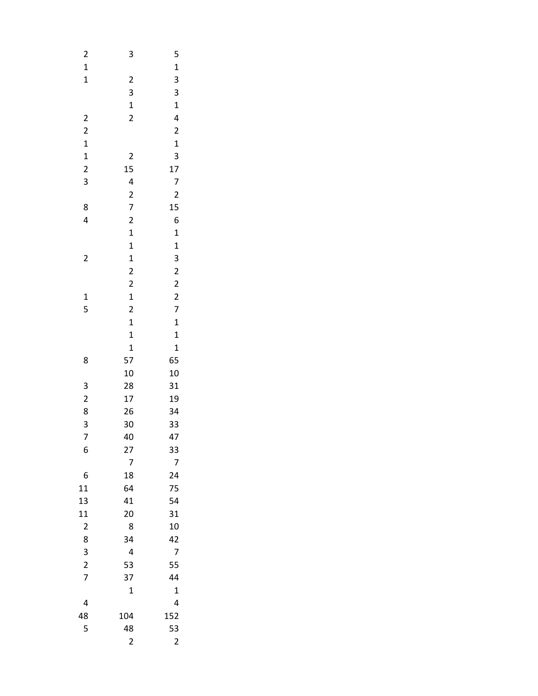| $\overline{\mathbf{c}}$               | 3                       | 5                       |  |
|---------------------------------------|-------------------------|-------------------------|--|
| $\mathbf{1}$                          |                         | $\mathbf{1}$            |  |
| $\mathbf{1}$                          | $\overline{\mathbf{c}}$ | 3                       |  |
|                                       | 3                       | 3                       |  |
|                                       | $\mathbf{1}$            | $\mathbf{1}$            |  |
| $\overline{\mathbf{c}}$               | $\overline{a}$          | 4                       |  |
| $\overline{\mathbf{c}}$               |                         | $\overline{\mathbf{c}}$ |  |
|                                       |                         | $\mathbf{1}$            |  |
| $\begin{array}{c} 1 \\ 1 \end{array}$ | $\overline{\mathbf{c}}$ | 3                       |  |
| $\overline{\mathbf{c}}$               | 15                      | 17                      |  |
| 3                                     | 4                       | 7                       |  |
|                                       |                         | $\overline{\mathbf{c}}$ |  |
| 8                                     | $\frac{2}{7}$           | 15                      |  |
| 4                                     | $\overline{\mathbf{c}}$ | 6                       |  |
|                                       | $\mathbf{1}$            | $\mathbf{1}$            |  |
|                                       | $\mathbf{1}$            | $\mathbf{1}$            |  |
| $\overline{\mathbf{c}}$               | $\mathbf{1}$            | 3                       |  |
|                                       | $\overline{\mathbf{c}}$ | $\overline{\mathbf{c}}$ |  |
|                                       | $\overline{\mathbf{c}}$ | $\overline{c}$          |  |
| $\mathbf{1}$                          | $\mathbf{1}$            |                         |  |
| 5                                     | $\overline{\mathbf{c}}$ | $\frac{2}{7}$           |  |
|                                       | $\mathbf{1}$            | $\mathbf{1}$            |  |
|                                       | $\mathbf{1}$            | $\mathbf{1}$            |  |
|                                       | $\mathbf{1}$            | $\mathbf{1}$            |  |
| 8                                     | 57                      | 65                      |  |
|                                       | 10                      | 10                      |  |
|                                       | 28                      | 31                      |  |
| 3 2 8 3 7                             | 17                      | 19                      |  |
|                                       | 26                      | 34                      |  |
|                                       | 30                      | 33                      |  |
|                                       | 40                      | 47                      |  |
| 6                                     | 27                      | 33                      |  |
|                                       | 7                       | 7                       |  |
| 6                                     | 18                      | 24                      |  |
| 11                                    | 64                      | 75                      |  |
| 13                                    | 41                      | 54                      |  |
| 11                                    | 20                      | 31                      |  |
| $\overline{\mathbf{c}}$               | 8                       | 10                      |  |
| 8                                     | 34                      | 42                      |  |
|                                       | 4                       | 7                       |  |
| $\frac{3}{2}$                         | 53                      | 55                      |  |
| $\overline{7}$                        | 37                      | 44                      |  |
|                                       | $\mathbf 1$             | $\mathbf 1$             |  |
| 4                                     |                         | 4                       |  |
| 48                                    | 104                     | 152                     |  |
| 5                                     | 48                      | 53                      |  |
|                                       | $\overline{\mathbf{c}}$ | $\overline{c}$          |  |
|                                       |                         |                         |  |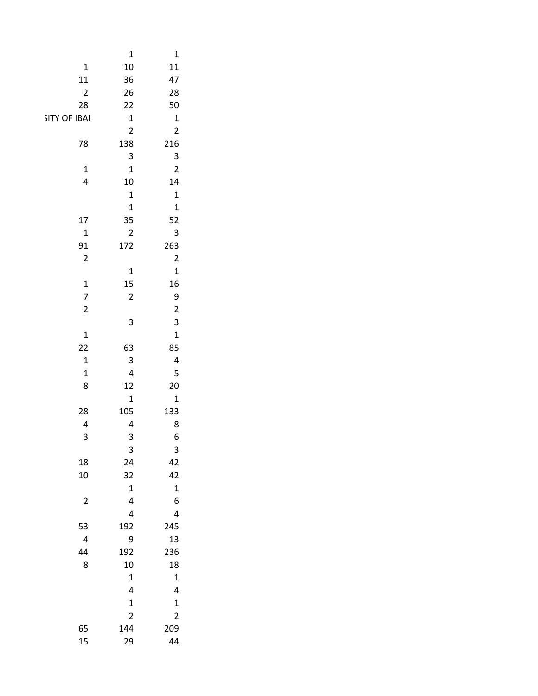|                          | $\mathbf{1}$                                    | $\mathbf{1}$                               |
|--------------------------|-------------------------------------------------|--------------------------------------------|
| $\mathbf 1$              | 10                                              | 11                                         |
| ${\bf 11}$               | 36                                              | $47\,$                                     |
| $\overline{2}$           | 26                                              | ${\bf 28}$                                 |
| 28                       | $22\,$                                          | 50                                         |
| SITY OF IBAI             | $\mathbf 1$                                     | $\mathbf{1}$                               |
|                          | $\overline{2}$                                  | $\overline{2}$                             |
| ${\bf 78}$               | 138                                             | 216                                        |
|                          | $\overline{\mathbf{3}}$                         |                                            |
| $\mathbf{1}$             | $\mathbf{1}$                                    | $\begin{array}{c} 3 \\ 2 \end{array}$      |
| $\overline{4}$           | $10\,$                                          | 14                                         |
|                          | $\mathbf 1$                                     | $\mathbf{1}$                               |
|                          | $\mathbf{1}$                                    | $\mathbf{1}$                               |
| $17\,$                   | 35                                              | 52                                         |
| $\mathbf 1$              | $\overline{2}$                                  | $\overline{\mathbf{3}}$                    |
| 91                       | 172                                             | 263                                        |
| $\overline{2}$           |                                                 | $\overline{c}$                             |
|                          | $\mathbf 1$                                     | $\mathbf{1}$                               |
| $\mathbf 1$              | 15                                              | 16                                         |
| $\overline{\mathcal{I}}$ | $\overline{2}$                                  | $\overline{9}$                             |
| $\overline{2}$           |                                                 | $\overline{\mathbf{c}}$                    |
|                          | $\overline{\mathbf{3}}$                         | $\overline{\mathbf{3}}$                    |
| $\mathbf 1$              |                                                 | $\mathbf{1}$                               |
| 22                       | 63                                              | 85                                         |
| $\mathbf 1$              | $\overline{\mathbf{3}}$                         | $\overline{4}$                             |
| $\mathbf 1$              | $\overline{\mathbf{4}}$                         | $\overline{\mathbf{5}}$                    |
| 8                        | 12                                              | 20                                         |
|                          | $\mathbf{1}$                                    | $\mathbf{1}$                               |
| 28                       | 105                                             | 133                                        |
| $\pmb{4}$                | $\overline{\mathbf{4}}$                         | $\bf 8$                                    |
| 3                        | 3                                               | $\boldsymbol{6}$                           |
|                          | $\mathbf{3}$                                    | $\mathbf{3}$                               |
| 18                       | 24                                              | 42                                         |
| $10\,$                   | 32                                              | $42$                                       |
|                          | $\frac{1}{4}$                                   | $\begin{array}{c} 1 \\ 6 \end{array}$      |
| $\overline{2}$           |                                                 |                                            |
|                          | $\overline{\mathbf{4}}$                         | $\overline{a}$                             |
| 53                       | 192                                             | 245                                        |
| $\overline{4}$           | $\boldsymbol{9}$                                | 13                                         |
| 44                       | 192                                             | 236                                        |
| $\bf 8$                  | ${\bf 10}$                                      | 18                                         |
|                          |                                                 | $\mathbf{1}$                               |
|                          | $\begin{array}{c} 1 \\ 4 \\ 1 \\ 2 \end{array}$ |                                            |
|                          |                                                 | $\begin{array}{c} 4 \\ 1 \\ 2 \end{array}$ |
|                          |                                                 |                                            |
| 65                       | 144                                             | 209                                        |
| 15                       | 29                                              | 44                                         |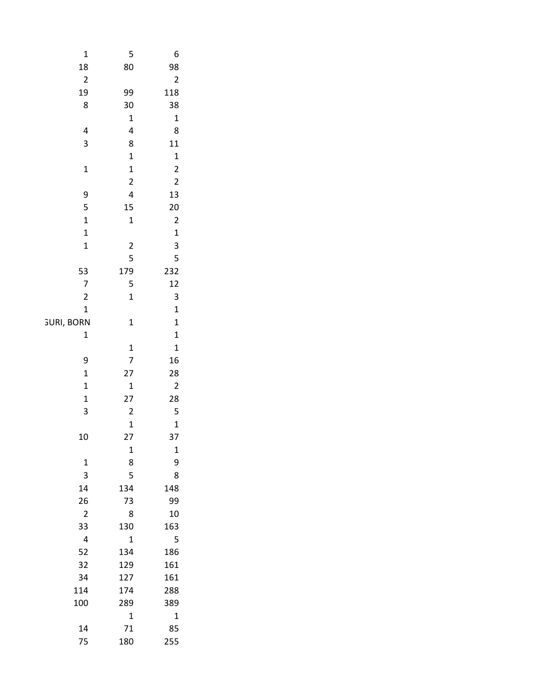| $\mathbf{1}$                           | 5                                            | 6                                                |
|----------------------------------------|----------------------------------------------|--------------------------------------------------|
| $\begin{array}{c} 18 \\ 2 \end{array}$ | 80                                           | 98                                               |
|                                        |                                              | $\overline{\mathbf{c}}$                          |
| 19                                     | 99                                           | 118                                              |
| $\bf 8$                                | $30\,$                                       | $38$                                             |
|                                        | $\mathbf 1$                                  | $\mathbf{1}$                                     |
| 4                                      | $\overline{\mathbf{r}}$                      | 8                                                |
| 3                                      | 8                                            | $11$                                             |
|                                        | $\mathbf{1}$                                 | $\begin{array}{c} 1 \\ 2 \\ 2 \\ 13 \end{array}$ |
| $\mathbf 1$                            | $\mathbf{1}$                                 |                                                  |
|                                        | $\overline{2}$                               |                                                  |
| 9                                      | $\overline{\mathbf{r}}$                      |                                                  |
| 5                                      | 15                                           | $\begin{array}{c} 20 \\ 2 \end{array}$           |
| $\mathbf 1$                            | $\mathbf 1$                                  |                                                  |
| $\mathbf 1$                            |                                              | $\frac{1}{3}$                                    |
| $\mathbf 1$                            | $\begin{array}{c} 2 \\ 5 \\ 179 \end{array}$ |                                                  |
|                                        |                                              | 5                                                |
|                                        |                                              | 232                                              |
| 53<br>7<br>2                           | $\begin{array}{c} 5 \\ 1 \end{array}$        | $\begin{array}{c} 12 \\ 3 \end{array}$           |
| $\mathbf{1}$                           |                                              |                                                  |
| <b>GURI, BORN</b>                      |                                              | $\mathbf{1}$                                     |
| $\mathbf 1$                            | $\mathbf{1}$                                 | $\begin{array}{c} 1 \\ 1 \end{array}$            |
|                                        |                                              |                                                  |
| $\boldsymbol{9}$                       | $\frac{1}{7}$                                | $\begin{array}{c} 1 \\ 16 \end{array}$           |
| $\mathbf 1$                            |                                              |                                                  |
| $\mathbf 1$                            | $\begin{array}{c} 27 \\ 1 \end{array}$       |                                                  |
| $\mathbf 1$                            | $27\,$                                       |                                                  |
| 3                                      | $\overline{c}$                               | 28<br>2<br>28<br>5                               |
|                                        | $\mathbf{1}$                                 |                                                  |
| $10\,$                                 | $27\,$                                       | $\begin{array}{c} 1 \\ 37 \end{array}$           |
|                                        | $\mathbf 1$                                  | $\mathbf 1$                                      |
|                                        | $\begin{array}{c} 8 \\ 5 \end{array}$        |                                                  |
| $\frac{1}{3}$                          |                                              | $\begin{array}{c} 9 \\ 8 \end{array}$            |
| $14\,$                                 | 134                                          | 148                                              |
| 26                                     | $73\,$                                       | 99                                               |
| $\overline{2}$                         | $\,$ 8 $\,$                                  | $10\,$                                           |
| 33                                     | 130                                          | 163                                              |
| $\overline{4}$                         | $\mathbf 1$                                  | $\overline{\phantom{0}}$                         |
| 52                                     | 134                                          | 186                                              |
| 32                                     | 129                                          | ${\bf 161}$                                      |
| 34                                     | 127                                          | 161                                              |
| 114                                    | 174                                          | 288                                              |
| 100                                    | 289                                          | 389                                              |
|                                        | $\mathbf 1$                                  | $\overline{\mathbf{1}}$                          |
| $14\,$                                 | $71\,$                                       | 85                                               |
| 75                                     | 180                                          | 255                                              |